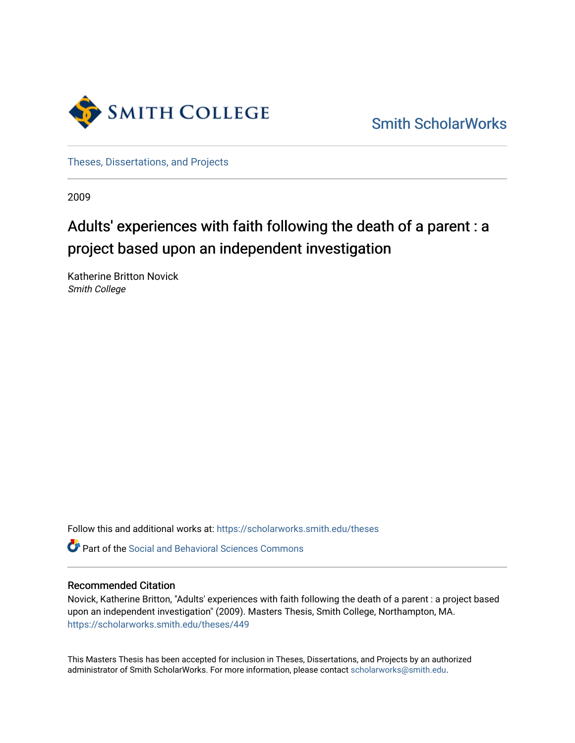

[Smith ScholarWorks](https://scholarworks.smith.edu/) 

[Theses, Dissertations, and Projects](https://scholarworks.smith.edu/theses) 

2009

# Adults' experiences with faith following the death of a parent : a project based upon an independent investigation

Katherine Britton Novick Smith College

Follow this and additional works at: [https://scholarworks.smith.edu/theses](https://scholarworks.smith.edu/theses?utm_source=scholarworks.smith.edu%2Ftheses%2F449&utm_medium=PDF&utm_campaign=PDFCoverPages) 

Part of the [Social and Behavioral Sciences Commons](http://network.bepress.com/hgg/discipline/316?utm_source=scholarworks.smith.edu%2Ftheses%2F449&utm_medium=PDF&utm_campaign=PDFCoverPages) 

#### Recommended Citation

Novick, Katherine Britton, "Adults' experiences with faith following the death of a parent : a project based upon an independent investigation" (2009). Masters Thesis, Smith College, Northampton, MA. [https://scholarworks.smith.edu/theses/449](https://scholarworks.smith.edu/theses/449?utm_source=scholarworks.smith.edu%2Ftheses%2F449&utm_medium=PDF&utm_campaign=PDFCoverPages) 

This Masters Thesis has been accepted for inclusion in Theses, Dissertations, and Projects by an authorized administrator of Smith ScholarWorks. For more information, please contact [scholarworks@smith.edu](mailto:scholarworks@smith.edu).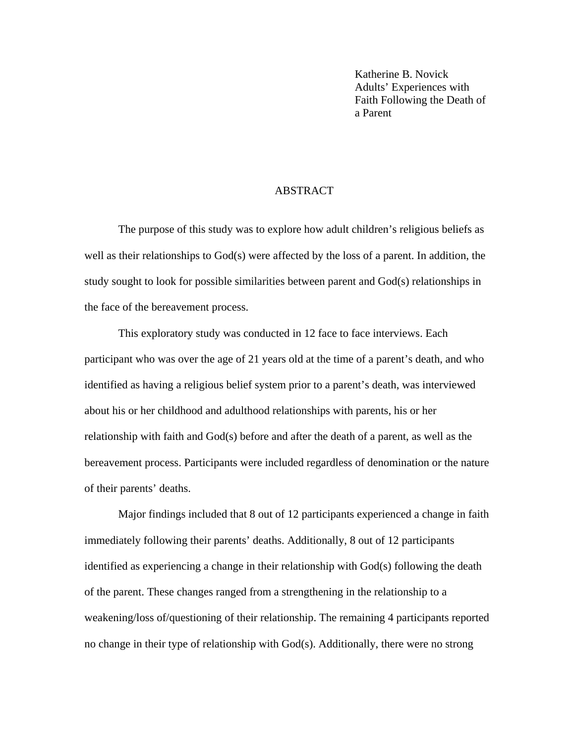Katherine B. Novick Adults' Experiences with Faith Following the Death of a Parent

#### ABSTRACT

 The purpose of this study was to explore how adult children's religious beliefs as well as their relationships to  $God(s)$  were affected by the loss of a parent. In addition, the study sought to look for possible similarities between parent and God(s) relationships in the face of the bereavement process.

 This exploratory study was conducted in 12 face to face interviews. Each participant who was over the age of 21 years old at the time of a parent's death, and who identified as having a religious belief system prior to a parent's death, was interviewed about his or her childhood and adulthood relationships with parents, his or her relationship with faith and God(s) before and after the death of a parent, as well as the bereavement process. Participants were included regardless of denomination or the nature of their parents' deaths.

 Major findings included that 8 out of 12 participants experienced a change in faith immediately following their parents' deaths. Additionally, 8 out of 12 participants identified as experiencing a change in their relationship with  $God(s)$  following the death of the parent. These changes ranged from a strengthening in the relationship to a weakening/loss of/questioning of their relationship. The remaining 4 participants reported no change in their type of relationship with God(s). Additionally, there were no strong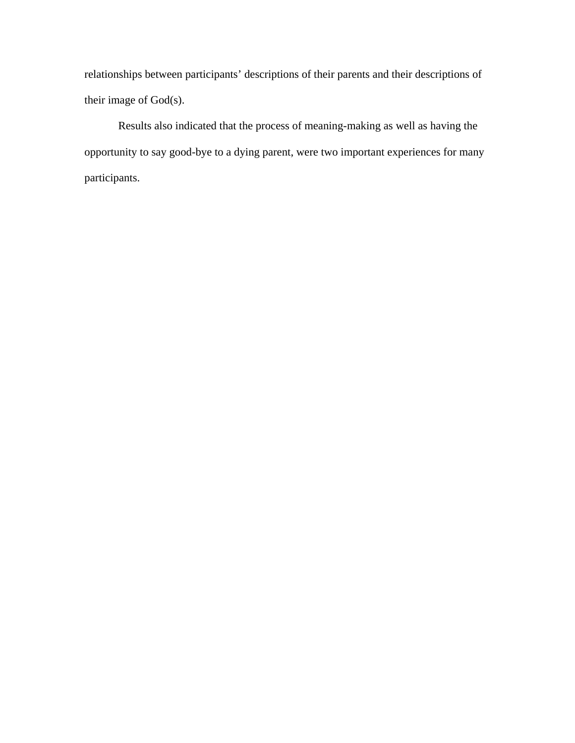relationships between participants' descriptions of their parents and their descriptions of their image of God(s).

 Results also indicated that the process of meaning-making as well as having the opportunity to say good-bye to a dying parent, were two important experiences for many participants.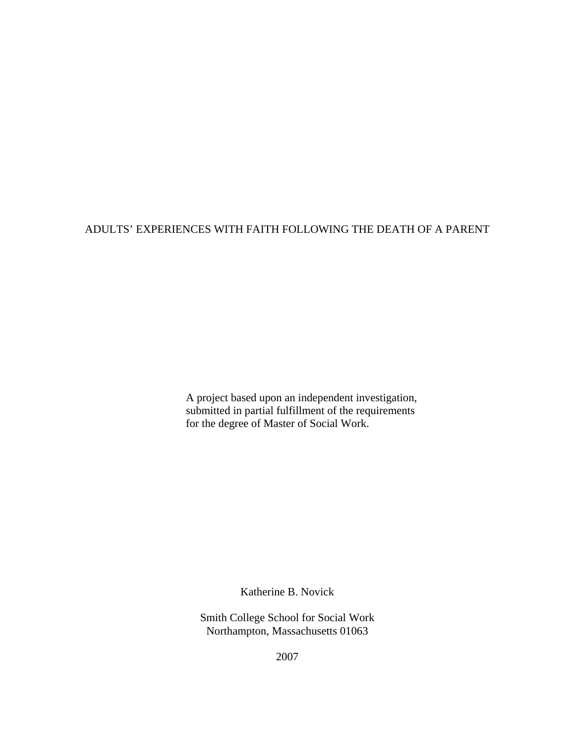# ADULTS' EXPERIENCES WITH FAITH FOLLOWING THE DEATH OF A PARENT

A project based upon an independent investigation, submitted in partial fulfillment of the requirements for the degree of Master of Social Work.

Katherine B. Novick

Smith College School for Social Work Northampton, Massachusetts 01063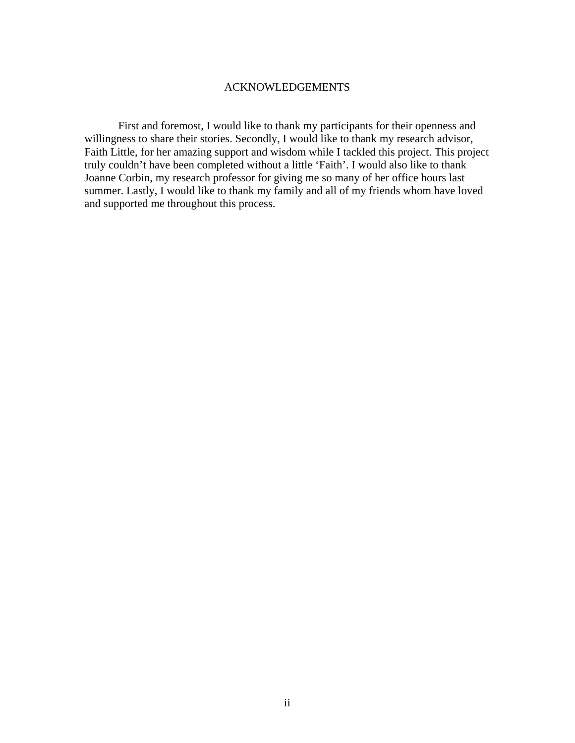#### ACKNOWLEDGEMENTS

First and foremost, I would like to thank my participants for their openness and willingness to share their stories. Secondly, I would like to thank my research advisor, Faith Little, for her amazing support and wisdom while I tackled this project. This project truly couldn't have been completed without a little 'Faith'. I would also like to thank Joanne Corbin, my research professor for giving me so many of her office hours last summer. Lastly, I would like to thank my family and all of my friends whom have loved and supported me throughout this process.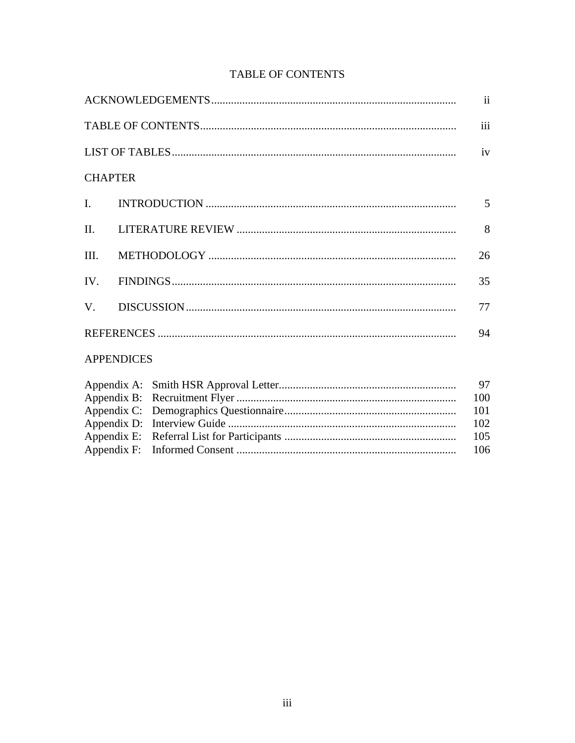|                   | $\ddot{\mathbf{i}}$ |  |
|-------------------|---------------------|--|
|                   | iii                 |  |
|                   | iv                  |  |
| <b>CHAPTER</b>    |                     |  |
|                   | 5                   |  |
|                   | 8                   |  |
| III.              | 26                  |  |
| IV.               | 35                  |  |
|                   | 77                  |  |
|                   | 94                  |  |
| <b>APPENDICES</b> |                     |  |
|                   |                     |  |

# TABLE OF CONTENTS

|  | 100    |
|--|--------|
|  | - 101- |
|  | - 102. |
|  | 105    |
|  | -106   |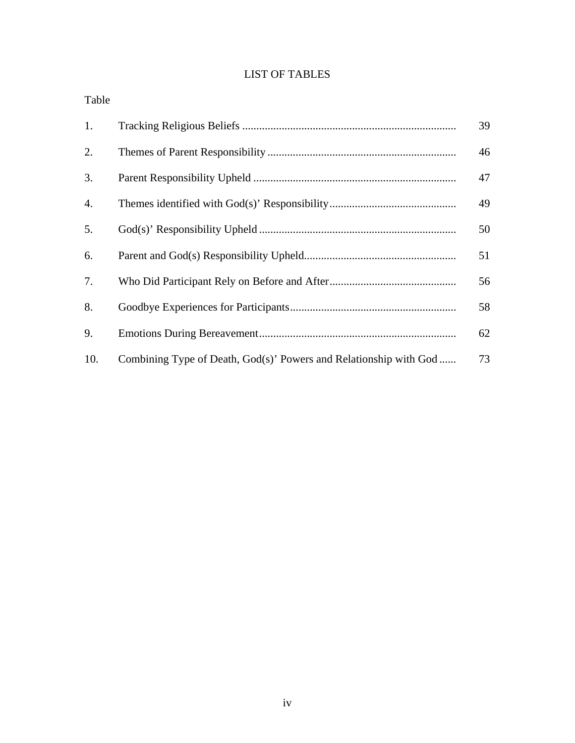# LIST OF TABLES

| Table |                                                                   |    |
|-------|-------------------------------------------------------------------|----|
| 1.    |                                                                   | 39 |
| 2.    |                                                                   | 46 |
| 3.    |                                                                   | 47 |
| 4.    |                                                                   | 49 |
| 5.    |                                                                   | 50 |
| 6.    |                                                                   | 51 |
| 7.    |                                                                   | 56 |
| 8.    |                                                                   | 58 |
| 9.    |                                                                   | 62 |
| 10.   | Combining Type of Death, God(s)' Powers and Relationship with God | 73 |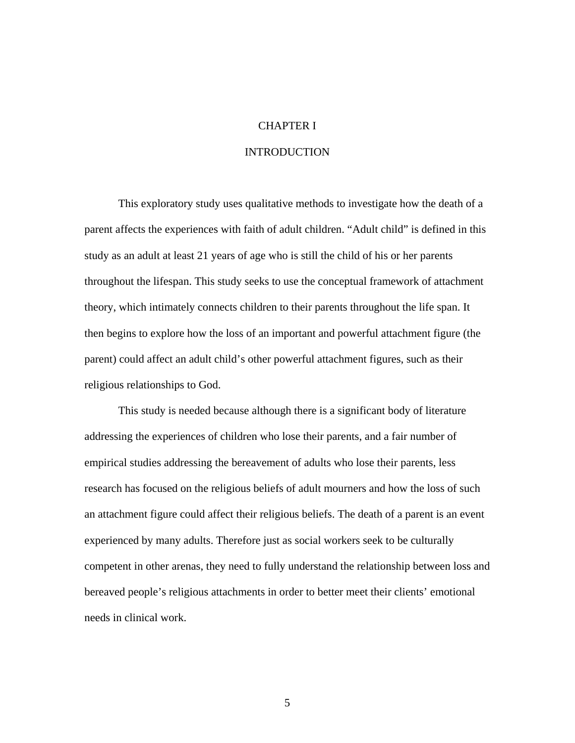# CHAPTER I

# **INTRODUCTION**

 This exploratory study uses qualitative methods to investigate how the death of a parent affects the experiences with faith of adult children. "Adult child" is defined in this study as an adult at least 21 years of age who is still the child of his or her parents throughout the lifespan. This study seeks to use the conceptual framework of attachment theory, which intimately connects children to their parents throughout the life span. It then begins to explore how the loss of an important and powerful attachment figure (the parent) could affect an adult child's other powerful attachment figures, such as their religious relationships to God.

This study is needed because although there is a significant body of literature addressing the experiences of children who lose their parents, and a fair number of empirical studies addressing the bereavement of adults who lose their parents, less research has focused on the religious beliefs of adult mourners and how the loss of such an attachment figure could affect their religious beliefs. The death of a parent is an event experienced by many adults. Therefore just as social workers seek to be culturally competent in other arenas, they need to fully understand the relationship between loss and bereaved people's religious attachments in order to better meet their clients' emotional needs in clinical work.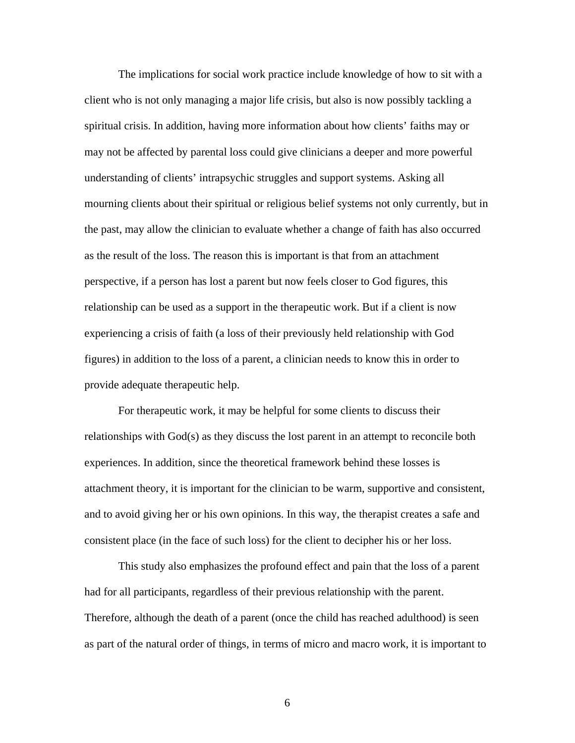The implications for social work practice include knowledge of how to sit with a client who is not only managing a major life crisis, but also is now possibly tackling a spiritual crisis. In addition, having more information about how clients' faiths may or may not be affected by parental loss could give clinicians a deeper and more powerful understanding of clients' intrapsychic struggles and support systems. Asking all mourning clients about their spiritual or religious belief systems not only currently, but in the past, may allow the clinician to evaluate whether a change of faith has also occurred as the result of the loss. The reason this is important is that from an attachment perspective, if a person has lost a parent but now feels closer to God figures, this relationship can be used as a support in the therapeutic work. But if a client is now experiencing a crisis of faith (a loss of their previously held relationship with God figures) in addition to the loss of a parent, a clinician needs to know this in order to provide adequate therapeutic help.

For therapeutic work, it may be helpful for some clients to discuss their relationships with God(s) as they discuss the lost parent in an attempt to reconcile both experiences. In addition, since the theoretical framework behind these losses is attachment theory, it is important for the clinician to be warm, supportive and consistent, and to avoid giving her or his own opinions. In this way, the therapist creates a safe and consistent place (in the face of such loss) for the client to decipher his or her loss.

 This study also emphasizes the profound effect and pain that the loss of a parent had for all participants, regardless of their previous relationship with the parent. Therefore, although the death of a parent (once the child has reached adulthood) is seen as part of the natural order of things, in terms of micro and macro work, it is important to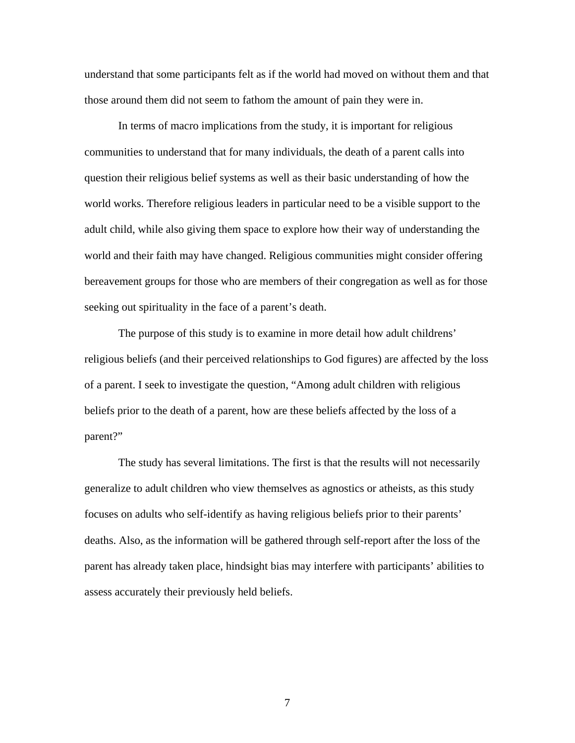understand that some participants felt as if the world had moved on without them and that those around them did not seem to fathom the amount of pain they were in.

In terms of macro implications from the study, it is important for religious communities to understand that for many individuals, the death of a parent calls into question their religious belief systems as well as their basic understanding of how the world works. Therefore religious leaders in particular need to be a visible support to the adult child, while also giving them space to explore how their way of understanding the world and their faith may have changed. Religious communities might consider offering bereavement groups for those who are members of their congregation as well as for those seeking out spirituality in the face of a parent's death.

 The purpose of this study is to examine in more detail how adult childrens' religious beliefs (and their perceived relationships to God figures) are affected by the loss of a parent. I seek to investigate the question, "Among adult children with religious beliefs prior to the death of a parent, how are these beliefs affected by the loss of a parent?"

 The study has several limitations. The first is that the results will not necessarily generalize to adult children who view themselves as agnostics or atheists, as this study focuses on adults who self-identify as having religious beliefs prior to their parents' deaths. Also, as the information will be gathered through self-report after the loss of the parent has already taken place, hindsight bias may interfere with participants' abilities to assess accurately their previously held beliefs.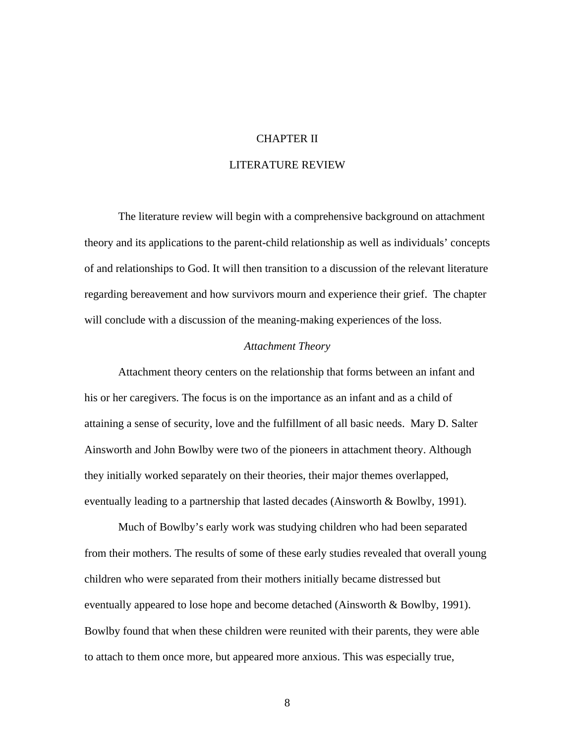# CHAPTER II

# LITERATURE REVIEW

The literature review will begin with a comprehensive background on attachment theory and its applications to the parent-child relationship as well as individuals' concepts of and relationships to God. It will then transition to a discussion of the relevant literature regarding bereavement and how survivors mourn and experience their grief. The chapter will conclude with a discussion of the meaning-making experiences of the loss.

#### *Attachment Theory*

 Attachment theory centers on the relationship that forms between an infant and his or her caregivers. The focus is on the importance as an infant and as a child of attaining a sense of security, love and the fulfillment of all basic needs. Mary D. Salter Ainsworth and John Bowlby were two of the pioneers in attachment theory. Although they initially worked separately on their theories, their major themes overlapped, eventually leading to a partnership that lasted decades (Ainsworth & Bowlby, 1991).

 Much of Bowlby's early work was studying children who had been separated from their mothers. The results of some of these early studies revealed that overall young children who were separated from their mothers initially became distressed but eventually appeared to lose hope and become detached (Ainsworth & Bowlby, 1991). Bowlby found that when these children were reunited with their parents, they were able to attach to them once more, but appeared more anxious. This was especially true,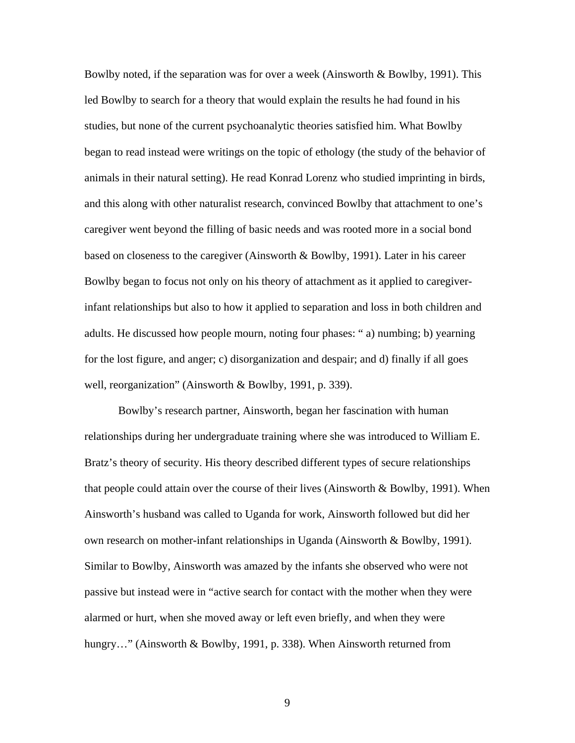Bowlby noted, if the separation was for over a week (Ainsworth & Bowlby, 1991). This led Bowlby to search for a theory that would explain the results he had found in his studies, but none of the current psychoanalytic theories satisfied him. What Bowlby began to read instead were writings on the topic of ethology (the study of the behavior of animals in their natural setting). He read Konrad Lorenz who studied imprinting in birds, and this along with other naturalist research, convinced Bowlby that attachment to one's caregiver went beyond the filling of basic needs and was rooted more in a social bond based on closeness to the caregiver (Ainsworth & Bowlby, 1991). Later in his career Bowlby began to focus not only on his theory of attachment as it applied to caregiverinfant relationships but also to how it applied to separation and loss in both children and adults. He discussed how people mourn, noting four phases: " a) numbing; b) yearning for the lost figure, and anger; c) disorganization and despair; and d) finally if all goes well, reorganization" (Ainsworth & Bowlby, 1991, p. 339).

Bowlby's research partner, Ainsworth, began her fascination with human relationships during her undergraduate training where she was introduced to William E. Bratz's theory of security. His theory described different types of secure relationships that people could attain over the course of their lives (Ainsworth  $\&$  Bowlby, 1991). When Ainsworth's husband was called to Uganda for work, Ainsworth followed but did her own research on mother-infant relationships in Uganda (Ainsworth & Bowlby, 1991). Similar to Bowlby, Ainsworth was amazed by the infants she observed who were not passive but instead were in "active search for contact with the mother when they were alarmed or hurt, when she moved away or left even briefly, and when they were hungry…" (Ainsworth & Bowlby, 1991, p. 338). When Ainsworth returned from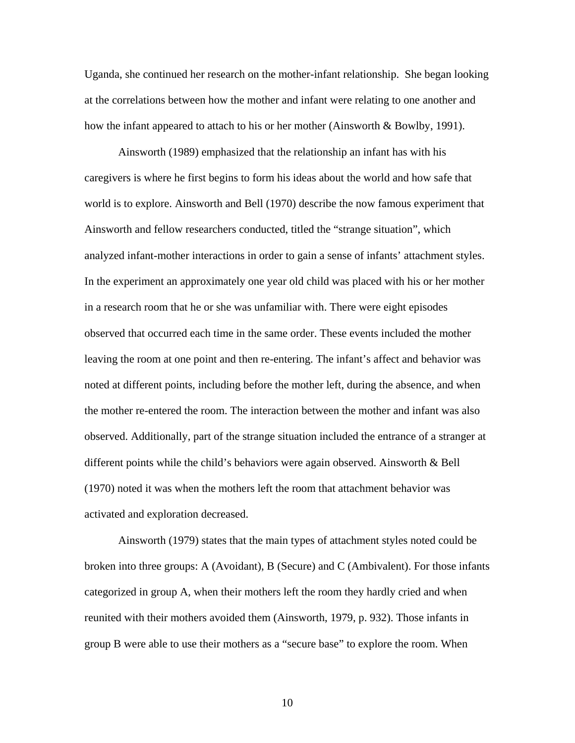Uganda, she continued her research on the mother-infant relationship. She began looking at the correlations between how the mother and infant were relating to one another and how the infant appeared to attach to his or her mother (Ainsworth & Bowlby, 1991).

 Ainsworth (1989) emphasized that the relationship an infant has with his caregivers is where he first begins to form his ideas about the world and how safe that world is to explore. Ainsworth and Bell (1970) describe the now famous experiment that Ainsworth and fellow researchers conducted, titled the "strange situation", which analyzed infant-mother interactions in order to gain a sense of infants' attachment styles. In the experiment an approximately one year old child was placed with his or her mother in a research room that he or she was unfamiliar with. There were eight episodes observed that occurred each time in the same order. These events included the mother leaving the room at one point and then re-entering. The infant's affect and behavior was noted at different points, including before the mother left, during the absence, and when the mother re-entered the room. The interaction between the mother and infant was also observed. Additionally, part of the strange situation included the entrance of a stranger at different points while the child's behaviors were again observed. Ainsworth & Bell (1970) noted it was when the mothers left the room that attachment behavior was activated and exploration decreased.

 Ainsworth (1979) states that the main types of attachment styles noted could be broken into three groups: A (Avoidant), B (Secure) and C (Ambivalent). For those infants categorized in group A, when their mothers left the room they hardly cried and when reunited with their mothers avoided them (Ainsworth, 1979, p. 932). Those infants in group B were able to use their mothers as a "secure base" to explore the room. When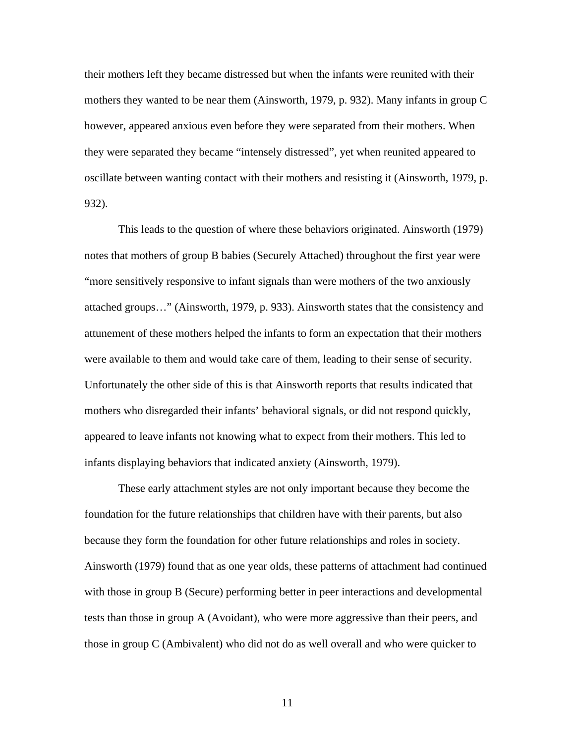their mothers left they became distressed but when the infants were reunited with their mothers they wanted to be near them (Ainsworth, 1979, p. 932). Many infants in group C however, appeared anxious even before they were separated from their mothers. When they were separated they became "intensely distressed", yet when reunited appeared to oscillate between wanting contact with their mothers and resisting it (Ainsworth, 1979, p. 932).

 This leads to the question of where these behaviors originated. Ainsworth (1979) notes that mothers of group B babies (Securely Attached) throughout the first year were "more sensitively responsive to infant signals than were mothers of the two anxiously attached groups…" (Ainsworth, 1979, p. 933). Ainsworth states that the consistency and attunement of these mothers helped the infants to form an expectation that their mothers were available to them and would take care of them, leading to their sense of security. Unfortunately the other side of this is that Ainsworth reports that results indicated that mothers who disregarded their infants' behavioral signals, or did not respond quickly, appeared to leave infants not knowing what to expect from their mothers. This led to infants displaying behaviors that indicated anxiety (Ainsworth, 1979).

These early attachment styles are not only important because they become the foundation for the future relationships that children have with their parents, but also because they form the foundation for other future relationships and roles in society. Ainsworth (1979) found that as one year olds, these patterns of attachment had continued with those in group B (Secure) performing better in peer interactions and developmental tests than those in group A (Avoidant), who were more aggressive than their peers, and those in group C (Ambivalent) who did not do as well overall and who were quicker to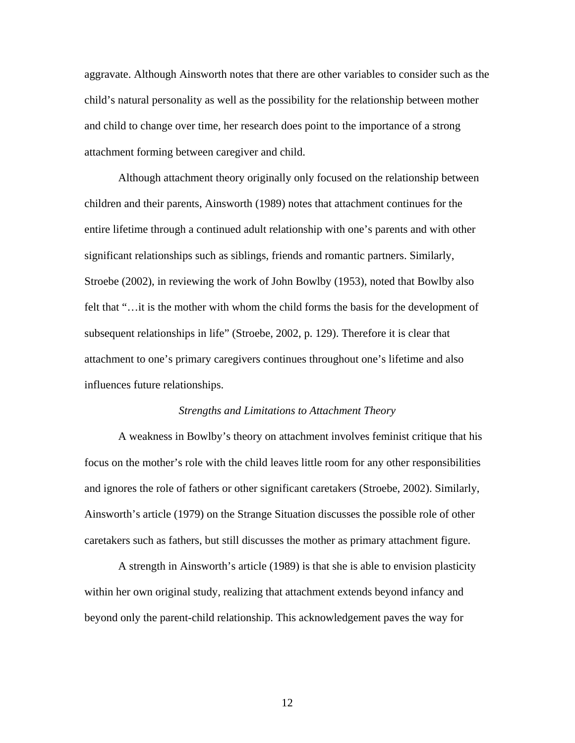aggravate. Although Ainsworth notes that there are other variables to consider such as the child's natural personality as well as the possibility for the relationship between mother and child to change over time, her research does point to the importance of a strong attachment forming between caregiver and child.

 Although attachment theory originally only focused on the relationship between children and their parents, Ainsworth (1989) notes that attachment continues for the entire lifetime through a continued adult relationship with one's parents and with other significant relationships such as siblings, friends and romantic partners. Similarly, Stroebe (2002), in reviewing the work of John Bowlby (1953), noted that Bowlby also felt that "…it is the mother with whom the child forms the basis for the development of subsequent relationships in life" (Stroebe, 2002, p. 129). Therefore it is clear that attachment to one's primary caregivers continues throughout one's lifetime and also influences future relationships.

#### *Strengths and Limitations to Attachment Theory*

 A weakness in Bowlby's theory on attachment involves feminist critique that his focus on the mother's role with the child leaves little room for any other responsibilities and ignores the role of fathers or other significant caretakers (Stroebe, 2002). Similarly, Ainsworth's article (1979) on the Strange Situation discusses the possible role of other caretakers such as fathers, but still discusses the mother as primary attachment figure.

 A strength in Ainsworth's article (1989) is that she is able to envision plasticity within her own original study, realizing that attachment extends beyond infancy and beyond only the parent-child relationship. This acknowledgement paves the way for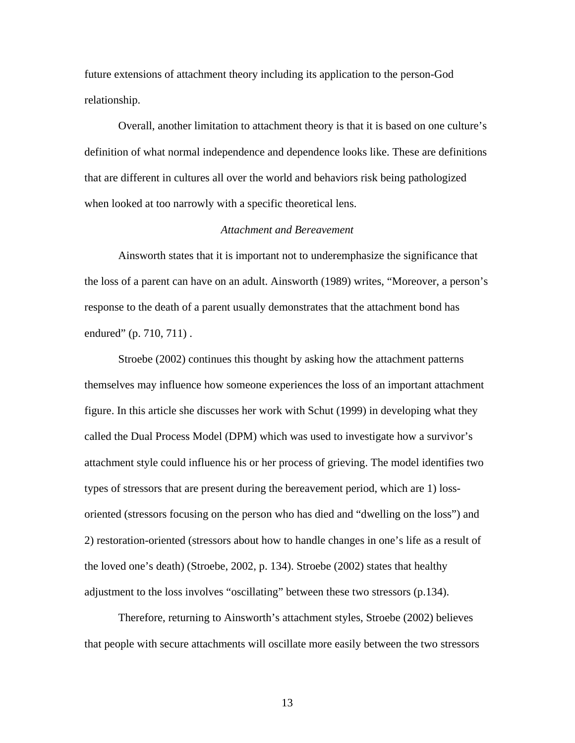future extensions of attachment theory including its application to the person-God relationship.

 Overall, another limitation to attachment theory is that it is based on one culture's definition of what normal independence and dependence looks like. These are definitions that are different in cultures all over the world and behaviors risk being pathologized when looked at too narrowly with a specific theoretical lens.

# *Attachment and Bereavement*

Ainsworth states that it is important not to underemphasize the significance that the loss of a parent can have on an adult. Ainsworth (1989) writes, "Moreover, a person's response to the death of a parent usually demonstrates that the attachment bond has endured" (p. 710, 711).

Stroebe (2002) continues this thought by asking how the attachment patterns themselves may influence how someone experiences the loss of an important attachment figure. In this article she discusses her work with Schut (1999) in developing what they called the Dual Process Model (DPM) which was used to investigate how a survivor's attachment style could influence his or her process of grieving. The model identifies two types of stressors that are present during the bereavement period, which are 1) lossoriented (stressors focusing on the person who has died and "dwelling on the loss") and 2) restoration-oriented (stressors about how to handle changes in one's life as a result of the loved one's death) (Stroebe, 2002, p. 134). Stroebe (2002) states that healthy adjustment to the loss involves "oscillating" between these two stressors (p.134).

Therefore, returning to Ainsworth's attachment styles, Stroebe (2002) believes that people with secure attachments will oscillate more easily between the two stressors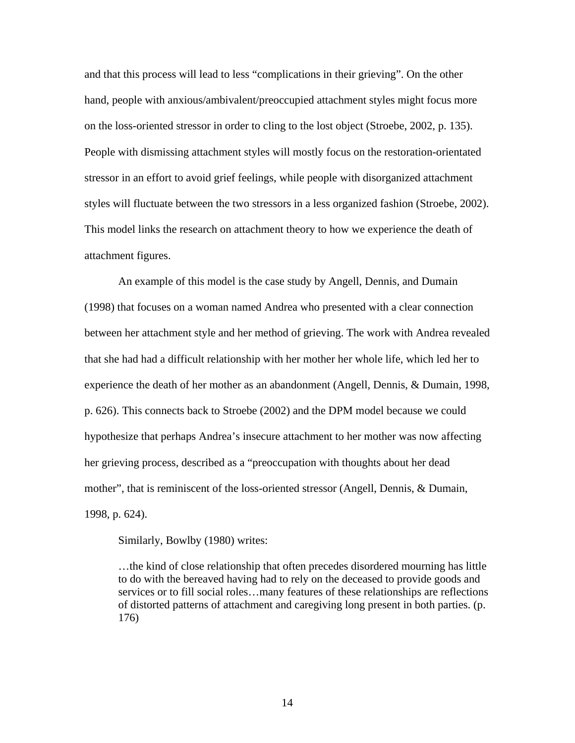and that this process will lead to less "complications in their grieving". On the other hand, people with anxious/ambivalent/preoccupied attachment styles might focus more on the loss-oriented stressor in order to cling to the lost object (Stroebe, 2002, p. 135). People with dismissing attachment styles will mostly focus on the restoration-orientated stressor in an effort to avoid grief feelings, while people with disorganized attachment styles will fluctuate between the two stressors in a less organized fashion (Stroebe, 2002). This model links the research on attachment theory to how we experience the death of attachment figures.

An example of this model is the case study by Angell, Dennis, and Dumain (1998) that focuses on a woman named Andrea who presented with a clear connection between her attachment style and her method of grieving. The work with Andrea revealed that she had had a difficult relationship with her mother her whole life, which led her to experience the death of her mother as an abandonment (Angell, Dennis, & Dumain, 1998, p. 626). This connects back to Stroebe (2002) and the DPM model because we could hypothesize that perhaps Andrea's insecure attachment to her mother was now affecting her grieving process, described as a "preoccupation with thoughts about her dead mother", that is reminiscent of the loss-oriented stressor (Angell, Dennis, & Dumain, 1998, p. 624).

Similarly, Bowlby (1980) writes:

…the kind of close relationship that often precedes disordered mourning has little to do with the bereaved having had to rely on the deceased to provide goods and services or to fill social roles…many features of these relationships are reflections of distorted patterns of attachment and caregiving long present in both parties. (p. 176)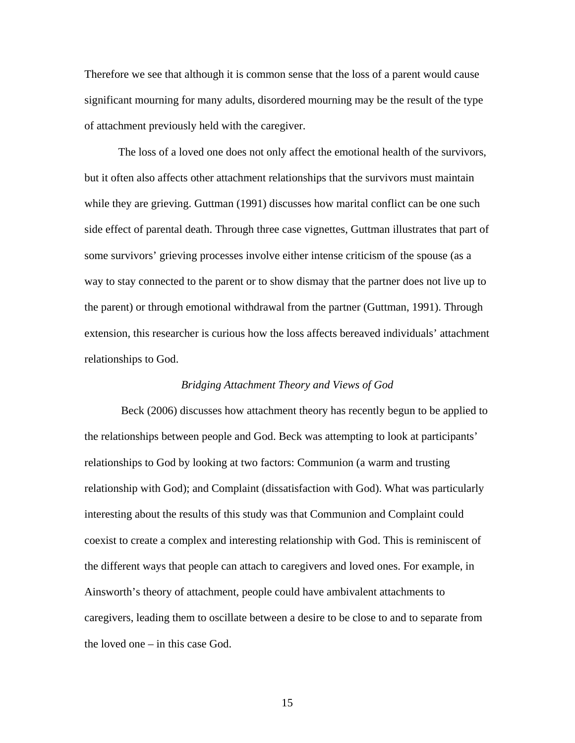Therefore we see that although it is common sense that the loss of a parent would cause significant mourning for many adults, disordered mourning may be the result of the type of attachment previously held with the caregiver.

The loss of a loved one does not only affect the emotional health of the survivors, but it often also affects other attachment relationships that the survivors must maintain while they are grieving. Guttman (1991) discusses how marital conflict can be one such side effect of parental death. Through three case vignettes, Guttman illustrates that part of some survivors' grieving processes involve either intense criticism of the spouse (as a way to stay connected to the parent or to show dismay that the partner does not live up to the parent) or through emotional withdrawal from the partner (Guttman, 1991). Through extension, this researcher is curious how the loss affects bereaved individuals' attachment relationships to God.

#### *Bridging Attachment Theory and Views of God*

 Beck (2006) discusses how attachment theory has recently begun to be applied to the relationships between people and God. Beck was attempting to look at participants' relationships to God by looking at two factors: Communion (a warm and trusting relationship with God); and Complaint (dissatisfaction with God). What was particularly interesting about the results of this study was that Communion and Complaint could coexist to create a complex and interesting relationship with God. This is reminiscent of the different ways that people can attach to caregivers and loved ones. For example, in Ainsworth's theory of attachment, people could have ambivalent attachments to caregivers, leading them to oscillate between a desire to be close to and to separate from the loved one – in this case God.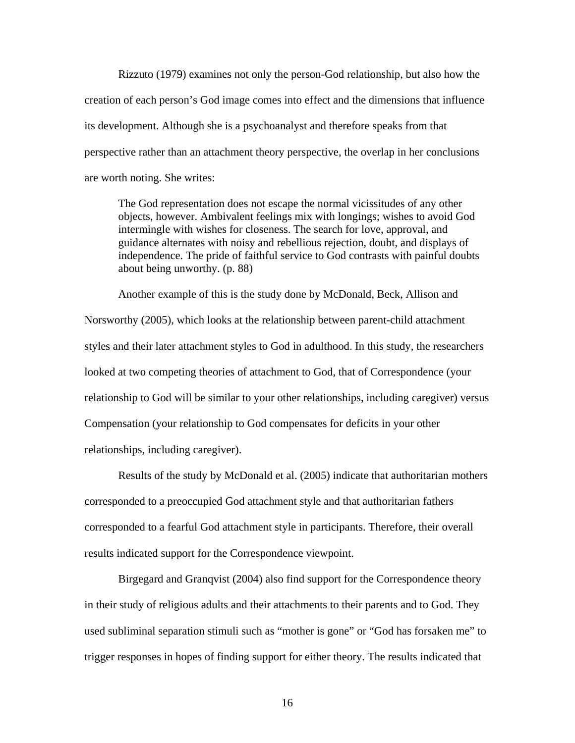Rizzuto (1979) examines not only the person-God relationship, but also how the creation of each person's God image comes into effect and the dimensions that influence its development. Although she is a psychoanalyst and therefore speaks from that perspective rather than an attachment theory perspective, the overlap in her conclusions are worth noting. She writes:

The God representation does not escape the normal vicissitudes of any other objects, however. Ambivalent feelings mix with longings; wishes to avoid God intermingle with wishes for closeness. The search for love, approval, and guidance alternates with noisy and rebellious rejection, doubt, and displays of independence. The pride of faithful service to God contrasts with painful doubts about being unworthy. (p. 88)

Another example of this is the study done by McDonald, Beck, Allison and Norsworthy (2005), which looks at the relationship between parent-child attachment styles and their later attachment styles to God in adulthood. In this study, the researchers looked at two competing theories of attachment to God, that of Correspondence (your relationship to God will be similar to your other relationships, including caregiver) versus Compensation (your relationship to God compensates for deficits in your other relationships, including caregiver).

Results of the study by McDonald et al. (2005) indicate that authoritarian mothers corresponded to a preoccupied God attachment style and that authoritarian fathers corresponded to a fearful God attachment style in participants. Therefore, their overall results indicated support for the Correspondence viewpoint.

Birgegard and Granqvist (2004) also find support for the Correspondence theory in their study of religious adults and their attachments to their parents and to God. They used subliminal separation stimuli such as "mother is gone" or "God has forsaken me" to trigger responses in hopes of finding support for either theory. The results indicated that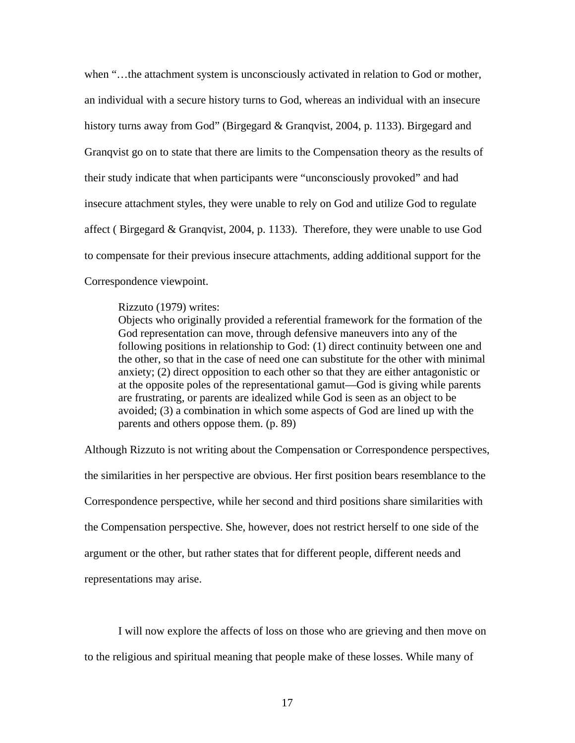when "…the attachment system is unconsciously activated in relation to God or mother, an individual with a secure history turns to God, whereas an individual with an insecure history turns away from God" (Birgegard & Granqvist, 2004, p. 1133). Birgegard and Granqvist go on to state that there are limits to the Compensation theory as the results of their study indicate that when participants were "unconsciously provoked" and had insecure attachment styles, they were unable to rely on God and utilize God to regulate affect ( Birgegard & Granqvist, 2004, p. 1133). Therefore, they were unable to use God to compensate for their previous insecure attachments, adding additional support for the Correspondence viewpoint.

#### Rizzuto (1979) writes:

Objects who originally provided a referential framework for the formation of the God representation can move, through defensive maneuvers into any of the following positions in relationship to God: (1) direct continuity between one and the other, so that in the case of need one can substitute for the other with minimal anxiety; (2) direct opposition to each other so that they are either antagonistic or at the opposite poles of the representational gamut—God is giving while parents are frustrating, or parents are idealized while God is seen as an object to be avoided; (3) a combination in which some aspects of God are lined up with the parents and others oppose them. (p. 89)

Although Rizzuto is not writing about the Compensation or Correspondence perspectives, the similarities in her perspective are obvious. Her first position bears resemblance to the Correspondence perspective, while her second and third positions share similarities with the Compensation perspective. She, however, does not restrict herself to one side of the argument or the other, but rather states that for different people, different needs and representations may arise.

 I will now explore the affects of loss on those who are grieving and then move on to the religious and spiritual meaning that people make of these losses. While many of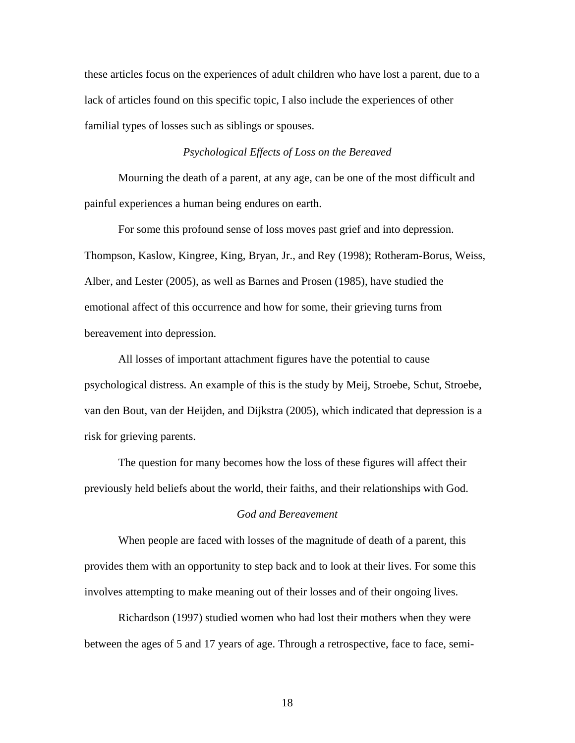these articles focus on the experiences of adult children who have lost a parent, due to a lack of articles found on this specific topic, I also include the experiences of other familial types of losses such as siblings or spouses.

#### *Psychological Effects of Loss on the Bereaved*

Mourning the death of a parent, at any age, can be one of the most difficult and painful experiences a human being endures on earth.

For some this profound sense of loss moves past grief and into depression. Thompson, Kaslow, Kingree, King, Bryan, Jr., and Rey (1998); Rotheram-Borus, Weiss, Alber, and Lester (2005), as well as Barnes and Prosen (1985), have studied the emotional affect of this occurrence and how for some, their grieving turns from bereavement into depression.

All losses of important attachment figures have the potential to cause psychological distress. An example of this is the study by Meij, Stroebe, Schut, Stroebe, van den Bout, van der Heijden, and Dijkstra (2005), which indicated that depression is a risk for grieving parents.

The question for many becomes how the loss of these figures will affect their previously held beliefs about the world, their faiths, and their relationships with God.

# *God and Bereavement*

When people are faced with losses of the magnitude of death of a parent, this provides them with an opportunity to step back and to look at their lives. For some this involves attempting to make meaning out of their losses and of their ongoing lives.

Richardson (1997) studied women who had lost their mothers when they were between the ages of 5 and 17 years of age. Through a retrospective, face to face, semi-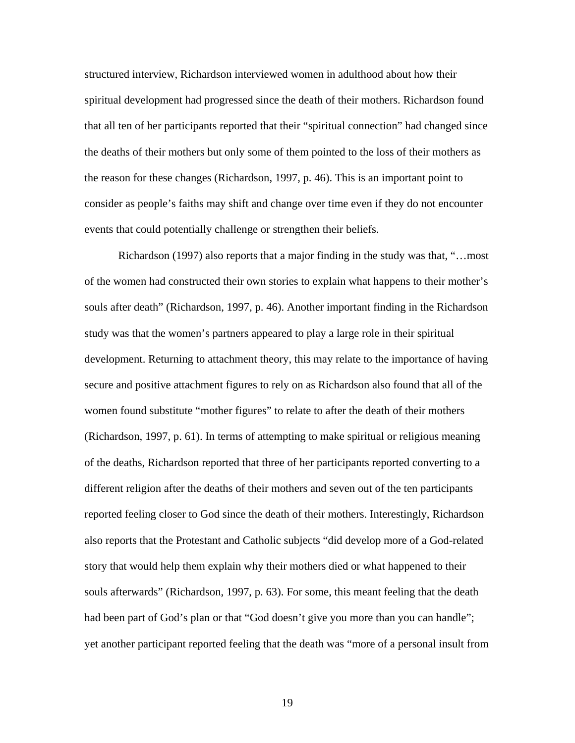structured interview, Richardson interviewed women in adulthood about how their spiritual development had progressed since the death of their mothers. Richardson found that all ten of her participants reported that their "spiritual connection" had changed since the deaths of their mothers but only some of them pointed to the loss of their mothers as the reason for these changes (Richardson, 1997, p. 46). This is an important point to consider as people's faiths may shift and change over time even if they do not encounter events that could potentially challenge or strengthen their beliefs.

Richardson (1997) also reports that a major finding in the study was that, "…most of the women had constructed their own stories to explain what happens to their mother's souls after death" (Richardson, 1997, p. 46). Another important finding in the Richardson study was that the women's partners appeared to play a large role in their spiritual development. Returning to attachment theory, this may relate to the importance of having secure and positive attachment figures to rely on as Richardson also found that all of the women found substitute "mother figures" to relate to after the death of their mothers (Richardson, 1997, p. 61). In terms of attempting to make spiritual or religious meaning of the deaths, Richardson reported that three of her participants reported converting to a different religion after the deaths of their mothers and seven out of the ten participants reported feeling closer to God since the death of their mothers. Interestingly, Richardson also reports that the Protestant and Catholic subjects "did develop more of a God-related story that would help them explain why their mothers died or what happened to their souls afterwards" (Richardson, 1997, p. 63). For some, this meant feeling that the death had been part of God's plan or that "God doesn't give you more than you can handle"; yet another participant reported feeling that the death was "more of a personal insult from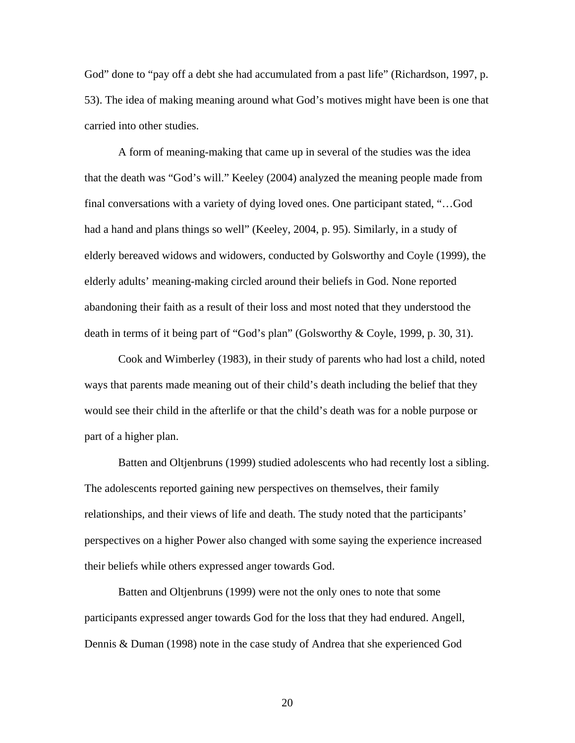God" done to "pay off a debt she had accumulated from a past life" (Richardson, 1997, p. 53). The idea of making meaning around what God's motives might have been is one that carried into other studies.

A form of meaning-making that came up in several of the studies was the idea that the death was "God's will." Keeley (2004) analyzed the meaning people made from final conversations with a variety of dying loved ones. One participant stated, "…God had a hand and plans things so well" (Keeley, 2004, p. 95). Similarly, in a study of elderly bereaved widows and widowers, conducted by Golsworthy and Coyle (1999), the elderly adults' meaning-making circled around their beliefs in God. None reported abandoning their faith as a result of their loss and most noted that they understood the death in terms of it being part of "God's plan" (Golsworthy & Coyle, 1999, p. 30, 31).

Cook and Wimberley (1983), in their study of parents who had lost a child, noted ways that parents made meaning out of their child's death including the belief that they would see their child in the afterlife or that the child's death was for a noble purpose or part of a higher plan.

Batten and Oltjenbruns (1999) studied adolescents who had recently lost a sibling. The adolescents reported gaining new perspectives on themselves, their family relationships, and their views of life and death. The study noted that the participants' perspectives on a higher Power also changed with some saying the experience increased their beliefs while others expressed anger towards God.

Batten and Oltjenbruns (1999) were not the only ones to note that some participants expressed anger towards God for the loss that they had endured. Angell, Dennis & Duman (1998) note in the case study of Andrea that she experienced God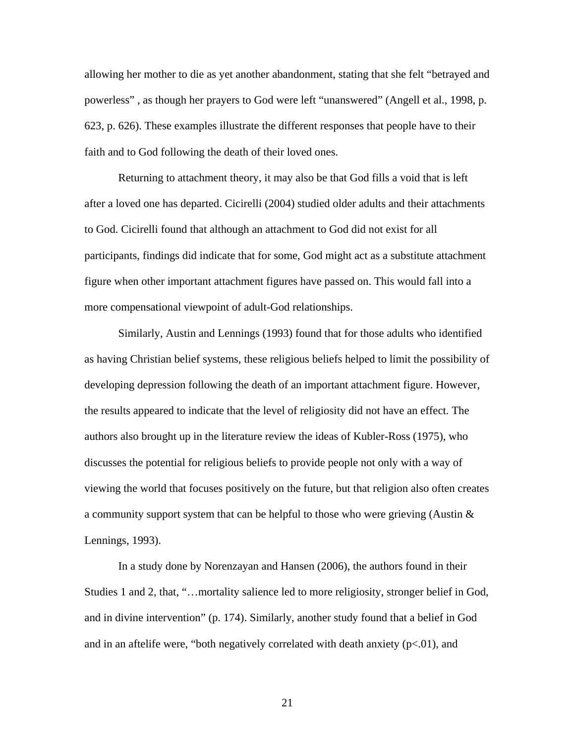allowing her mother to die as yet another abandonment, stating that she felt "betrayed and powerless" , as though her prayers to God were left "unanswered" (Angell et al., 1998, p. 623, p. 626). These examples illustrate the different responses that people have to their faith and to God following the death of their loved ones.

Returning to attachment theory, it may also be that God fills a void that is left after a loved one has departed. Cicirelli (2004) studied older adults and their attachments to God. Cicirelli found that although an attachment to God did not exist for all participants, findings did indicate that for some, God might act as a substitute attachment figure when other important attachment figures have passed on. This would fall into a more compensational viewpoint of adult-God relationships.

Similarly, Austin and Lennings (1993) found that for those adults who identified as having Christian belief systems, these religious beliefs helped to limit the possibility of developing depression following the death of an important attachment figure. However, the results appeared to indicate that the level of religiosity did not have an effect. The authors also brought up in the literature review the ideas of Kubler-Ross (1975), who discusses the potential for religious beliefs to provide people not only with a way of viewing the world that focuses positively on the future, but that religion also often creates a community support system that can be helpful to those who were grieving (Austin & Lennings, 1993).

In a study done by Norenzayan and Hansen (2006), the authors found in their Studies 1 and 2, that, "…mortality salience led to more religiosity, stronger belief in God, and in divine intervention" (p. 174). Similarly, another study found that a belief in God and in an aftelife were, "both negatively correlated with death anxiety  $(p<0.01)$ , and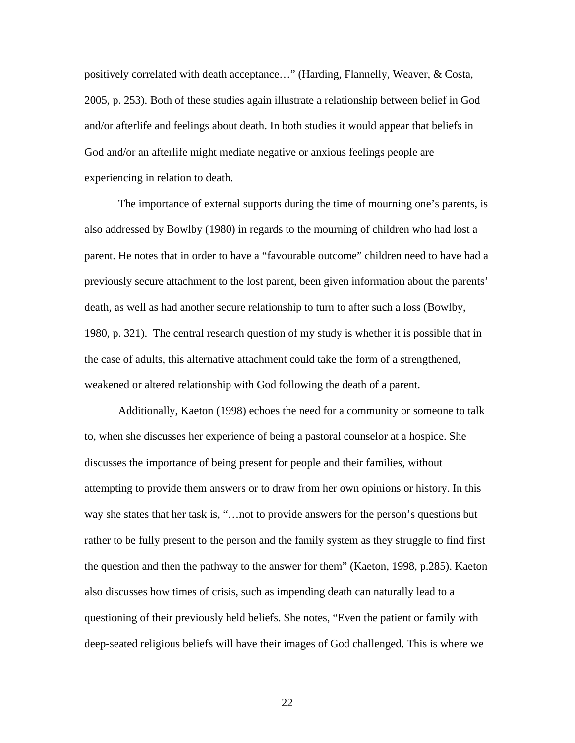positively correlated with death acceptance…" (Harding, Flannelly, Weaver, & Costa, 2005, p. 253). Both of these studies again illustrate a relationship between belief in God and/or afterlife and feelings about death. In both studies it would appear that beliefs in God and/or an afterlife might mediate negative or anxious feelings people are experiencing in relation to death.

The importance of external supports during the time of mourning one's parents, is also addressed by Bowlby (1980) in regards to the mourning of children who had lost a parent. He notes that in order to have a "favourable outcome" children need to have had a previously secure attachment to the lost parent, been given information about the parents' death, as well as had another secure relationship to turn to after such a loss (Bowlby, 1980, p. 321). The central research question of my study is whether it is possible that in the case of adults, this alternative attachment could take the form of a strengthened, weakened or altered relationship with God following the death of a parent.

Additionally, Kaeton (1998) echoes the need for a community or someone to talk to, when she discusses her experience of being a pastoral counselor at a hospice. She discusses the importance of being present for people and their families, without attempting to provide them answers or to draw from her own opinions or history. In this way she states that her task is, "…not to provide answers for the person's questions but rather to be fully present to the person and the family system as they struggle to find first the question and then the pathway to the answer for them" (Kaeton, 1998, p.285). Kaeton also discusses how times of crisis, such as impending death can naturally lead to a questioning of their previously held beliefs. She notes, "Even the patient or family with deep-seated religious beliefs will have their images of God challenged. This is where we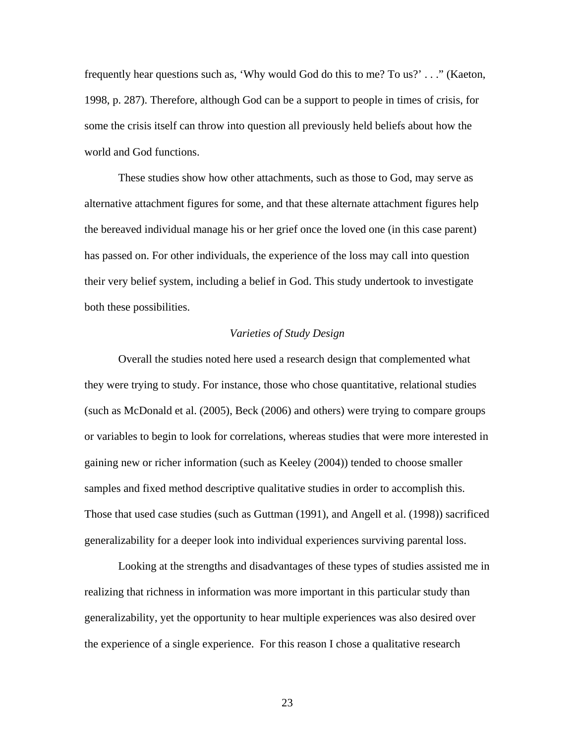frequently hear questions such as, 'Why would God do this to me? To us?' . . ." (Kaeton, 1998, p. 287). Therefore, although God can be a support to people in times of crisis, for some the crisis itself can throw into question all previously held beliefs about how the world and God functions.

These studies show how other attachments, such as those to God, may serve as alternative attachment figures for some, and that these alternate attachment figures help the bereaved individual manage his or her grief once the loved one (in this case parent) has passed on. For other individuals, the experience of the loss may call into question their very belief system, including a belief in God. This study undertook to investigate both these possibilities.

# *Varieties of Study Design*

Overall the studies noted here used a research design that complemented what they were trying to study. For instance, those who chose quantitative, relational studies (such as McDonald et al. (2005), Beck (2006) and others) were trying to compare groups or variables to begin to look for correlations, whereas studies that were more interested in gaining new or richer information (such as Keeley (2004)) tended to choose smaller samples and fixed method descriptive qualitative studies in order to accomplish this. Those that used case studies (such as Guttman (1991), and Angell et al. (1998)) sacrificed generalizability for a deeper look into individual experiences surviving parental loss.

Looking at the strengths and disadvantages of these types of studies assisted me in realizing that richness in information was more important in this particular study than generalizability, yet the opportunity to hear multiple experiences was also desired over the experience of a single experience. For this reason I chose a qualitative research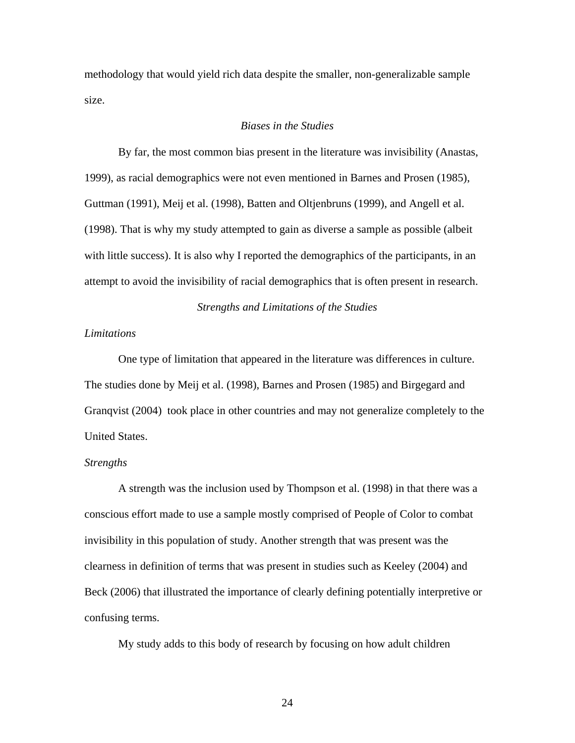methodology that would yield rich data despite the smaller, non-generalizable sample size.

#### *Biases in the Studies*

 By far, the most common bias present in the literature was invisibility (Anastas, 1999), as racial demographics were not even mentioned in Barnes and Prosen (1985), Guttman (1991), Meij et al. (1998), Batten and Oltjenbruns (1999), and Angell et al. (1998). That is why my study attempted to gain as diverse a sample as possible (albeit with little success). It is also why I reported the demographics of the participants, in an attempt to avoid the invisibility of racial demographics that is often present in research.

#### *Strengths and Limitations of the Studies*

#### *Limitations*

One type of limitation that appeared in the literature was differences in culture. The studies done by Meij et al. (1998), Barnes and Prosen (1985) and Birgegard and Granqvist (2004) took place in other countries and may not generalize completely to the United States.

#### *Strengths*

 A strength was the inclusion used by Thompson et al. (1998) in that there was a conscious effort made to use a sample mostly comprised of People of Color to combat invisibility in this population of study. Another strength that was present was the clearness in definition of terms that was present in studies such as Keeley (2004) and Beck (2006) that illustrated the importance of clearly defining potentially interpretive or confusing terms.

My study adds to this body of research by focusing on how adult children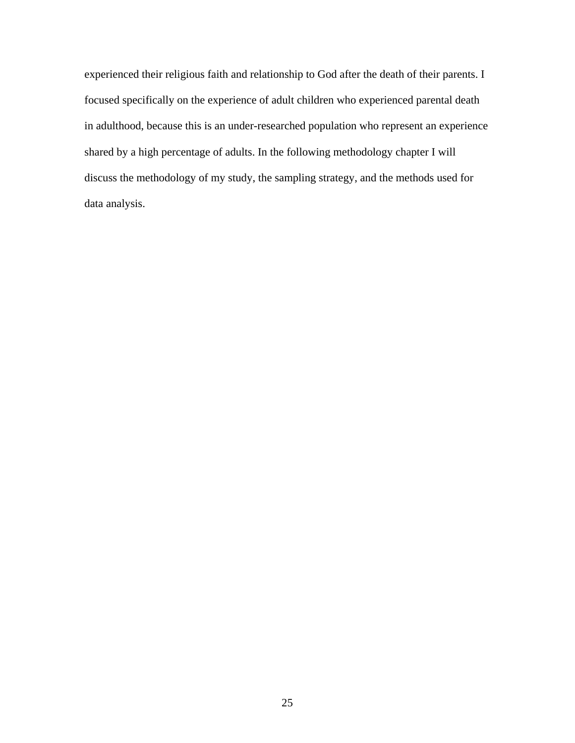experienced their religious faith and relationship to God after the death of their parents. I focused specifically on the experience of adult children who experienced parental death in adulthood, because this is an under-researched population who represent an experience shared by a high percentage of adults. In the following methodology chapter I will discuss the methodology of my study, the sampling strategy, and the methods used for data analysis.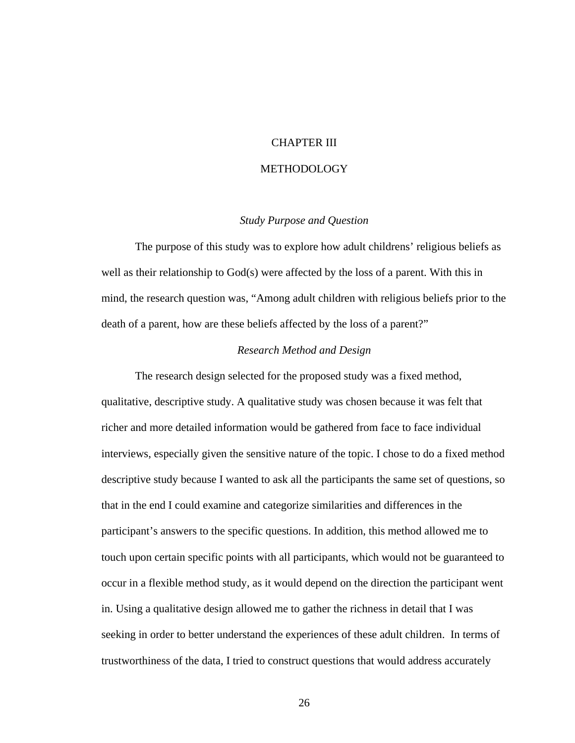#### CHAPTER III

#### METHODOLOGY

#### *Study Purpose and Question*

The purpose of this study was to explore how adult childrens' religious beliefs as well as their relationship to God(s) were affected by the loss of a parent. With this in mind, the research question was, "Among adult children with religious beliefs prior to the death of a parent, how are these beliefs affected by the loss of a parent?"

#### *Research Method and Design*

 The research design selected for the proposed study was a fixed method, qualitative, descriptive study. A qualitative study was chosen because it was felt that richer and more detailed information would be gathered from face to face individual interviews, especially given the sensitive nature of the topic. I chose to do a fixed method descriptive study because I wanted to ask all the participants the same set of questions, so that in the end I could examine and categorize similarities and differences in the participant's answers to the specific questions. In addition, this method allowed me to touch upon certain specific points with all participants, which would not be guaranteed to occur in a flexible method study, as it would depend on the direction the participant went in. Using a qualitative design allowed me to gather the richness in detail that I was seeking in order to better understand the experiences of these adult children. In terms of trustworthiness of the data, I tried to construct questions that would address accurately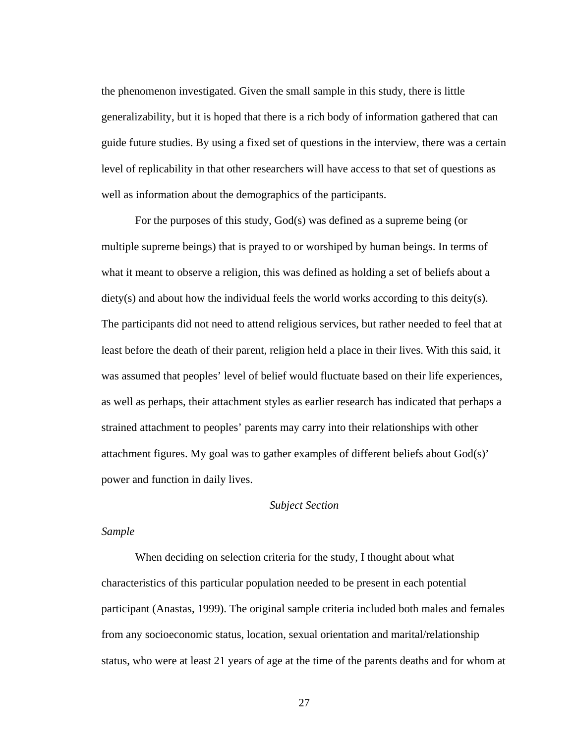the phenomenon investigated. Given the small sample in this study, there is little generalizability, but it is hoped that there is a rich body of information gathered that can guide future studies. By using a fixed set of questions in the interview, there was a certain level of replicability in that other researchers will have access to that set of questions as well as information about the demographics of the participants.

For the purposes of this study, God(s) was defined as a supreme being (or multiple supreme beings) that is prayed to or worshiped by human beings. In terms of what it meant to observe a religion, this was defined as holding a set of beliefs about a diety(s) and about how the individual feels the world works according to this deity(s). The participants did not need to attend religious services, but rather needed to feel that at least before the death of their parent, religion held a place in their lives. With this said, it was assumed that peoples' level of belief would fluctuate based on their life experiences, as well as perhaps, their attachment styles as earlier research has indicated that perhaps a strained attachment to peoples' parents may carry into their relationships with other attachment figures. My goal was to gather examples of different beliefs about God(s)' power and function in daily lives.

# *Subject Section*

#### *Sample*

When deciding on selection criteria for the study, I thought about what characteristics of this particular population needed to be present in each potential participant (Anastas, 1999). The original sample criteria included both males and females from any socioeconomic status, location, sexual orientation and marital/relationship status, who were at least 21 years of age at the time of the parents deaths and for whom at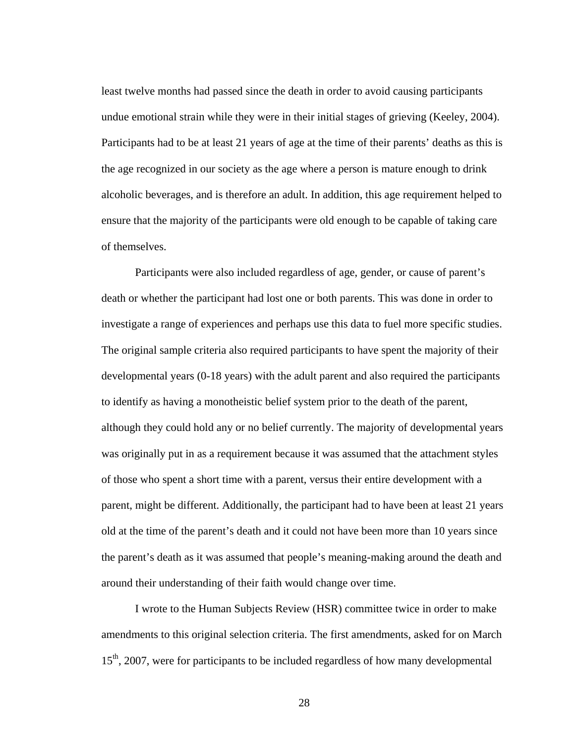least twelve months had passed since the death in order to avoid causing participants undue emotional strain while they were in their initial stages of grieving (Keeley, 2004). Participants had to be at least 21 years of age at the time of their parents' deaths as this is the age recognized in our society as the age where a person is mature enough to drink alcoholic beverages, and is therefore an adult. In addition, this age requirement helped to ensure that the majority of the participants were old enough to be capable of taking care of themselves.

Participants were also included regardless of age, gender, or cause of parent's death or whether the participant had lost one or both parents. This was done in order to investigate a range of experiences and perhaps use this data to fuel more specific studies. The original sample criteria also required participants to have spent the majority of their developmental years (0-18 years) with the adult parent and also required the participants to identify as having a monotheistic belief system prior to the death of the parent, although they could hold any or no belief currently. The majority of developmental years was originally put in as a requirement because it was assumed that the attachment styles of those who spent a short time with a parent, versus their entire development with a parent, might be different. Additionally, the participant had to have been at least 21 years old at the time of the parent's death and it could not have been more than 10 years since the parent's death as it was assumed that people's meaning-making around the death and around their understanding of their faith would change over time.

 I wrote to the Human Subjects Review (HSR) committee twice in order to make amendments to this original selection criteria. The first amendments, asked for on March 15<sup>th</sup>, 2007, were for participants to be included regardless of how many developmental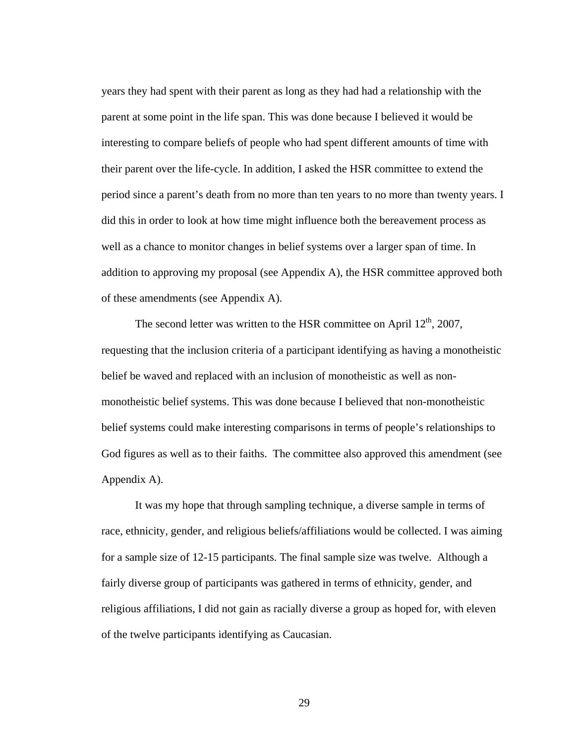years they had spent with their parent as long as they had had a relationship with the parent at some point in the life span. This was done because I believed it would be interesting to compare beliefs of people who had spent different amounts of time with their parent over the life-cycle. In addition, I asked the HSR committee to extend the period since a parent's death from no more than ten years to no more than twenty years. I did this in order to look at how time might influence both the bereavement process as well as a chance to monitor changes in belief systems over a larger span of time. In addition to approving my proposal (see Appendix A), the HSR committee approved both of these amendments (see Appendix A).

The second letter was written to the HSR committee on April  $12<sup>th</sup>$ , 2007, requesting that the inclusion criteria of a participant identifying as having a monotheistic belief be waved and replaced with an inclusion of monotheistic as well as nonmonotheistic belief systems. This was done because I believed that non-monotheistic belief systems could make interesting comparisons in terms of people's relationships to God figures as well as to their faiths. The committee also approved this amendment (see Appendix A).

It was my hope that through sampling technique, a diverse sample in terms of race, ethnicity, gender, and religious beliefs/affiliations would be collected. I was aiming for a sample size of 12-15 participants. The final sample size was twelve. Although a fairly diverse group of participants was gathered in terms of ethnicity, gender, and religious affiliations, I did not gain as racially diverse a group as hoped for, with eleven of the twelve participants identifying as Caucasian.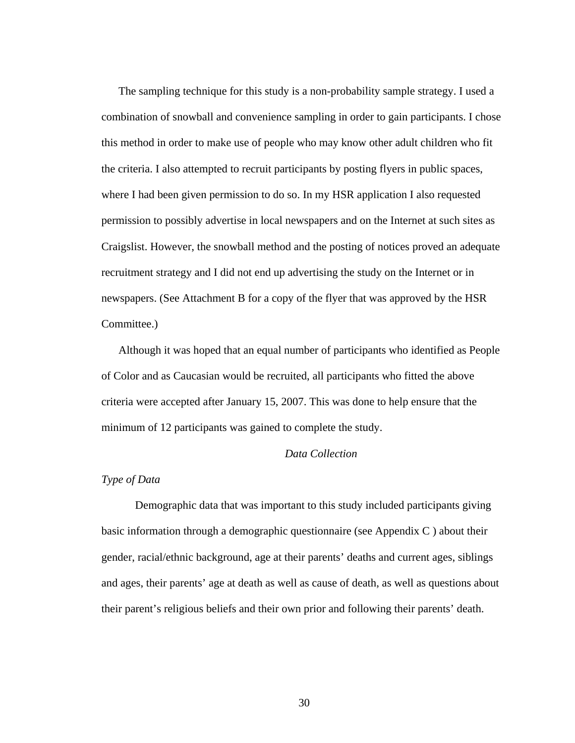The sampling technique for this study is a non-probability sample strategy. I used a combination of snowball and convenience sampling in order to gain participants. I chose this method in order to make use of people who may know other adult children who fit the criteria. I also attempted to recruit participants by posting flyers in public spaces, where I had been given permission to do so. In my HSR application I also requested permission to possibly advertise in local newspapers and on the Internet at such sites as Craigslist. However, the snowball method and the posting of notices proved an adequate recruitment strategy and I did not end up advertising the study on the Internet or in newspapers. (See Attachment B for a copy of the flyer that was approved by the HSR Committee.)

 Although it was hoped that an equal number of participants who identified as People of Color and as Caucasian would be recruited, all participants who fitted the above criteria were accepted after January 15, 2007. This was done to help ensure that the minimum of 12 participants was gained to complete the study.

#### *Data Collection*

# *Type of Data*

 Demographic data that was important to this study included participants giving basic information through a demographic questionnaire (see Appendix C ) about their gender, racial/ethnic background, age at their parents' deaths and current ages, siblings and ages, their parents' age at death as well as cause of death, as well as questions about their parent's religious beliefs and their own prior and following their parents' death.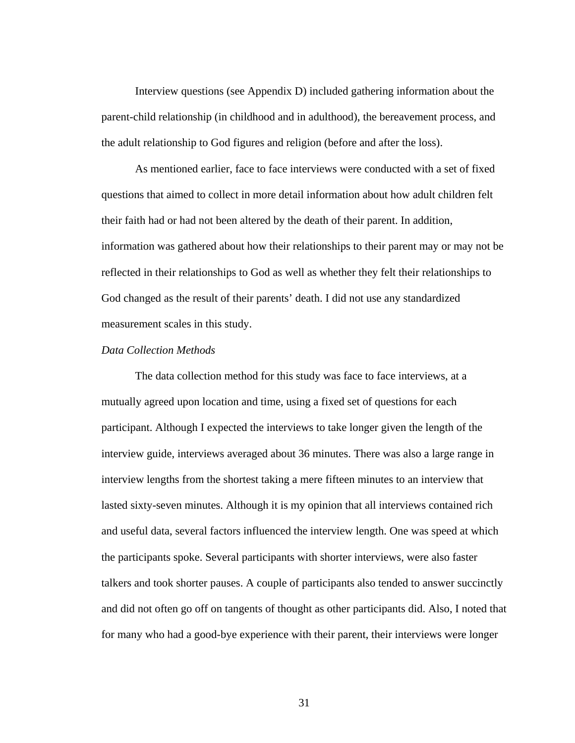Interview questions (see Appendix D) included gathering information about the parent-child relationship (in childhood and in adulthood), the bereavement process, and the adult relationship to God figures and religion (before and after the loss).

As mentioned earlier, face to face interviews were conducted with a set of fixed questions that aimed to collect in more detail information about how adult children felt their faith had or had not been altered by the death of their parent. In addition, information was gathered about how their relationships to their parent may or may not be reflected in their relationships to God as well as whether they felt their relationships to God changed as the result of their parents' death. I did not use any standardized measurement scales in this study.

#### *Data Collection Methods*

 The data collection method for this study was face to face interviews, at a mutually agreed upon location and time, using a fixed set of questions for each participant. Although I expected the interviews to take longer given the length of the interview guide, interviews averaged about 36 minutes. There was also a large range in interview lengths from the shortest taking a mere fifteen minutes to an interview that lasted sixty-seven minutes. Although it is my opinion that all interviews contained rich and useful data, several factors influenced the interview length. One was speed at which the participants spoke. Several participants with shorter interviews, were also faster talkers and took shorter pauses. A couple of participants also tended to answer succinctly and did not often go off on tangents of thought as other participants did. Also, I noted that for many who had a good-bye experience with their parent, their interviews were longer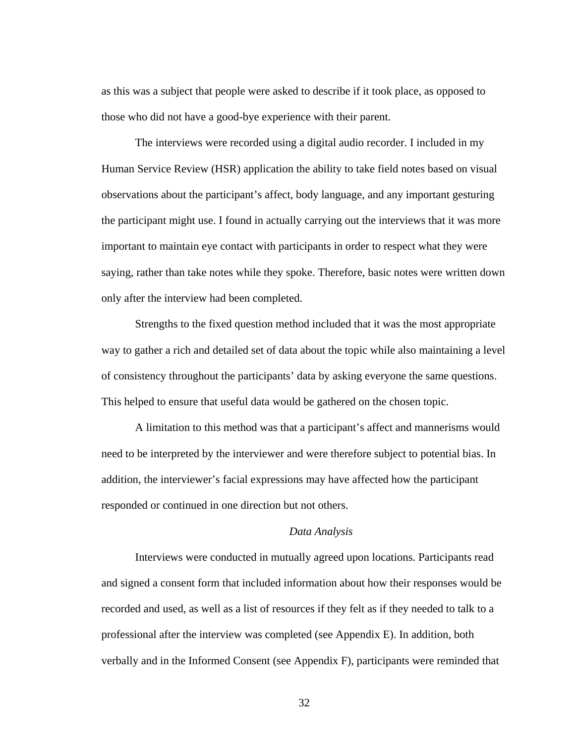as this was a subject that people were asked to describe if it took place, as opposed to those who did not have a good-bye experience with their parent.

The interviews were recorded using a digital audio recorder. I included in my Human Service Review (HSR) application the ability to take field notes based on visual observations about the participant's affect, body language, and any important gesturing the participant might use. I found in actually carrying out the interviews that it was more important to maintain eye contact with participants in order to respect what they were saying, rather than take notes while they spoke. Therefore, basic notes were written down only after the interview had been completed.

Strengths to the fixed question method included that it was the most appropriate way to gather a rich and detailed set of data about the topic while also maintaining a level of consistency throughout the participants' data by asking everyone the same questions. This helped to ensure that useful data would be gathered on the chosen topic.

A limitation to this method was that a participant's affect and mannerisms would need to be interpreted by the interviewer and were therefore subject to potential bias. In addition, the interviewer's facial expressions may have affected how the participant responded or continued in one direction but not others.

#### *Data Analysis*

 Interviews were conducted in mutually agreed upon locations. Participants read and signed a consent form that included information about how their responses would be recorded and used, as well as a list of resources if they felt as if they needed to talk to a professional after the interview was completed (see Appendix E). In addition, both verbally and in the Informed Consent (see Appendix F), participants were reminded that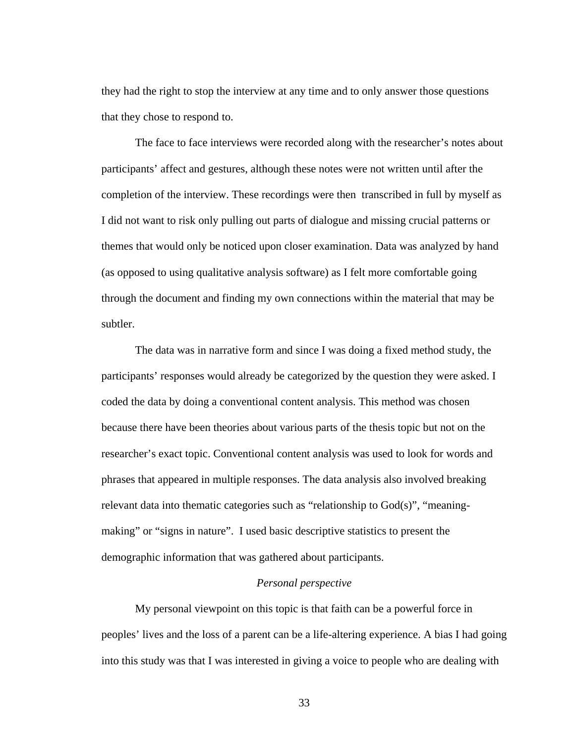they had the right to stop the interview at any time and to only answer those questions that they chose to respond to.

 The face to face interviews were recorded along with the researcher's notes about participants' affect and gestures, although these notes were not written until after the completion of the interview. These recordings were then transcribed in full by myself as I did not want to risk only pulling out parts of dialogue and missing crucial patterns or themes that would only be noticed upon closer examination. Data was analyzed by hand (as opposed to using qualitative analysis software) as I felt more comfortable going through the document and finding my own connections within the material that may be subtler.

The data was in narrative form and since I was doing a fixed method study, the participants' responses would already be categorized by the question they were asked. I coded the data by doing a conventional content analysis. This method was chosen because there have been theories about various parts of the thesis topic but not on the researcher's exact topic. Conventional content analysis was used to look for words and phrases that appeared in multiple responses. The data analysis also involved breaking relevant data into thematic categories such as "relationship to God(s)", "meaningmaking" or "signs in nature". I used basic descriptive statistics to present the demographic information that was gathered about participants.

# *Personal perspective*

 My personal viewpoint on this topic is that faith can be a powerful force in peoples' lives and the loss of a parent can be a life-altering experience. A bias I had going into this study was that I was interested in giving a voice to people who are dealing with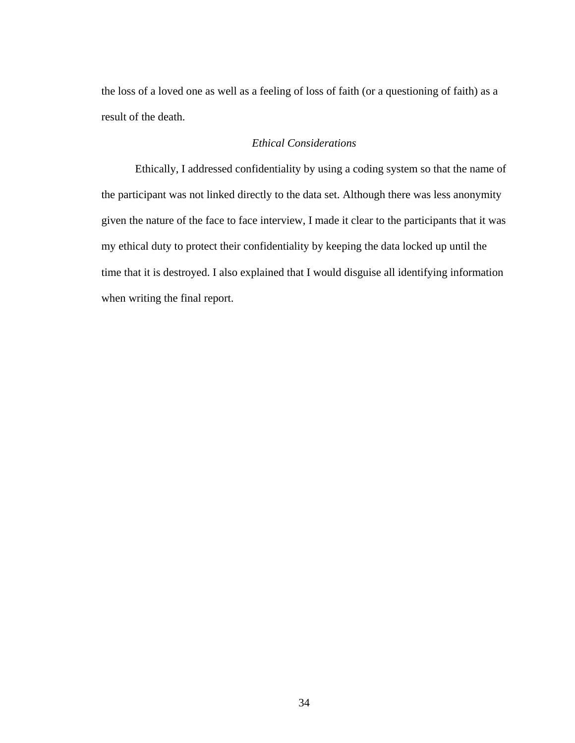the loss of a loved one as well as a feeling of loss of faith (or a questioning of faith) as a result of the death.

## *Ethical Considerations*

Ethically, I addressed confidentiality by using a coding system so that the name of the participant was not linked directly to the data set. Although there was less anonymity given the nature of the face to face interview, I made it clear to the participants that it was my ethical duty to protect their confidentiality by keeping the data locked up until the time that it is destroyed. I also explained that I would disguise all identifying information when writing the final report.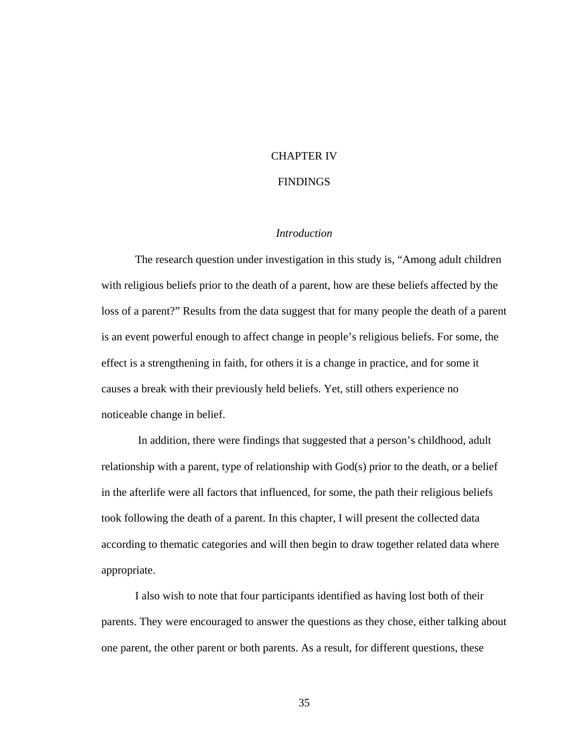# CHAPTER IV

### FINDINGS

### *Introduction*

 The research question under investigation in this study is, "Among adult children with religious beliefs prior to the death of a parent, how are these beliefs affected by the loss of a parent?" Results from the data suggest that for many people the death of a parent is an event powerful enough to affect change in people's religious beliefs. For some, the effect is a strengthening in faith, for others it is a change in practice, and for some it causes a break with their previously held beliefs. Yet, still others experience no noticeable change in belief.

 In addition, there were findings that suggested that a person's childhood, adult relationship with a parent, type of relationship with God(s) prior to the death, or a belief in the afterlife were all factors that influenced, for some, the path their religious beliefs took following the death of a parent. In this chapter, I will present the collected data according to thematic categories and will then begin to draw together related data where appropriate.

I also wish to note that four participants identified as having lost both of their parents. They were encouraged to answer the questions as they chose, either talking about one parent, the other parent or both parents. As a result, for different questions, these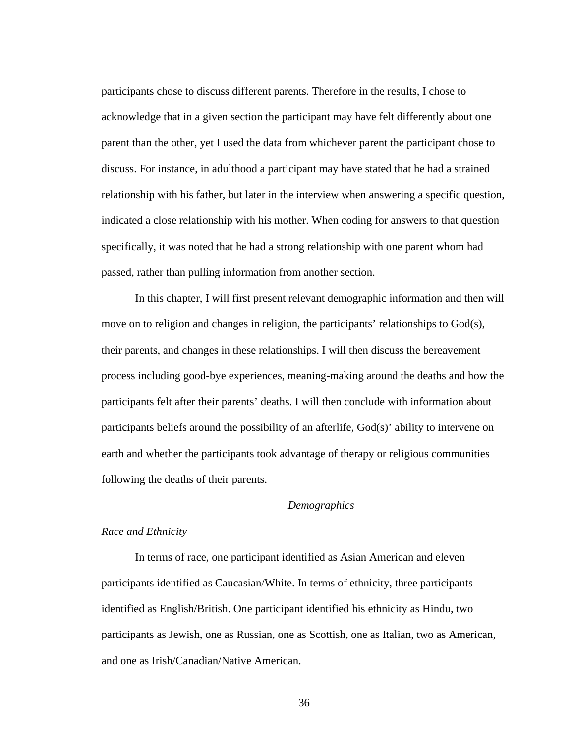participants chose to discuss different parents. Therefore in the results, I chose to acknowledge that in a given section the participant may have felt differently about one parent than the other, yet I used the data from whichever parent the participant chose to discuss. For instance, in adulthood a participant may have stated that he had a strained relationship with his father, but later in the interview when answering a specific question, indicated a close relationship with his mother. When coding for answers to that question specifically, it was noted that he had a strong relationship with one parent whom had passed, rather than pulling information from another section.

In this chapter, I will first present relevant demographic information and then will move on to religion and changes in religion, the participants' relationships to God(s), their parents, and changes in these relationships. I will then discuss the bereavement process including good-bye experiences, meaning-making around the deaths and how the participants felt after their parents' deaths. I will then conclude with information about participants beliefs around the possibility of an afterlife, God(s)' ability to intervene on earth and whether the participants took advantage of therapy or religious communities following the deaths of their parents.

### *Demographics*

### *Race and Ethnicity*

 In terms of race, one participant identified as Asian American and eleven participants identified as Caucasian/White. In terms of ethnicity, three participants identified as English/British. One participant identified his ethnicity as Hindu, two participants as Jewish, one as Russian, one as Scottish, one as Italian, two as American, and one as Irish/Canadian/Native American.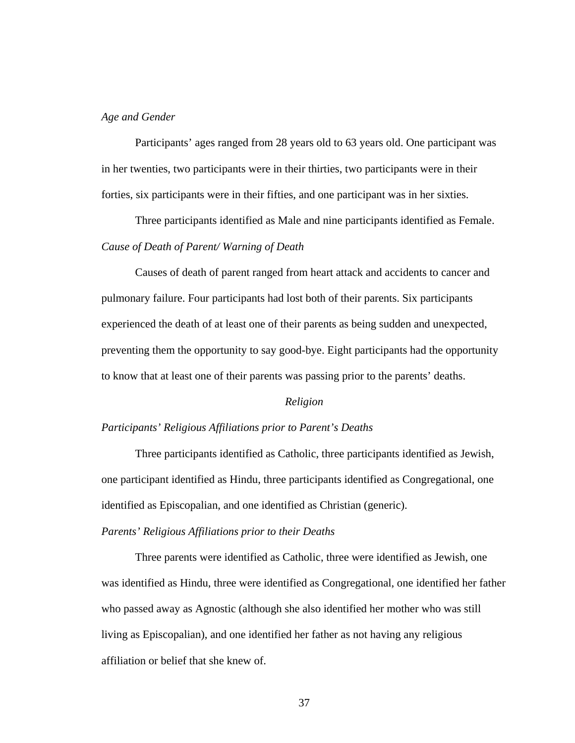#### *Age and Gender*

 Participants' ages ranged from 28 years old to 63 years old. One participant was in her twenties, two participants were in their thirties, two participants were in their forties, six participants were in their fifties, and one participant was in her sixties.

 Three participants identified as Male and nine participants identified as Female. *Cause of Death of Parent/ Warning of Death* 

 Causes of death of parent ranged from heart attack and accidents to cancer and pulmonary failure. Four participants had lost both of their parents. Six participants experienced the death of at least one of their parents as being sudden and unexpected, preventing them the opportunity to say good-bye. Eight participants had the opportunity to know that at least one of their parents was passing prior to the parents' deaths.

### *Religion*

### *Participants' Religious Affiliations prior to Parent's Deaths*

 Three participants identified as Catholic, three participants identified as Jewish, one participant identified as Hindu, three participants identified as Congregational, one identified as Episcopalian, and one identified as Christian (generic).

### *Parents' Religious Affiliations prior to their Deaths*

 Three parents were identified as Catholic, three were identified as Jewish, one was identified as Hindu, three were identified as Congregational, one identified her father who passed away as Agnostic (although she also identified her mother who was still living as Episcopalian), and one identified her father as not having any religious affiliation or belief that she knew of.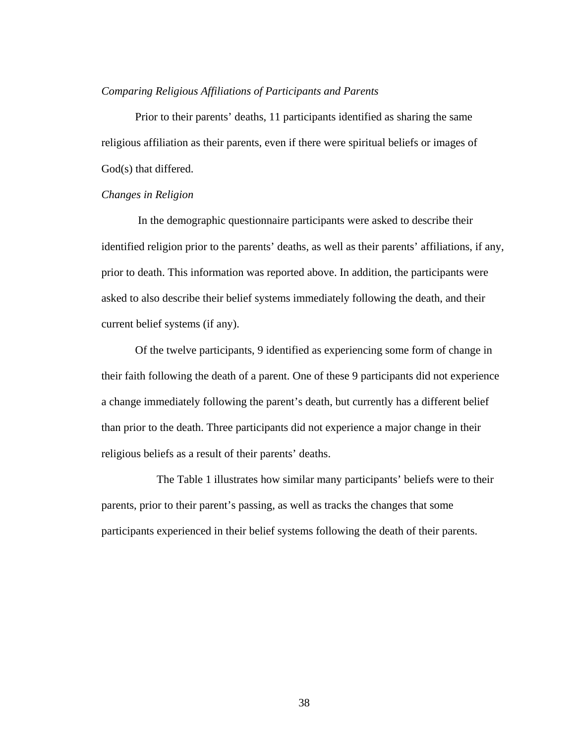#### *Comparing Religious Affiliations of Participants and Parents*

 Prior to their parents' deaths, 11 participants identified as sharing the same religious affiliation as their parents, even if there were spiritual beliefs or images of God(s) that differed.

#### *Changes in Religion*

 In the demographic questionnaire participants were asked to describe their identified religion prior to the parents' deaths, as well as their parents' affiliations, if any, prior to death. This information was reported above. In addition, the participants were asked to also describe their belief systems immediately following the death, and their current belief systems (if any).

Of the twelve participants, 9 identified as experiencing some form of change in their faith following the death of a parent. One of these 9 participants did not experience a change immediately following the parent's death, but currently has a different belief than prior to the death. Three participants did not experience a major change in their religious beliefs as a result of their parents' deaths.

 The Table 1 illustrates how similar many participants' beliefs were to their parents, prior to their parent's passing, as well as tracks the changes that some participants experienced in their belief systems following the death of their parents.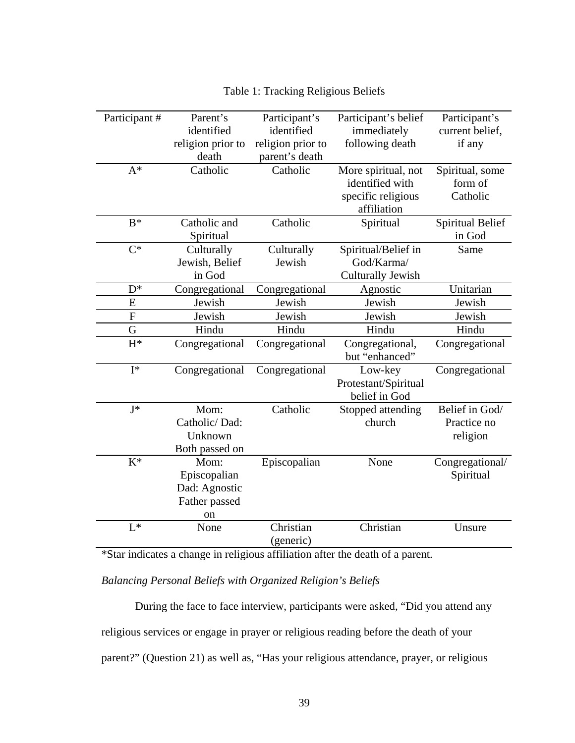| Participant # | Parent's          | Participant's     | Participant's belief | Participant's           |
|---------------|-------------------|-------------------|----------------------|-------------------------|
|               | identified        | identified        | immediately          | current belief,         |
|               | religion prior to | religion prior to | following death      | if any                  |
|               | death             | parent's death    |                      |                         |
| $A^*$         | Catholic          | Catholic          | More spiritual, not  | Spiritual, some         |
|               |                   |                   | identified with      | form of                 |
|               |                   |                   | specific religious   | Catholic                |
|               |                   |                   | affiliation          |                         |
| $B^*$         | Catholic and      | Catholic          | Spiritual            | <b>Spiritual Belief</b> |
|               | Spiritual         |                   |                      | in God                  |
| $C^*$         | Culturally        | Culturally        | Spiritual/Belief in  | Same                    |
|               | Jewish, Belief    | Jewish            | God/Karma/           |                         |
|               | in God            |                   | Culturally Jewish    |                         |
| $D^*$         | Congregational    | Congregational    | Agnostic             | Unitarian               |
| E             | Jewish            | Jewish            | Jewish               | Jewish                  |
| ${\bf F}$     | Jewish            | Jewish            | Jewish               | Jewish                  |
| G             | Hindu             | Hindu             | Hindu                | Hindu                   |
| $H^*$         | Congregational    | Congregational    | Congregational,      | Congregational          |
|               |                   |                   | but "enhanced"       |                         |
| $I^*$         | Congregational    | Congregational    | Low-key              | Congregational          |
|               |                   |                   | Protestant/Spiritual |                         |
|               |                   |                   | belief in God        |                         |
| $J^*$         | Mom:              | Catholic          | Stopped attending    | Belief in God/          |
|               | Catholic/Dad:     |                   | church               | Practice no             |
|               | Unknown           |                   |                      | religion                |
|               | Both passed on    |                   |                      |                         |
| $K^*$         | Mom:              | Episcopalian      | None                 | Congregational/         |
|               | Episcopalian      |                   |                      | Spiritual               |
|               | Dad: Agnostic     |                   |                      |                         |
|               | Father passed     |                   |                      |                         |
|               | on                |                   |                      |                         |
| $L^*$         | None              | Christian         | Christian            | Unsure                  |
|               |                   | (generic)         |                      |                         |

Table 1: Tracking Religious Beliefs

\*Star indicates a change in religious affiliation after the death of a parent.

*Balancing Personal Beliefs with Organized Religion's Beliefs* 

During the face to face interview, participants were asked, "Did you attend any religious services or engage in prayer or religious reading before the death of your parent?" (Question 21) as well as, "Has your religious attendance, prayer, or religious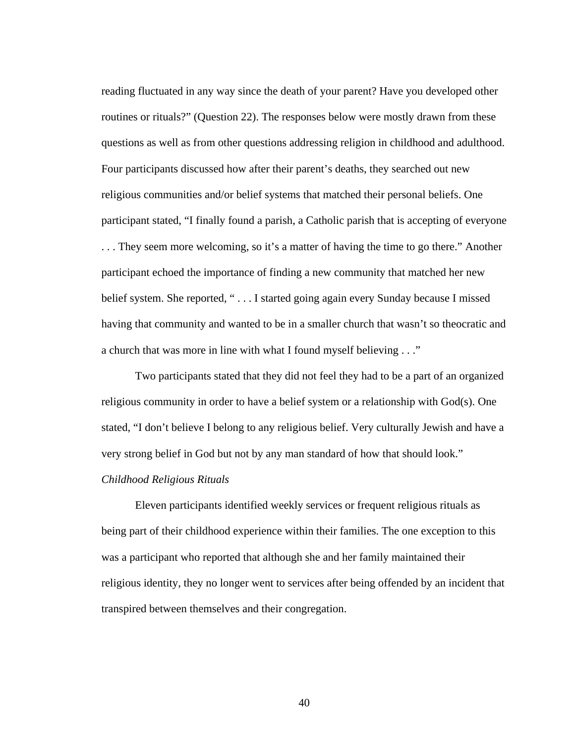reading fluctuated in any way since the death of your parent? Have you developed other routines or rituals?" (Question 22). The responses below were mostly drawn from these questions as well as from other questions addressing religion in childhood and adulthood. Four participants discussed how after their parent's deaths, they searched out new religious communities and/or belief systems that matched their personal beliefs. One participant stated, "I finally found a parish, a Catholic parish that is accepting of everyone . . . They seem more welcoming, so it's a matter of having the time to go there." Another participant echoed the importance of finding a new community that matched her new belief system. She reported, " . . . I started going again every Sunday because I missed having that community and wanted to be in a smaller church that wasn't so theocratic and a church that was more in line with what I found myself believing . . ."

 Two participants stated that they did not feel they had to be a part of an organized religious community in order to have a belief system or a relationship with God(s). One stated, "I don't believe I belong to any religious belief. Very culturally Jewish and have a very strong belief in God but not by any man standard of how that should look."

### *Childhood Religious Rituals*

 Eleven participants identified weekly services or frequent religious rituals as being part of their childhood experience within their families. The one exception to this was a participant who reported that although she and her family maintained their religious identity, they no longer went to services after being offended by an incident that transpired between themselves and their congregation.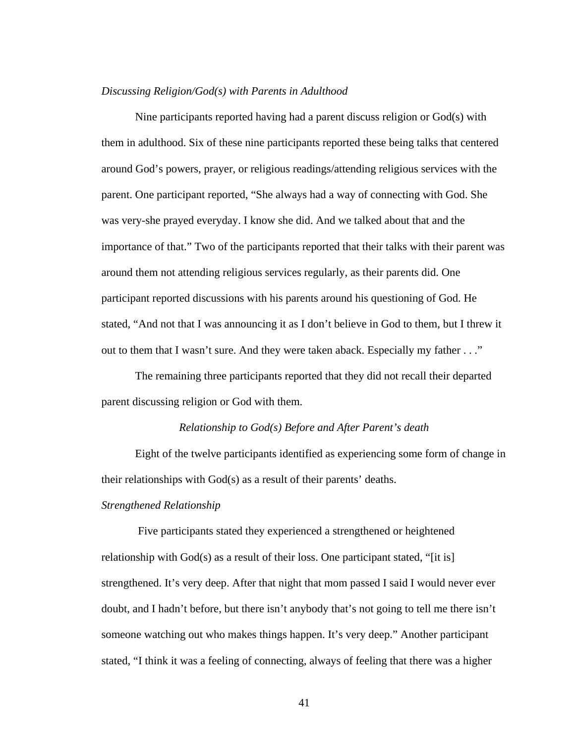#### *Discussing Religion/God(s) with Parents in Adulthood*

 Nine participants reported having had a parent discuss religion or God(s) with them in adulthood. Six of these nine participants reported these being talks that centered around God's powers, prayer, or religious readings/attending religious services with the parent. One participant reported, "She always had a way of connecting with God. She was very-she prayed everyday. I know she did. And we talked about that and the importance of that." Two of the participants reported that their talks with their parent was around them not attending religious services regularly, as their parents did. One participant reported discussions with his parents around his questioning of God. He stated, "And not that I was announcing it as I don't believe in God to them, but I threw it out to them that I wasn't sure. And they were taken aback. Especially my father . . ."

 The remaining three participants reported that they did not recall their departed parent discussing religion or God with them.

### *Relationship to God(s) Before and After Parent's death*

 Eight of the twelve participants identified as experiencing some form of change in their relationships with God(s) as a result of their parents' deaths.

### *Strengthened Relationship*

 Five participants stated they experienced a strengthened or heightened relationship with God(s) as a result of their loss. One participant stated, "[it is] strengthened. It's very deep. After that night that mom passed I said I would never ever doubt, and I hadn't before, but there isn't anybody that's not going to tell me there isn't someone watching out who makes things happen. It's very deep." Another participant stated, "I think it was a feeling of connecting, always of feeling that there was a higher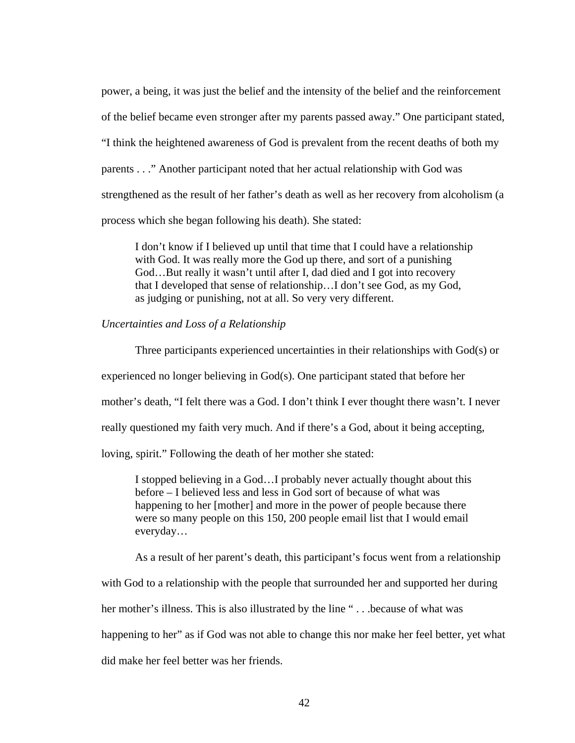power, a being, it was just the belief and the intensity of the belief and the reinforcement of the belief became even stronger after my parents passed away." One participant stated, "I think the heightened awareness of God is prevalent from the recent deaths of both my parents . . ." Another participant noted that her actual relationship with God was strengthened as the result of her father's death as well as her recovery from alcoholism (a process which she began following his death). She stated:

I don't know if I believed up until that time that I could have a relationship with God. It was really more the God up there, and sort of a punishing God…But really it wasn't until after I, dad died and I got into recovery that I developed that sense of relationship…I don't see God, as my God, as judging or punishing, not at all. So very very different.

### *Uncertainties and Loss of a Relationship*

 Three participants experienced uncertainties in their relationships with God(s) or experienced no longer believing in God(s). One participant stated that before her mother's death, "I felt there was a God. I don't think I ever thought there wasn't. I never really questioned my faith very much. And if there's a God, about it being accepting, loving, spirit." Following the death of her mother she stated:

I stopped believing in a God…I probably never actually thought about this before – I believed less and less in God sort of because of what was happening to her [mother] and more in the power of people because there were so many people on this 150, 200 people email list that I would email everyday…

As a result of her parent's death, this participant's focus went from a relationship

with God to a relationship with the people that surrounded her and supported her during

her mother's illness. This is also illustrated by the line "... because of what was

happening to her" as if God was not able to change this nor make her feel better, yet what

did make her feel better was her friends.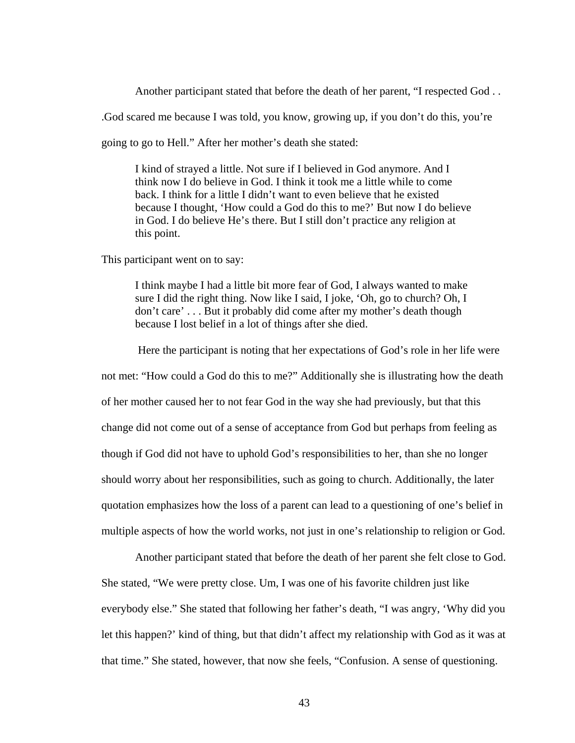Another participant stated that before the death of her parent, "I respected God . . .God scared me because I was told, you know, growing up, if you don't do this, you're

going to go to Hell." After her mother's death she stated:

I kind of strayed a little. Not sure if I believed in God anymore. And I think now I do believe in God. I think it took me a little while to come back. I think for a little I didn't want to even believe that he existed because I thought, 'How could a God do this to me?' But now I do believe in God. I do believe He's there. But I still don't practice any religion at this point.

This participant went on to say:

I think maybe I had a little bit more fear of God, I always wanted to make sure I did the right thing. Now like I said, I joke, 'Oh, go to church? Oh, I don't care' . . . But it probably did come after my mother's death though because I lost belief in a lot of things after she died.

 Here the participant is noting that her expectations of God's role in her life were not met: "How could a God do this to me?" Additionally she is illustrating how the death of her mother caused her to not fear God in the way she had previously, but that this change did not come out of a sense of acceptance from God but perhaps from feeling as though if God did not have to uphold God's responsibilities to her, than she no longer should worry about her responsibilities, such as going to church. Additionally, the later quotation emphasizes how the loss of a parent can lead to a questioning of one's belief in multiple aspects of how the world works, not just in one's relationship to religion or God.

 Another participant stated that before the death of her parent she felt close to God. She stated, "We were pretty close. Um, I was one of his favorite children just like everybody else." She stated that following her father's death, "I was angry, 'Why did you let this happen?' kind of thing, but that didn't affect my relationship with God as it was at that time." She stated, however, that now she feels, "Confusion. A sense of questioning.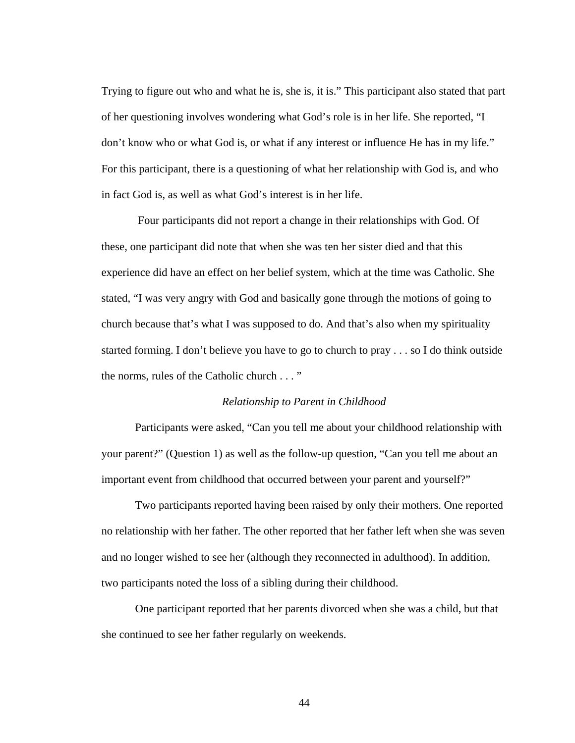Trying to figure out who and what he is, she is, it is." This participant also stated that part of her questioning involves wondering what God's role is in her life. She reported, "I don't know who or what God is, or what if any interest or influence He has in my life." For this participant, there is a questioning of what her relationship with God is, and who in fact God is, as well as what God's interest is in her life.

 Four participants did not report a change in their relationships with God. Of these, one participant did note that when she was ten her sister died and that this experience did have an effect on her belief system, which at the time was Catholic. She stated, "I was very angry with God and basically gone through the motions of going to church because that's what I was supposed to do. And that's also when my spirituality started forming. I don't believe you have to go to church to pray . . . so I do think outside the norms, rules of the Catholic church . . . "

### *Relationship to Parent in Childhood*

 Participants were asked, "Can you tell me about your childhood relationship with your parent?" (Question 1) as well as the follow-up question, "Can you tell me about an important event from childhood that occurred between your parent and yourself?"

Two participants reported having been raised by only their mothers. One reported no relationship with her father. The other reported that her father left when she was seven and no longer wished to see her (although they reconnected in adulthood). In addition, two participants noted the loss of a sibling during their childhood.

 One participant reported that her parents divorced when she was a child, but that she continued to see her father regularly on weekends.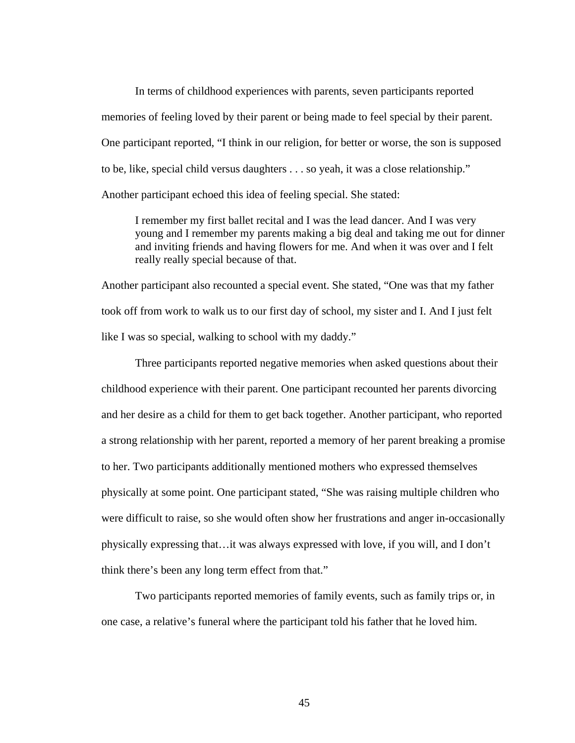In terms of childhood experiences with parents, seven participants reported memories of feeling loved by their parent or being made to feel special by their parent. One participant reported, "I think in our religion, for better or worse, the son is supposed to be, like, special child versus daughters . . . so yeah, it was a close relationship." Another participant echoed this idea of feeling special. She stated:

I remember my first ballet recital and I was the lead dancer. And I was very young and I remember my parents making a big deal and taking me out for dinner and inviting friends and having flowers for me. And when it was over and I felt really really special because of that.

Another participant also recounted a special event. She stated, "One was that my father took off from work to walk us to our first day of school, my sister and I. And I just felt like I was so special, walking to school with my daddy."

 Three participants reported negative memories when asked questions about their childhood experience with their parent. One participant recounted her parents divorcing and her desire as a child for them to get back together. Another participant, who reported a strong relationship with her parent, reported a memory of her parent breaking a promise to her. Two participants additionally mentioned mothers who expressed themselves physically at some point. One participant stated, "She was raising multiple children who were difficult to raise, so she would often show her frustrations and anger in-occasionally physically expressing that…it was always expressed with love, if you will, and I don't think there's been any long term effect from that."

 Two participants reported memories of family events, such as family trips or, in one case, a relative's funeral where the participant told his father that he loved him.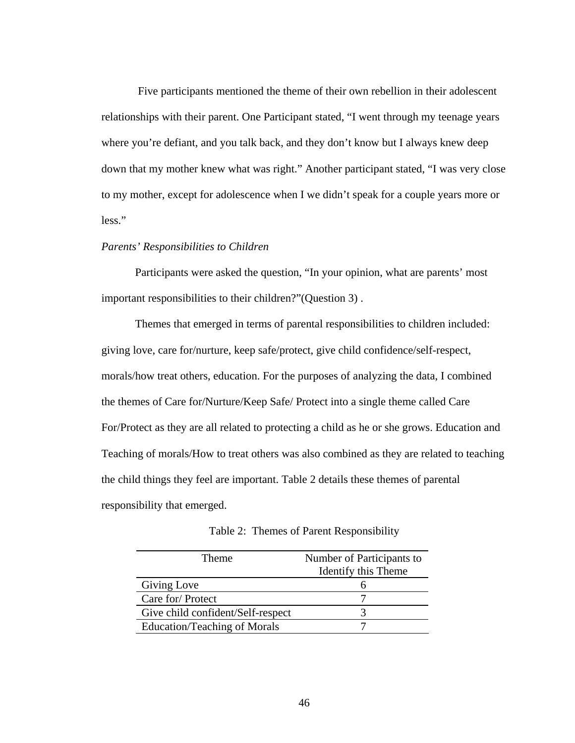Five participants mentioned the theme of their own rebellion in their adolescent relationships with their parent. One Participant stated, "I went through my teenage years where you're defiant, and you talk back, and they don't know but I always knew deep down that my mother knew what was right." Another participant stated, "I was very close to my mother, except for adolescence when I we didn't speak for a couple years more or less."

### *Parents' Responsibilities to Children*

 Participants were asked the question, "In your opinion, what are parents' most important responsibilities to their children?"(Question 3) .

Themes that emerged in terms of parental responsibilities to children included: giving love, care for/nurture, keep safe/protect, give child confidence/self-respect, morals/how treat others, education. For the purposes of analyzing the data, I combined the themes of Care for/Nurture/Keep Safe/ Protect into a single theme called Care For/Protect as they are all related to protecting a child as he or she grows. Education and Teaching of morals/How to treat others was also combined as they are related to teaching the child things they feel are important. Table 2 details these themes of parental responsibility that emerged.

|  |  |  |  | Table 2: Themes of Parent Responsibility |
|--|--|--|--|------------------------------------------|
|--|--|--|--|------------------------------------------|

| <b>Theme</b>                      | Number of Participants to |  |  |
|-----------------------------------|---------------------------|--|--|
|                                   | Identify this Theme       |  |  |
| Giving Love                       |                           |  |  |
| Care for/Protect                  |                           |  |  |
| Give child confident/Self-respect |                           |  |  |
| Education/Teaching of Morals      |                           |  |  |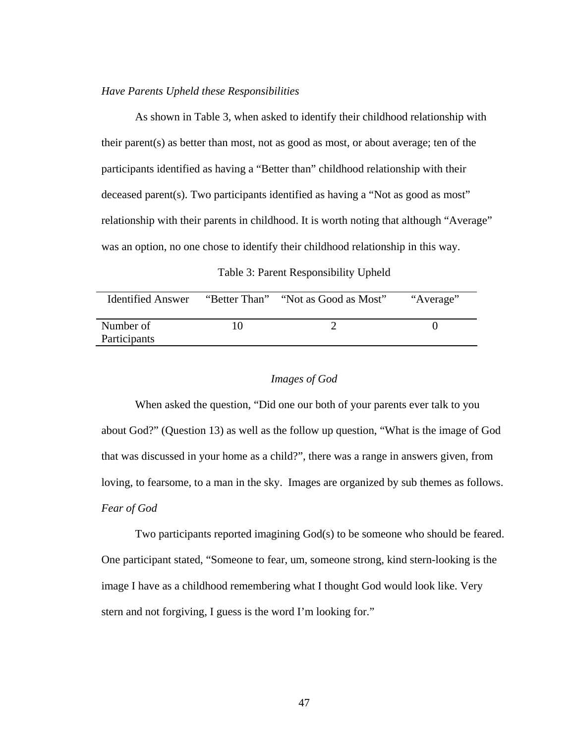#### *Have Parents Upheld these Responsibilities*

 As shown in Table 3, when asked to identify their childhood relationship with their parent(s) as better than most, not as good as most, or about average; ten of the participants identified as having a "Better than" childhood relationship with their deceased parent(s). Two participants identified as having a "Not as good as most" relationship with their parents in childhood. It is worth noting that although "Average" was an option, no one chose to identify their childhood relationship in this way.

#### Table 3: Parent Responsibility Upheld

| <b>Identified Answer</b>  | "Better Than" | "Not as Good as Most" | "Average" |
|---------------------------|---------------|-----------------------|-----------|
| Number of<br>Participants |               |                       |           |

## *Images of God*

 When asked the question, "Did one our both of your parents ever talk to you about God?" (Question 13) as well as the follow up question, "What is the image of God that was discussed in your home as a child?", there was a range in answers given, from loving, to fearsome, to a man in the sky. Images are organized by sub themes as follows. *Fear of God* 

Two participants reported imagining God(s) to be someone who should be feared. One participant stated, "Someone to fear, um, someone strong, kind stern-looking is the image I have as a childhood remembering what I thought God would look like. Very stern and not forgiving, I guess is the word I'm looking for."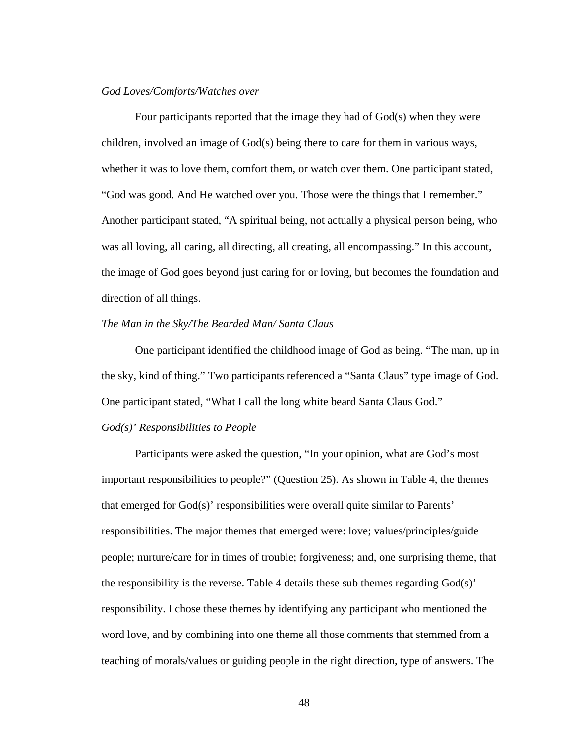#### *God Loves/Comforts/Watches over*

Four participants reported that the image they had of God(s) when they were children, involved an image of God(s) being there to care for them in various ways, whether it was to love them, comfort them, or watch over them. One participant stated, "God was good. And He watched over you. Those were the things that I remember." Another participant stated, "A spiritual being, not actually a physical person being, who was all loving, all caring, all directing, all creating, all encompassing." In this account, the image of God goes beyond just caring for or loving, but becomes the foundation and direction of all things.

### *The Man in the Sky/The Bearded Man/ Santa Claus*

One participant identified the childhood image of God as being. "The man, up in the sky, kind of thing." Two participants referenced a "Santa Claus" type image of God. One participant stated, "What I call the long white beard Santa Claus God."

#### *God(s)' Responsibilities to People*

Participants were asked the question, "In your opinion, what are God's most important responsibilities to people?" (Question 25). As shown in Table 4, the themes that emerged for God(s)' responsibilities were overall quite similar to Parents' responsibilities. The major themes that emerged were: love; values/principles/guide people; nurture/care for in times of trouble; forgiveness; and, one surprising theme, that the responsibility is the reverse. Table 4 details these sub themes regarding God(s)' responsibility. I chose these themes by identifying any participant who mentioned the word love, and by combining into one theme all those comments that stemmed from a teaching of morals/values or guiding people in the right direction, type of answers. The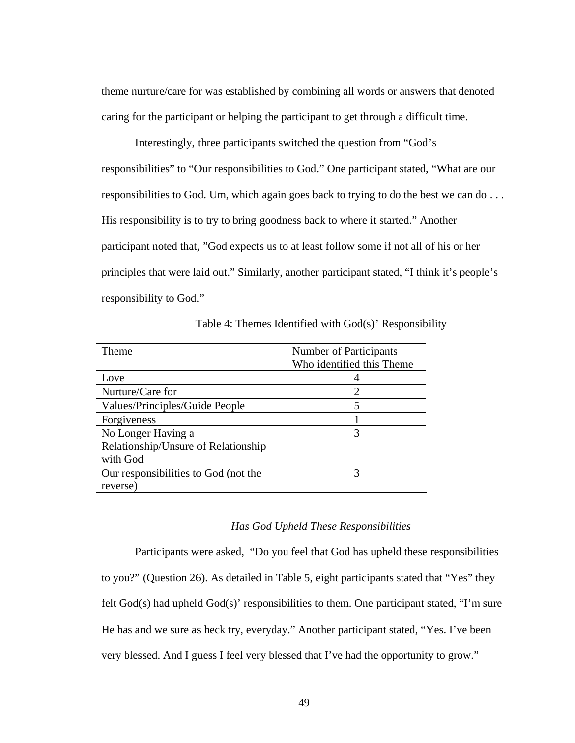theme nurture/care for was established by combining all words or answers that denoted caring for the participant or helping the participant to get through a difficult time.

Interestingly, three participants switched the question from "God's responsibilities" to "Our responsibilities to God." One participant stated, "What are our responsibilities to God. Um, which again goes back to trying to do the best we can do . . . His responsibility is to try to bring goodness back to where it started." Another participant noted that, "God expects us to at least follow some if not all of his or her principles that were laid out." Similarly, another participant stated, "I think it's people's responsibility to God."

| Theme                                | Number of Participants      |
|--------------------------------------|-----------------------------|
|                                      | Who identified this Theme   |
| Love                                 |                             |
| Nurture/Care for                     | $\mathcal{D}_{\mathcal{L}}$ |
| Values/Principles/Guide People       | 5                           |
| Forgiveness                          |                             |
| No Longer Having a                   | 3                           |
| Relationship/Unsure of Relationship  |                             |
| with God                             |                             |
| Our responsibilities to God (not the | 3                           |
| reverse)                             |                             |

Table 4: Themes Identified with God(s)' Responsibility

#### *Has God Upheld These Responsibilities*

 Participants were asked, "Do you feel that God has upheld these responsibilities to you?" (Question 26). As detailed in Table 5, eight participants stated that "Yes" they felt God(s) had upheld God(s)' responsibilities to them. One participant stated, "I'm sure He has and we sure as heck try, everyday." Another participant stated, "Yes. I've been very blessed. And I guess I feel very blessed that I've had the opportunity to grow."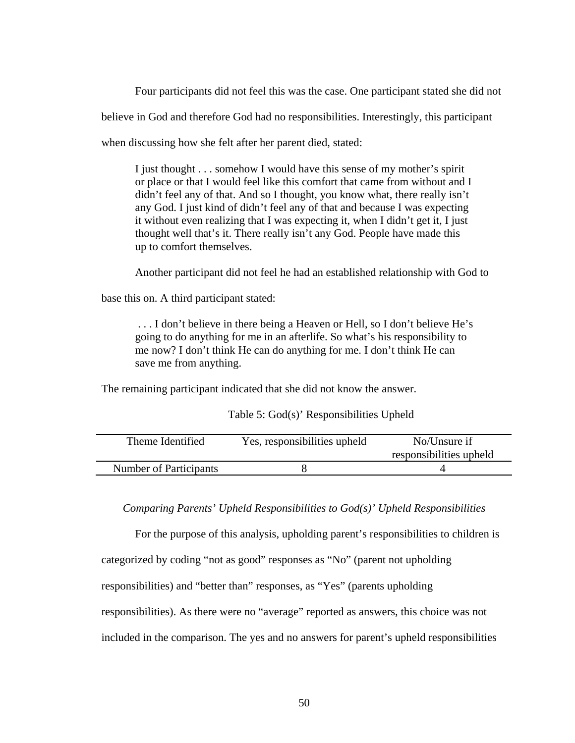Four participants did not feel this was the case. One participant stated she did not

believe in God and therefore God had no responsibilities. Interestingly, this participant

when discussing how she felt after her parent died, stated:

I just thought . . . somehow I would have this sense of my mother's spirit or place or that I would feel like this comfort that came from without and I didn't feel any of that. And so I thought, you know what, there really isn't any God. I just kind of didn't feel any of that and because I was expecting it without even realizing that I was expecting it, when I didn't get it, I just thought well that's it. There really isn't any God. People have made this up to comfort themselves.

Another participant did not feel he had an established relationship with God to

base this on. A third participant stated:

 . . . I don't believe in there being a Heaven or Hell, so I don't believe He's going to do anything for me in an afterlife. So what's his responsibility to me now? I don't think He can do anything for me. I don't think He can save me from anything.

The remaining participant indicated that she did not know the answer.

| Table 5: God(s)' Responsibilities Upheld |  |  |  |  |  |
|------------------------------------------|--|--|--|--|--|
|------------------------------------------|--|--|--|--|--|

| Theme Identified       | Yes, responsibilities upheld | No/Unsure if<br>responsibilities upheld |
|------------------------|------------------------------|-----------------------------------------|
| Number of Participants |                              |                                         |

## *Comparing Parents' Upheld Responsibilities to God(s)' Upheld Responsibilities*

 For the purpose of this analysis, upholding parent's responsibilities to children is categorized by coding "not as good" responses as "No" (parent not upholding responsibilities) and "better than" responses, as "Yes" (parents upholding responsibilities). As there were no "average" reported as answers, this choice was not included in the comparison. The yes and no answers for parent's upheld responsibilities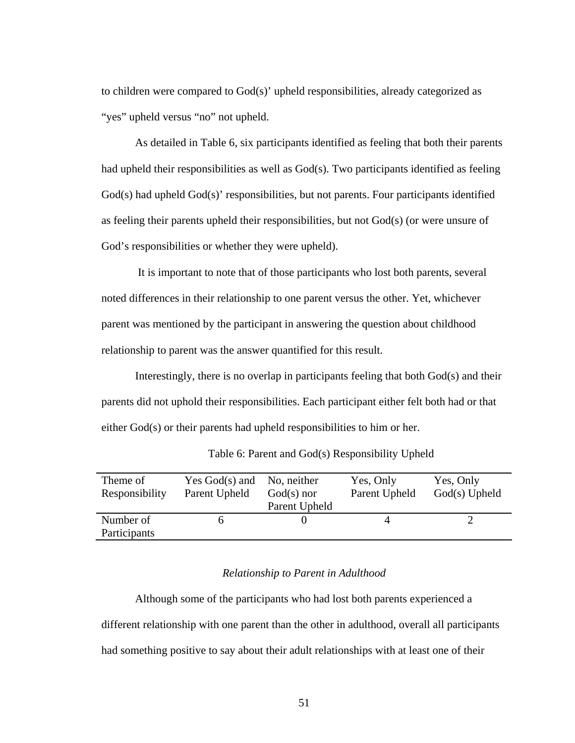to children were compared to God(s)' upheld responsibilities, already categorized as "yes" upheld versus "no" not upheld.

As detailed in Table 6, six participants identified as feeling that both their parents had upheld their responsibilities as well as God(s). Two participants identified as feeling  $God(s)$  had upheld  $God(s)'$  responsibilities, but not parents. Four participants identified as feeling their parents upheld their responsibilities, but not God(s) (or were unsure of God's responsibilities or whether they were upheld).

 It is important to note that of those participants who lost both parents, several noted differences in their relationship to one parent versus the other. Yet, whichever parent was mentioned by the participant in answering the question about childhood relationship to parent was the answer quantified for this result.

Interestingly, there is no overlap in participants feeling that both God(s) and their parents did not uphold their responsibilities. Each participant either felt both had or that either God(s) or their parents had upheld responsibilities to him or her.

| Theme of<br>Responsibility | Yes $God(s)$ and<br>Parent Upheld | No, neither<br>$God(s)$ nor<br>Parent Upheld | Yes, Only<br>Parent Upheld | Yes, Only<br>God(s) Upheld |
|----------------------------|-----------------------------------|----------------------------------------------|----------------------------|----------------------------|
| Number of                  |                                   |                                              |                            |                            |
| Participants               |                                   |                                              |                            |                            |

Table 6: Parent and God(s) Responsibility Upheld

### *Relationship to Parent in Adulthood*

 Although some of the participants who had lost both parents experienced a different relationship with one parent than the other in adulthood, overall all participants had something positive to say about their adult relationships with at least one of their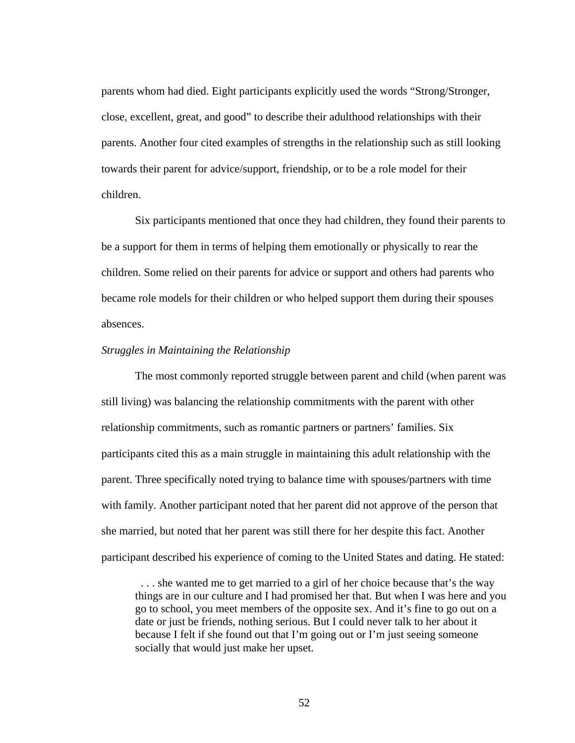parents whom had died. Eight participants explicitly used the words "Strong/Stronger, close, excellent, great, and good" to describe their adulthood relationships with their parents. Another four cited examples of strengths in the relationship such as still looking towards their parent for advice/support, friendship, or to be a role model for their children.

Six participants mentioned that once they had children, they found their parents to be a support for them in terms of helping them emotionally or physically to rear the children. Some relied on their parents for advice or support and others had parents who became role models for their children or who helped support them during their spouses absences.

### *Struggles in Maintaining the Relationship*

 The most commonly reported struggle between parent and child (when parent was still living) was balancing the relationship commitments with the parent with other relationship commitments, such as romantic partners or partners' families. Six participants cited this as a main struggle in maintaining this adult relationship with the parent. Three specifically noted trying to balance time with spouses/partners with time with family. Another participant noted that her parent did not approve of the person that she married, but noted that her parent was still there for her despite this fact. Another participant described his experience of coming to the United States and dating. He stated:

 . . . she wanted me to get married to a girl of her choice because that's the way things are in our culture and I had promised her that. But when I was here and you go to school, you meet members of the opposite sex. And it's fine to go out on a date or just be friends, nothing serious. But I could never talk to her about it because I felt if she found out that I'm going out or I'm just seeing someone socially that would just make her upset.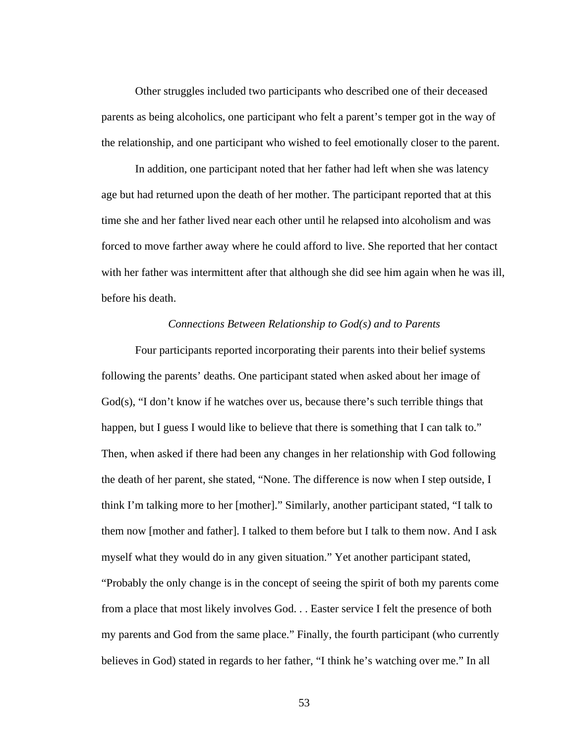Other struggles included two participants who described one of their deceased parents as being alcoholics, one participant who felt a parent's temper got in the way of the relationship, and one participant who wished to feel emotionally closer to the parent.

In addition, one participant noted that her father had left when she was latency age but had returned upon the death of her mother. The participant reported that at this time she and her father lived near each other until he relapsed into alcoholism and was forced to move farther away where he could afford to live. She reported that her contact with her father was intermittent after that although she did see him again when he was ill, before his death.

### *Connections Between Relationship to God(s) and to Parents*

 Four participants reported incorporating their parents into their belief systems following the parents' deaths. One participant stated when asked about her image of God(s), "I don't know if he watches over us, because there's such terrible things that happen, but I guess I would like to believe that there is something that I can talk to." Then, when asked if there had been any changes in her relationship with God following the death of her parent, she stated, "None. The difference is now when I step outside, I think I'm talking more to her [mother]." Similarly, another participant stated, "I talk to them now [mother and father]. I talked to them before but I talk to them now. And I ask myself what they would do in any given situation." Yet another participant stated, "Probably the only change is in the concept of seeing the spirit of both my parents come from a place that most likely involves God. . . Easter service I felt the presence of both my parents and God from the same place." Finally, the fourth participant (who currently believes in God) stated in regards to her father, "I think he's watching over me." In all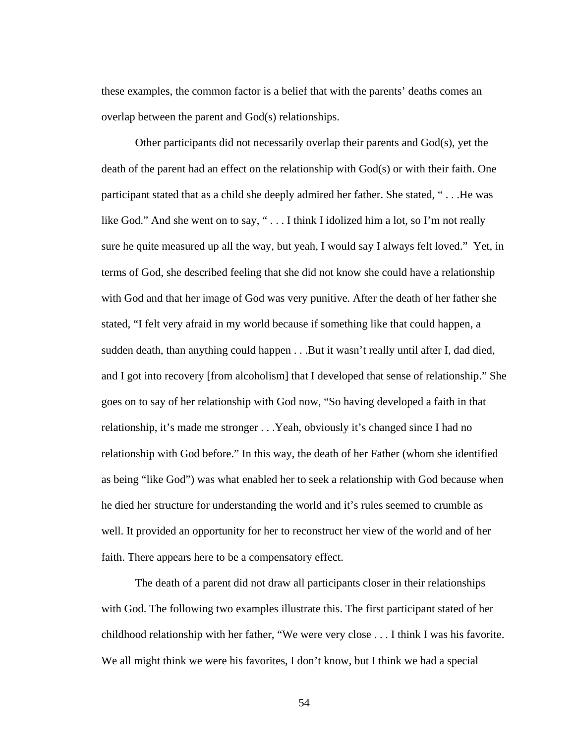these examples, the common factor is a belief that with the parents' deaths comes an overlap between the parent and God(s) relationships.

 Other participants did not necessarily overlap their parents and God(s), yet the death of the parent had an effect on the relationship with God(s) or with their faith. One participant stated that as a child she deeply admired her father. She stated, " . . .He was like God." And she went on to say, "... I think I idolized him a lot, so I'm not really sure he quite measured up all the way, but yeah, I would say I always felt loved." Yet, in terms of God, she described feeling that she did not know she could have a relationship with God and that her image of God was very punitive. After the death of her father she stated, "I felt very afraid in my world because if something like that could happen, a sudden death, than anything could happen . . .But it wasn't really until after I, dad died, and I got into recovery [from alcoholism] that I developed that sense of relationship." She goes on to say of her relationship with God now, "So having developed a faith in that relationship, it's made me stronger . . .Yeah, obviously it's changed since I had no relationship with God before." In this way, the death of her Father (whom she identified as being "like God") was what enabled her to seek a relationship with God because when he died her structure for understanding the world and it's rules seemed to crumble as well. It provided an opportunity for her to reconstruct her view of the world and of her faith. There appears here to be a compensatory effect.

 The death of a parent did not draw all participants closer in their relationships with God. The following two examples illustrate this. The first participant stated of her childhood relationship with her father, "We were very close . . . I think I was his favorite. We all might think we were his favorites, I don't know, but I think we had a special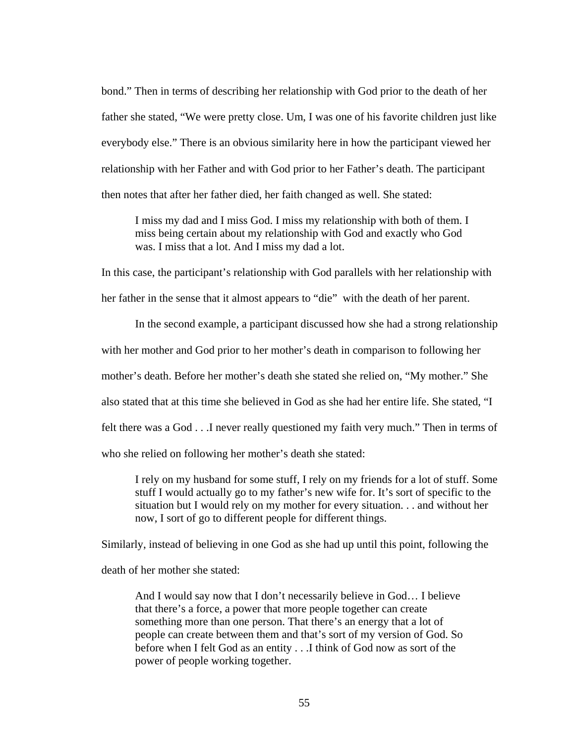bond." Then in terms of describing her relationship with God prior to the death of her father she stated, "We were pretty close. Um, I was one of his favorite children just like everybody else." There is an obvious similarity here in how the participant viewed her relationship with her Father and with God prior to her Father's death. The participant then notes that after her father died, her faith changed as well. She stated:

I miss my dad and I miss God. I miss my relationship with both of them. I miss being certain about my relationship with God and exactly who God was. I miss that a lot. And I miss my dad a lot.

In this case, the participant's relationship with God parallels with her relationship with

her father in the sense that it almost appears to "die" with the death of her parent.

In the second example, a participant discussed how she had a strong relationship

with her mother and God prior to her mother's death in comparison to following her

mother's death. Before her mother's death she stated she relied on, "My mother." She

also stated that at this time she believed in God as she had her entire life. She stated, "I

felt there was a God . . .I never really questioned my faith very much." Then in terms of

who she relied on following her mother's death she stated:

I rely on my husband for some stuff, I rely on my friends for a lot of stuff. Some stuff I would actually go to my father's new wife for. It's sort of specific to the situation but I would rely on my mother for every situation. . . and without her now, I sort of go to different people for different things.

Similarly, instead of believing in one God as she had up until this point, following the

death of her mother she stated:

And I would say now that I don't necessarily believe in God… I believe that there's a force, a power that more people together can create something more than one person. That there's an energy that a lot of people can create between them and that's sort of my version of God. So before when I felt God as an entity . . .I think of God now as sort of the power of people working together.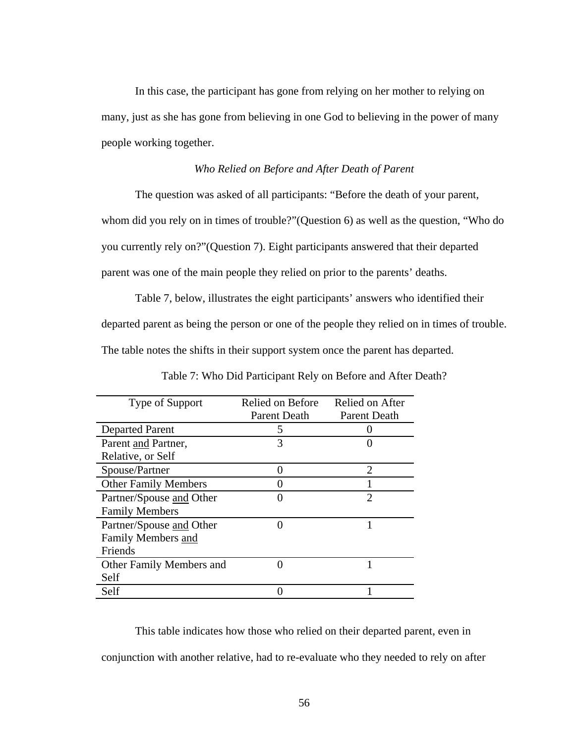In this case, the participant has gone from relying on her mother to relying on many, just as she has gone from believing in one God to believing in the power of many people working together.

#### *Who Relied on Before and After Death of Parent*

 The question was asked of all participants: "Before the death of your parent, whom did you rely on in times of trouble?"(Question 6) as well as the question, "Who do you currently rely on?"(Question 7). Eight participants answered that their departed parent was one of the main people they relied on prior to the parents' deaths.

Table 7, below, illustrates the eight participants' answers who identified their departed parent as being the person or one of the people they relied on in times of trouble. The table notes the shifts in their support system once the parent has departed.

| Type of Support             | Relied on Before<br>Parent Death | Relied on After<br>Parent Death |  |
|-----------------------------|----------------------------------|---------------------------------|--|
| <b>Departed Parent</b>      | 5                                |                                 |  |
| Parent and Partner,         | 3                                |                                 |  |
| Relative, or Self           |                                  |                                 |  |
| Spouse/Partner              | ∩                                | $\mathcal{D}_{\mathcal{L}}$     |  |
| <b>Other Family Members</b> |                                  |                                 |  |
| Partner/Spouse and Other    | 0                                | $\mathcal{D}_{\mathcal{A}}$     |  |
| <b>Family Members</b>       |                                  |                                 |  |
| Partner/Spouse and Other    | 0                                |                                 |  |
| Family Members and          |                                  |                                 |  |
| Friends                     |                                  |                                 |  |
| Other Family Members and    |                                  |                                 |  |
| Self                        |                                  |                                 |  |
| Self                        |                                  |                                 |  |

Table 7: Who Did Participant Rely on Before and After Death?

 This table indicates how those who relied on their departed parent, even in conjunction with another relative, had to re-evaluate who they needed to rely on after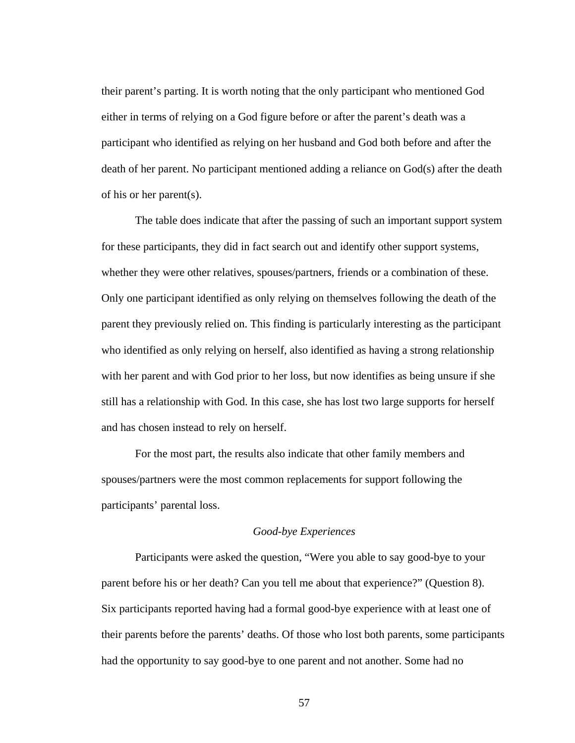their parent's parting. It is worth noting that the only participant who mentioned God either in terms of relying on a God figure before or after the parent's death was a participant who identified as relying on her husband and God both before and after the death of her parent. No participant mentioned adding a reliance on God(s) after the death of his or her parent(s).

 The table does indicate that after the passing of such an important support system for these participants, they did in fact search out and identify other support systems, whether they were other relatives, spouses/partners, friends or a combination of these. Only one participant identified as only relying on themselves following the death of the parent they previously relied on. This finding is particularly interesting as the participant who identified as only relying on herself, also identified as having a strong relationship with her parent and with God prior to her loss, but now identifies as being unsure if she still has a relationship with God. In this case, she has lost two large supports for herself and has chosen instead to rely on herself.

 For the most part, the results also indicate that other family members and spouses/partners were the most common replacements for support following the participants' parental loss.

### *Good-bye Experiences*

Participants were asked the question, "Were you able to say good-bye to your parent before his or her death? Can you tell me about that experience?" (Question 8). Six participants reported having had a formal good-bye experience with at least one of their parents before the parents' deaths. Of those who lost both parents, some participants had the opportunity to say good-bye to one parent and not another. Some had no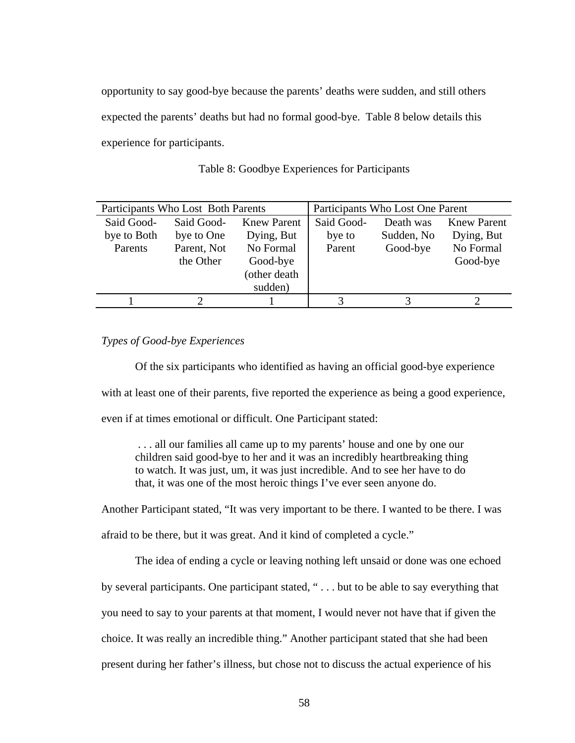opportunity to say good-bye because the parents' deaths were sudden, and still others expected the parents' deaths but had no formal good-bye. Table 8 below details this experience for participants.

| Participants Who Lost Both Parents |             |                    | Participants Who Lost One Parent |             |                    |
|------------------------------------|-------------|--------------------|----------------------------------|-------------|--------------------|
| Said Good-                         | Said Good-  | <b>Knew Parent</b> | Said Good-                       | Death was   | <b>Knew Parent</b> |
| bye to Both                        | bye to One  | Dying, But         | bye to                           | Sudden, No. | Dying, But         |
| Parents                            | Parent, Not | No Formal          | Parent                           | Good-bye    | No Formal          |
| the Other<br>Good-bye              |             |                    |                                  | Good-bye    |                    |
| (other death                       |             |                    |                                  |             |                    |
|                                    |             | sudden)            |                                  |             |                    |
|                                    |             |                    | 3                                |             |                    |

Table 8: Goodbye Experiences for Participants

## *Types of Good-bye Experiences*

Of the six participants who identified as having an official good-bye experience

with at least one of their parents, five reported the experience as being a good experience,

even if at times emotional or difficult. One Participant stated:

... all our families all came up to my parents' house and one by one our children said good-bye to her and it was an incredibly heartbreaking thing to watch. It was just, um, it was just incredible. And to see her have to do that, it was one of the most heroic things I've ever seen anyone do.

Another Participant stated, "It was very important to be there. I wanted to be there. I was afraid to be there, but it was great. And it kind of completed a cycle."

The idea of ending a cycle or leaving nothing left unsaid or done was one echoed by several participants. One participant stated, " . . . but to be able to say everything that you need to say to your parents at that moment, I would never not have that if given the choice. It was really an incredible thing." Another participant stated that she had been present during her father's illness, but chose not to discuss the actual experience of his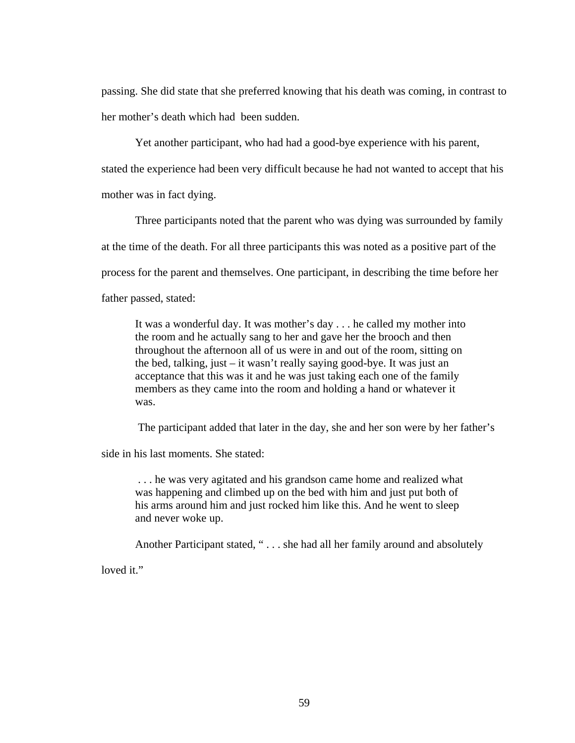passing. She did state that she preferred knowing that his death was coming, in contrast to her mother's death which had been sudden.

Yet another participant, who had had a good-bye experience with his parent,

stated the experience had been very difficult because he had not wanted to accept that his mother was in fact dying.

Three participants noted that the parent who was dying was surrounded by family at the time of the death. For all three participants this was noted as a positive part of the process for the parent and themselves. One participant, in describing the time before her father passed, stated:

It was a wonderful day. It was mother's day . . . he called my mother into the room and he actually sang to her and gave her the brooch and then throughout the afternoon all of us were in and out of the room, sitting on the bed, talking, just – it wasn't really saying good-bye. It was just an acceptance that this was it and he was just taking each one of the family members as they came into the room and holding a hand or whatever it was.

The participant added that later in the day, she and her son were by her father's

side in his last moments. She stated:

 . . . he was very agitated and his grandson came home and realized what was happening and climbed up on the bed with him and just put both of his arms around him and just rocked him like this. And he went to sleep and never woke up.

Another Participant stated, "... she had all her family around and absolutely

loved it."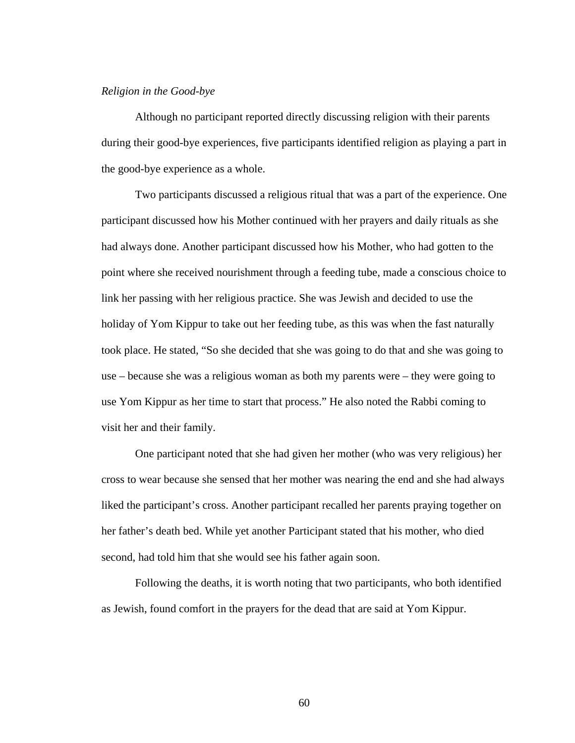#### *Religion in the Good-bye*

Although no participant reported directly discussing religion with their parents during their good-bye experiences, five participants identified religion as playing a part in the good-bye experience as a whole.

Two participants discussed a religious ritual that was a part of the experience. One participant discussed how his Mother continued with her prayers and daily rituals as she had always done. Another participant discussed how his Mother, who had gotten to the point where she received nourishment through a feeding tube, made a conscious choice to link her passing with her religious practice. She was Jewish and decided to use the holiday of Yom Kippur to take out her feeding tube, as this was when the fast naturally took place. He stated, "So she decided that she was going to do that and she was going to use – because she was a religious woman as both my parents were – they were going to use Yom Kippur as her time to start that process." He also noted the Rabbi coming to visit her and their family.

One participant noted that she had given her mother (who was very religious) her cross to wear because she sensed that her mother was nearing the end and she had always liked the participant's cross. Another participant recalled her parents praying together on her father's death bed. While yet another Participant stated that his mother, who died second, had told him that she would see his father again soon.

Following the deaths, it is worth noting that two participants, who both identified as Jewish, found comfort in the prayers for the dead that are said at Yom Kippur.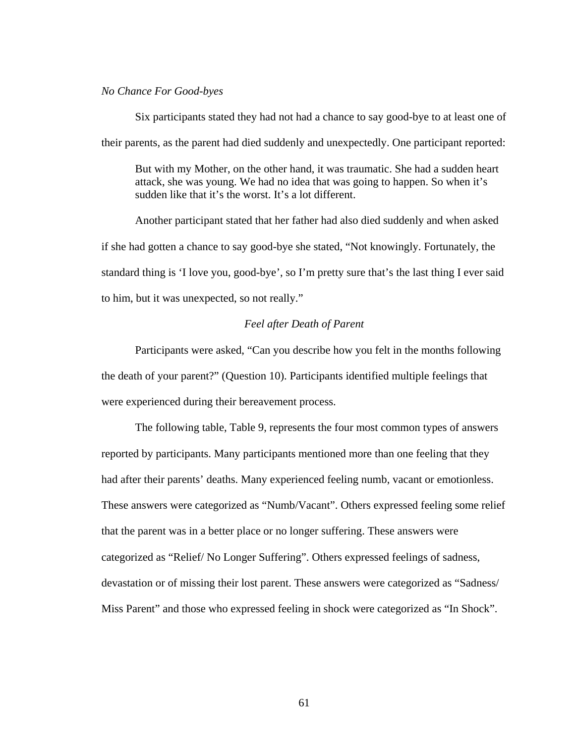#### *No Chance For Good-byes*

Six participants stated they had not had a chance to say good-bye to at least one of their parents, as the parent had died suddenly and unexpectedly. One participant reported:

But with my Mother, on the other hand, it was traumatic. She had a sudden heart attack, she was young. We had no idea that was going to happen. So when it's sudden like that it's the worst. It's a lot different.

Another participant stated that her father had also died suddenly and when asked if she had gotten a chance to say good-bye she stated, "Not knowingly. Fortunately, the standard thing is 'I love you, good-bye', so I'm pretty sure that's the last thing I ever said to him, but it was unexpected, so not really."

### *Feel after Death of Parent*

 Participants were asked, "Can you describe how you felt in the months following the death of your parent?" (Question 10). Participants identified multiple feelings that were experienced during their bereavement process.

 The following table, Table 9, represents the four most common types of answers reported by participants. Many participants mentioned more than one feeling that they had after their parents' deaths. Many experienced feeling numb, vacant or emotionless. These answers were categorized as "Numb/Vacant". Others expressed feeling some relief that the parent was in a better place or no longer suffering. These answers were categorized as "Relief/ No Longer Suffering". Others expressed feelings of sadness, devastation or of missing their lost parent. These answers were categorized as "Sadness/ Miss Parent" and those who expressed feeling in shock were categorized as "In Shock".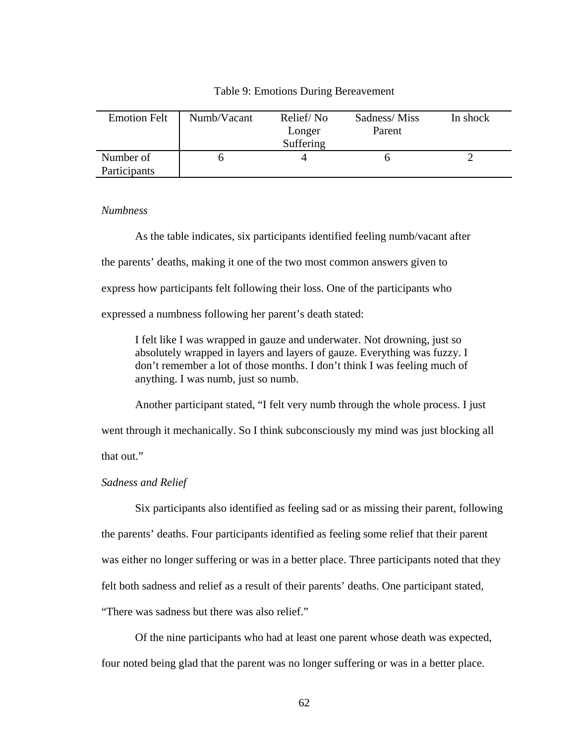#### Emotion Felt Numb/Vacant Relief/No Longer Suffering Sadness/ Miss Parent In shock

6 2

### Table 9: Emotions During Bereavement

### *Numbness*

Number of **Participants** 

As the table indicates, six participants identified feeling numb/vacant after the parents' deaths, making it one of the two most common answers given to express how participants felt following their loss. One of the participants who expressed a numbness following her parent's death stated:

I felt like I was wrapped in gauze and underwater. Not drowning, just so absolutely wrapped in layers and layers of gauze. Everything was fuzzy. I don't remember a lot of those months. I don't think I was feeling much of anything. I was numb, just so numb.

Another participant stated, "I felt very numb through the whole process. I just

went through it mechanically. So I think subconsciously my mind was just blocking all that out."

## *Sadness and Relief*

Six participants also identified as feeling sad or as missing their parent, following the parents' deaths. Four participants identified as feeling some relief that their parent was either no longer suffering or was in a better place. Three participants noted that they felt both sadness and relief as a result of their parents' deaths. One participant stated, "There was sadness but there was also relief."

Of the nine participants who had at least one parent whose death was expected, four noted being glad that the parent was no longer suffering or was in a better place.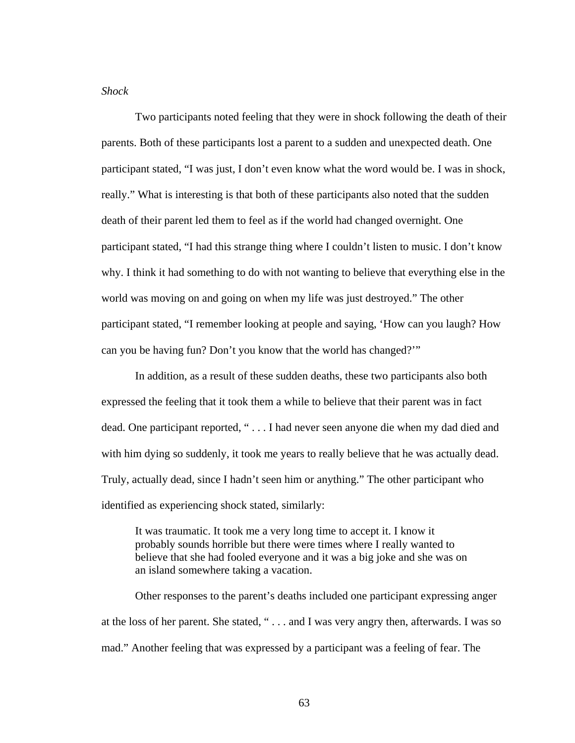*Shock* 

Two participants noted feeling that they were in shock following the death of their parents. Both of these participants lost a parent to a sudden and unexpected death. One participant stated, "I was just, I don't even know what the word would be. I was in shock, really." What is interesting is that both of these participants also noted that the sudden death of their parent led them to feel as if the world had changed overnight. One participant stated, "I had this strange thing where I couldn't listen to music. I don't know why. I think it had something to do with not wanting to believe that everything else in the world was moving on and going on when my life was just destroyed." The other participant stated, "I remember looking at people and saying, 'How can you laugh? How can you be having fun? Don't you know that the world has changed?'"

In addition, as a result of these sudden deaths, these two participants also both expressed the feeling that it took them a while to believe that their parent was in fact dead. One participant reported, " . . . I had never seen anyone die when my dad died and with him dying so suddenly, it took me years to really believe that he was actually dead. Truly, actually dead, since I hadn't seen him or anything." The other participant who identified as experiencing shock stated, similarly:

It was traumatic. It took me a very long time to accept it. I know it probably sounds horrible but there were times where I really wanted to believe that she had fooled everyone and it was a big joke and she was on an island somewhere taking a vacation.

Other responses to the parent's deaths included one participant expressing anger at the loss of her parent. She stated, " . . . and I was very angry then, afterwards. I was so mad." Another feeling that was expressed by a participant was a feeling of fear. The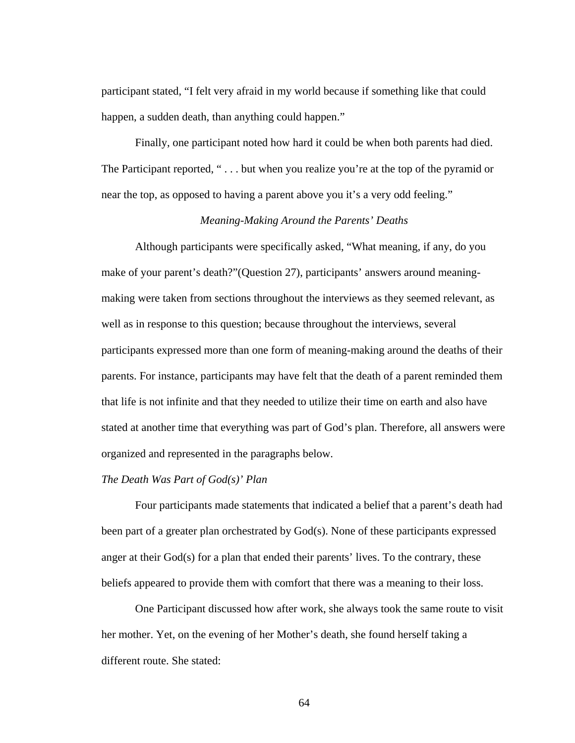participant stated, "I felt very afraid in my world because if something like that could happen, a sudden death, than anything could happen."

 Finally, one participant noted how hard it could be when both parents had died. The Participant reported, "... but when you realize you're at the top of the pyramid or near the top, as opposed to having a parent above you it's a very odd feeling."

### *Meaning-Making Around the Parents' Deaths*

Although participants were specifically asked, "What meaning, if any, do you make of your parent's death?"(Question 27), participants' answers around meaningmaking were taken from sections throughout the interviews as they seemed relevant, as well as in response to this question; because throughout the interviews, several participants expressed more than one form of meaning-making around the deaths of their parents. For instance, participants may have felt that the death of a parent reminded them that life is not infinite and that they needed to utilize their time on earth and also have stated at another time that everything was part of God's plan. Therefore, all answers were organized and represented in the paragraphs below.

### *The Death Was Part of God(s)' Plan*

 Four participants made statements that indicated a belief that a parent's death had been part of a greater plan orchestrated by God(s). None of these participants expressed anger at their God(s) for a plan that ended their parents' lives. To the contrary, these beliefs appeared to provide them with comfort that there was a meaning to their loss.

 One Participant discussed how after work, she always took the same route to visit her mother. Yet, on the evening of her Mother's death, she found herself taking a different route. She stated: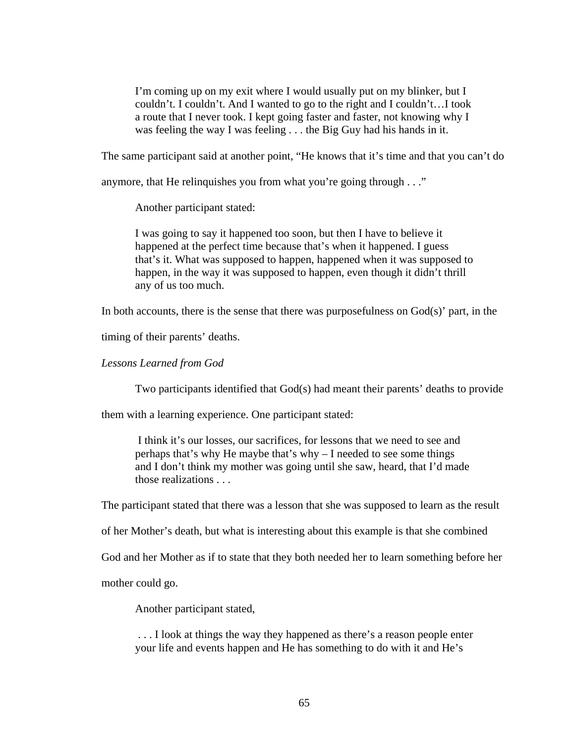I'm coming up on my exit where I would usually put on my blinker, but I couldn't. I couldn't. And I wanted to go to the right and I couldn't…I took a route that I never took. I kept going faster and faster, not knowing why I was feeling the way I was feeling . . . the Big Guy had his hands in it.

The same participant said at another point, "He knows that it's time and that you can't do

anymore, that He relinquishes you from what you're going through . . ."

Another participant stated:

I was going to say it happened too soon, but then I have to believe it happened at the perfect time because that's when it happened. I guess that's it. What was supposed to happen, happened when it was supposed to happen, in the way it was supposed to happen, even though it didn't thrill any of us too much.

In both accounts, there is the sense that there was purposefulness on  $God(s)$  part, in the

timing of their parents' deaths.

*Lessons Learned from God* 

Two participants identified that God(s) had meant their parents' deaths to provide

them with a learning experience. One participant stated:

 I think it's our losses, our sacrifices, for lessons that we need to see and perhaps that's why He maybe that's why – I needed to see some things and I don't think my mother was going until she saw, heard, that I'd made those realizations . . .

The participant stated that there was a lesson that she was supposed to learn as the result

of her Mother's death, but what is interesting about this example is that she combined

God and her Mother as if to state that they both needed her to learn something before her

mother could go.

Another participant stated,

... I look at things the way they happened as there's a reason people enter your life and events happen and He has something to do with it and He's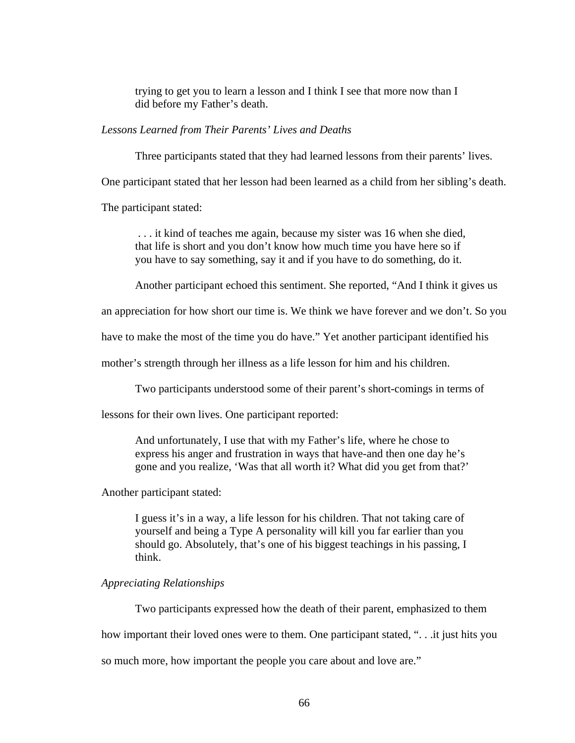trying to get you to learn a lesson and I think I see that more now than I did before my Father's death.

### *Lessons Learned from Their Parents' Lives and Deaths*

Three participants stated that they had learned lessons from their parents' lives.

One participant stated that her lesson had been learned as a child from her sibling's death.

The participant stated:

 . . . it kind of teaches me again, because my sister was 16 when she died, that life is short and you don't know how much time you have here so if you have to say something, say it and if you have to do something, do it.

Another participant echoed this sentiment. She reported, "And I think it gives us

an appreciation for how short our time is. We think we have forever and we don't. So you

have to make the most of the time you do have." Yet another participant identified his

mother's strength through her illness as a life lesson for him and his children.

Two participants understood some of their parent's short-comings in terms of

lessons for their own lives. One participant reported:

And unfortunately, I use that with my Father's life, where he chose to express his anger and frustration in ways that have-and then one day he's gone and you realize, 'Was that all worth it? What did you get from that?'

Another participant stated:

I guess it's in a way, a life lesson for his children. That not taking care of yourself and being a Type A personality will kill you far earlier than you should go. Absolutely, that's one of his biggest teachings in his passing, I think.

### *Appreciating Relationships*

Two participants expressed how the death of their parent, emphasized to them

how important their loved ones were to them. One participant stated, ". . .it just hits you

so much more, how important the people you care about and love are."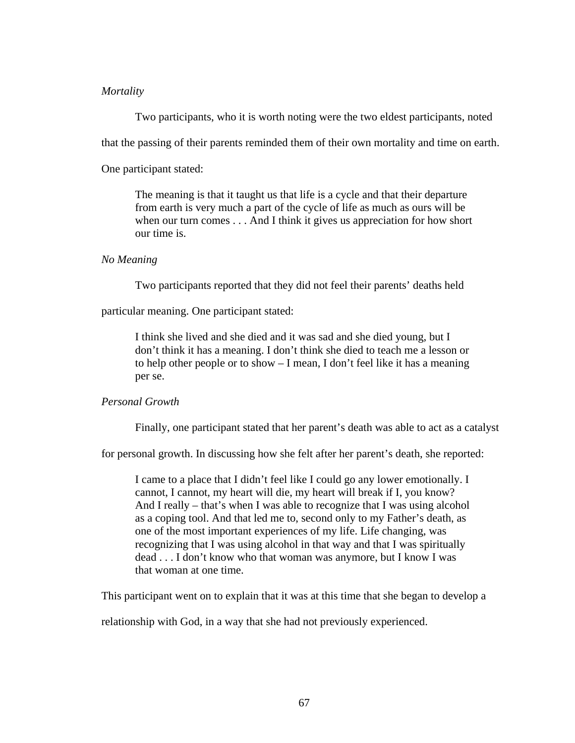### *Mortality*

Two participants, who it is worth noting were the two eldest participants, noted

that the passing of their parents reminded them of their own mortality and time on earth.

One participant stated:

The meaning is that it taught us that life is a cycle and that their departure from earth is very much a part of the cycle of life as much as ours will be when our turn comes . . . And I think it gives us appreciation for how short our time is.

#### *No Meaning*

Two participants reported that they did not feel their parents' deaths held

particular meaning. One participant stated:

I think she lived and she died and it was sad and she died young, but I don't think it has a meaning. I don't think she died to teach me a lesson or to help other people or to show – I mean, I don't feel like it has a meaning per se.

### *Personal Growth*

Finally, one participant stated that her parent's death was able to act as a catalyst

for personal growth. In discussing how she felt after her parent's death, she reported:

I came to a place that I didn't feel like I could go any lower emotionally. I cannot, I cannot, my heart will die, my heart will break if I, you know? And I really – that's when I was able to recognize that I was using alcohol as a coping tool. And that led me to, second only to my Father's death, as one of the most important experiences of my life. Life changing, was recognizing that I was using alcohol in that way and that I was spiritually dead . . . I don't know who that woman was anymore, but I know I was that woman at one time.

This participant went on to explain that it was at this time that she began to develop a

relationship with God, in a way that she had not previously experienced.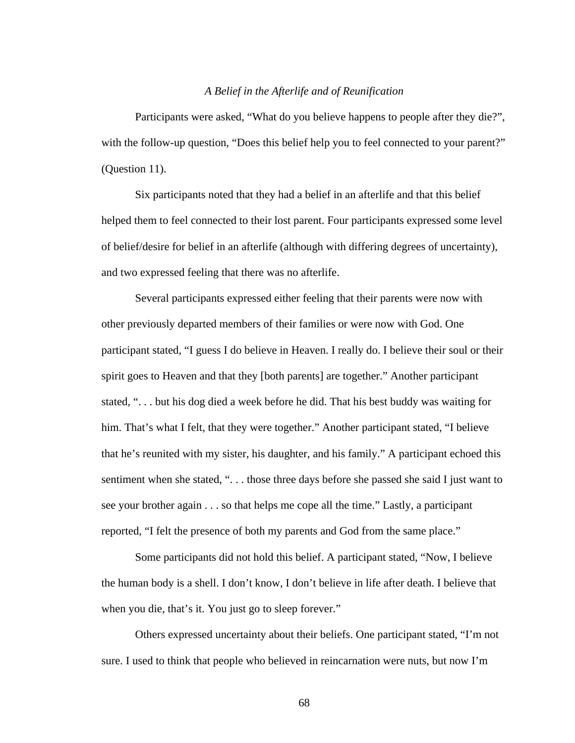#### *A Belief in the Afterlife and of Reunification*

 Participants were asked, "What do you believe happens to people after they die?", with the follow-up question, "Does this belief help you to feel connected to your parent?" (Question 11).

Six participants noted that they had a belief in an afterlife and that this belief helped them to feel connected to their lost parent. Four participants expressed some level of belief/desire for belief in an afterlife (although with differing degrees of uncertainty), and two expressed feeling that there was no afterlife.

Several participants expressed either feeling that their parents were now with other previously departed members of their families or were now with God. One participant stated, "I guess I do believe in Heaven. I really do. I believe their soul or their spirit goes to Heaven and that they [both parents] are together." Another participant stated, ". . . but his dog died a week before he did. That his best buddy was waiting for him. That's what I felt, that they were together." Another participant stated, "I believe that he's reunited with my sister, his daughter, and his family." A participant echoed this sentiment when she stated, "... those three days before she passed she said I just want to see your brother again . . . so that helps me cope all the time." Lastly, a participant reported, "I felt the presence of both my parents and God from the same place."

Some participants did not hold this belief. A participant stated, "Now, I believe the human body is a shell. I don't know, I don't believe in life after death. I believe that when you die, that's it. You just go to sleep forever."

Others expressed uncertainty about their beliefs. One participant stated, "I'm not sure. I used to think that people who believed in reincarnation were nuts, but now I'm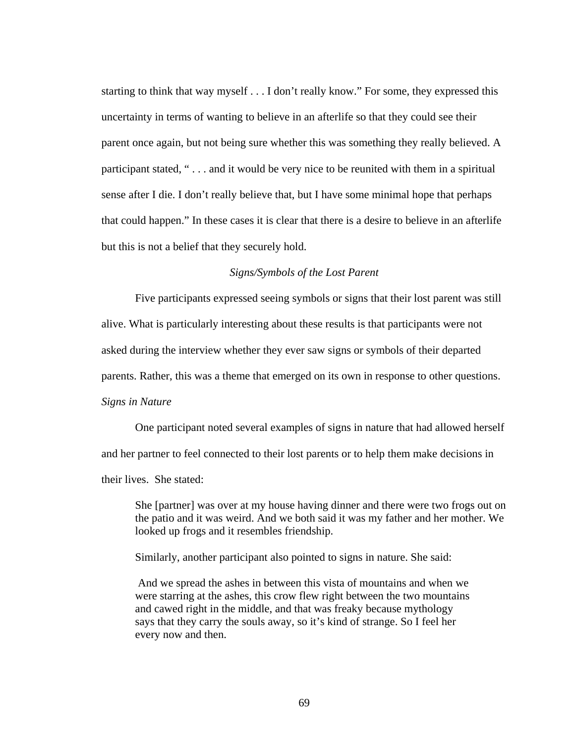starting to think that way myself . . . I don't really know." For some, they expressed this uncertainty in terms of wanting to believe in an afterlife so that they could see their parent once again, but not being sure whether this was something they really believed. A participant stated, " . . . and it would be very nice to be reunited with them in a spiritual sense after I die. I don't really believe that, but I have some minimal hope that perhaps that could happen." In these cases it is clear that there is a desire to believe in an afterlife but this is not a belief that they securely hold.

#### *Signs/Symbols of the Lost Parent*

 Five participants expressed seeing symbols or signs that their lost parent was still alive. What is particularly interesting about these results is that participants were not asked during the interview whether they ever saw signs or symbols of their departed parents. Rather, this was a theme that emerged on its own in response to other questions. *Signs in Nature* 

 One participant noted several examples of signs in nature that had allowed herself and her partner to feel connected to their lost parents or to help them make decisions in their lives. She stated:

She [partner] was over at my house having dinner and there were two frogs out on the patio and it was weird. And we both said it was my father and her mother. We looked up frogs and it resembles friendship.

Similarly, another participant also pointed to signs in nature. She said:

 And we spread the ashes in between this vista of mountains and when we were starring at the ashes, this crow flew right between the two mountains and cawed right in the middle, and that was freaky because mythology says that they carry the souls away, so it's kind of strange. So I feel her every now and then.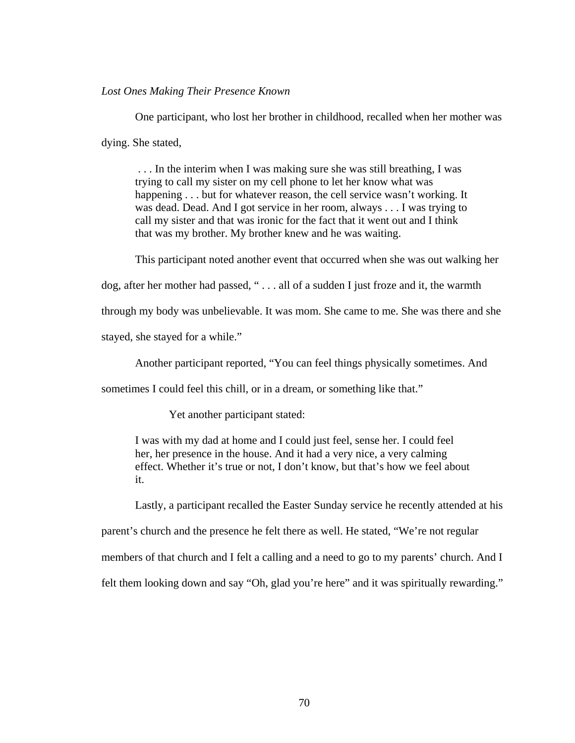#### *Lost Ones Making Their Presence Known*

 One participant, who lost her brother in childhood, recalled when her mother was dying. She stated,

 . . . In the interim when I was making sure she was still breathing, I was trying to call my sister on my cell phone to let her know what was happening . . . but for whatever reason, the cell service wasn't working. It was dead. Dead. And I got service in her room, always . . . I was trying to call my sister and that was ironic for the fact that it went out and I think that was my brother. My brother knew and he was waiting.

This participant noted another event that occurred when she was out walking her

dog, after her mother had passed, " . . . all of a sudden I just froze and it, the warmth

through my body was unbelievable. It was mom. She came to me. She was there and she

stayed, she stayed for a while."

Another participant reported, "You can feel things physically sometimes. And

sometimes I could feel this chill, or in a dream, or something like that."

Yet another participant stated:

I was with my dad at home and I could just feel, sense her. I could feel her, her presence in the house. And it had a very nice, a very calming effect. Whether it's true or not, I don't know, but that's how we feel about it.

Lastly, a participant recalled the Easter Sunday service he recently attended at his

parent's church and the presence he felt there as well. He stated, "We're not regular

members of that church and I felt a calling and a need to go to my parents' church. And I

felt them looking down and say "Oh, glad you're here" and it was spiritually rewarding."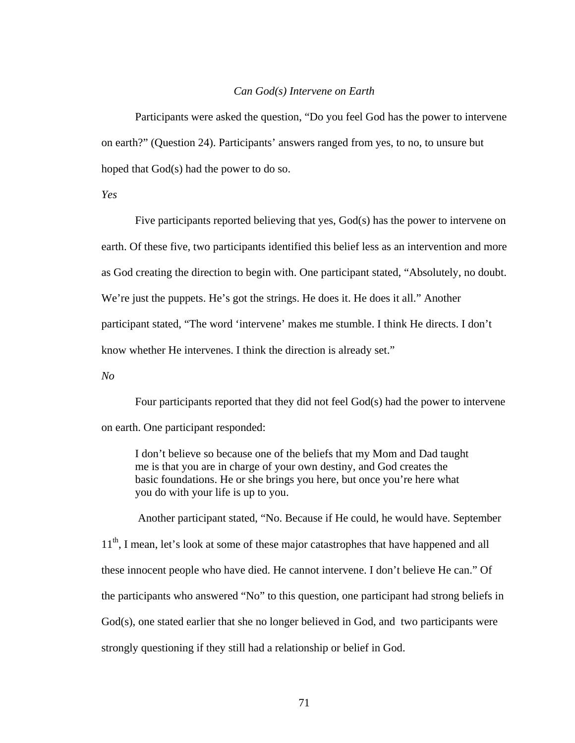#### *Can God(s) Intervene on Earth*

 Participants were asked the question, "Do you feel God has the power to intervene on earth?" (Question 24). Participants' answers ranged from yes, to no, to unsure but hoped that God(s) had the power to do so.

*Yes* 

Five participants reported believing that yes, God(s) has the power to intervene on earth. Of these five, two participants identified this belief less as an intervention and more as God creating the direction to begin with. One participant stated, "Absolutely, no doubt. We're just the puppets. He's got the strings. He does it. He does it all." Another participant stated, "The word 'intervene' makes me stumble. I think He directs. I don't know whether He intervenes. I think the direction is already set."

*No* 

Four participants reported that they did not feel God(s) had the power to intervene on earth. One participant responded:

I don't believe so because one of the beliefs that my Mom and Dad taught me is that you are in charge of your own destiny, and God creates the basic foundations. He or she brings you here, but once you're here what you do with your life is up to you.

 Another participant stated, "No. Because if He could, he would have. September 11<sup>th</sup>, I mean, let's look at some of these major catastrophes that have happened and all these innocent people who have died. He cannot intervene. I don't believe He can." Of the participants who answered "No" to this question, one participant had strong beliefs in God(s), one stated earlier that she no longer believed in God, and two participants were strongly questioning if they still had a relationship or belief in God.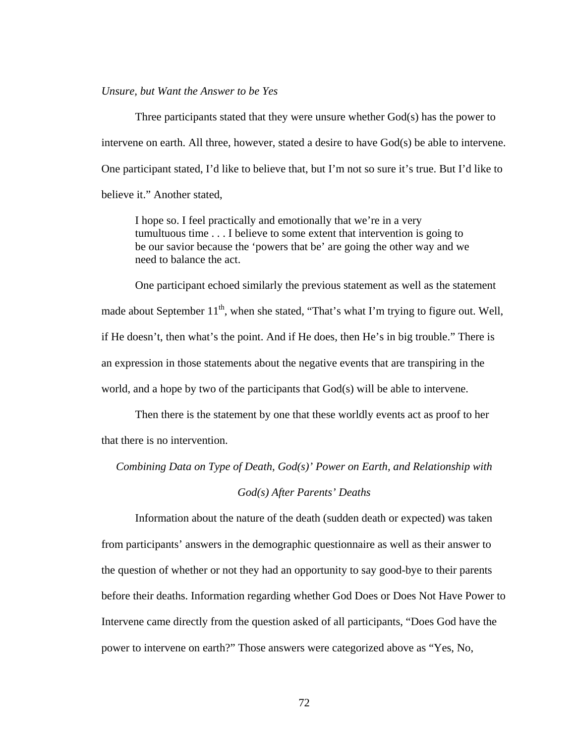*Unsure, but Want the Answer to be Yes* 

Three participants stated that they were unsure whether God(s) has the power to intervene on earth. All three, however, stated a desire to have God(s) be able to intervene. One participant stated, I'd like to believe that, but I'm not so sure it's true. But I'd like to believe it." Another stated,

I hope so. I feel practically and emotionally that we're in a very tumultuous time . . . I believe to some extent that intervention is going to be our savior because the 'powers that be' are going the other way and we need to balance the act.

One participant echoed similarly the previous statement as well as the statement made about September  $11<sup>th</sup>$ , when she stated, "That's what I'm trying to figure out. Well, if He doesn't, then what's the point. And if He does, then He's in big trouble." There is an expression in those statements about the negative events that are transpiring in the world, and a hope by two of the participants that God(s) will be able to intervene.

Then there is the statement by one that these worldly events act as proof to her that there is no intervention.

*Combining Data on Type of Death, God(s)' Power on Earth, and Relationship with* 

### *God(s) After Parents' Deaths*

 Information about the nature of the death (sudden death or expected) was taken from participants' answers in the demographic questionnaire as well as their answer to the question of whether or not they had an opportunity to say good-bye to their parents before their deaths. Information regarding whether God Does or Does Not Have Power to Intervene came directly from the question asked of all participants, "Does God have the power to intervene on earth?" Those answers were categorized above as "Yes, No,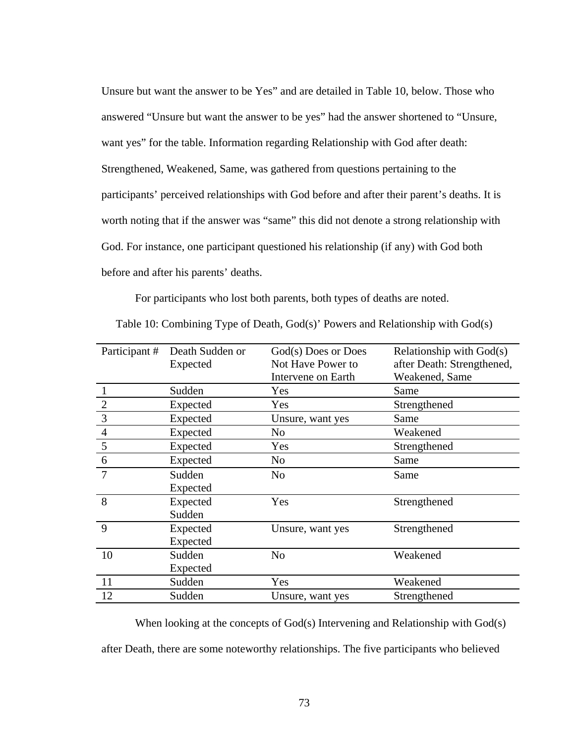Unsure but want the answer to be Yes" and are detailed in Table 10, below. Those who answered "Unsure but want the answer to be yes" had the answer shortened to "Unsure, want yes" for the table. Information regarding Relationship with God after death: Strengthened, Weakened, Same, was gathered from questions pertaining to the participants' perceived relationships with God before and after their parent's deaths. It is worth noting that if the answer was "same" this did not denote a strong relationship with God. For instance, one participant questioned his relationship (if any) with God both before and after his parents' deaths.

For participants who lost both parents, both types of deaths are noted.

| Participant #  | Death Sudden or | God(s) Does or Does | Relationship with God(s)   |
|----------------|-----------------|---------------------|----------------------------|
|                | Expected        | Not Have Power to   | after Death: Strengthened, |
|                |                 | Intervene on Earth  | Weakened, Same             |
|                | Sudden          | Yes                 | Same                       |
| $\frac{2}{3}$  | Expected        | Yes                 | Strengthened               |
|                | Expected        | Unsure, want yes    | Same                       |
| $\frac{4}{1}$  | Expected        | No                  | Weakened                   |
| $\overline{5}$ | Expected        | Yes                 | Strengthened               |
| $6\,$          | Expected        | No                  | Same                       |
| $\tau$         | Sudden          | N <sub>o</sub>      | Same                       |
|                | Expected        |                     |                            |
| 8              | Expected        | Yes                 | Strengthened               |
|                | Sudden          |                     |                            |
| 9              | Expected        | Unsure, want yes    | Strengthened               |
|                | Expected        |                     |                            |
| 10             | Sudden          | No                  | Weakened                   |
|                | Expected        |                     |                            |
| 11             | Sudden          | Yes                 | Weakened                   |
| 12             | Sudden          | Unsure, want yes    | Strengthened               |

Table 10: Combining Type of Death, God(s)' Powers and Relationship with God(s)

 When looking at the concepts of God(s) Intervening and Relationship with God(s) after Death, there are some noteworthy relationships. The five participants who believed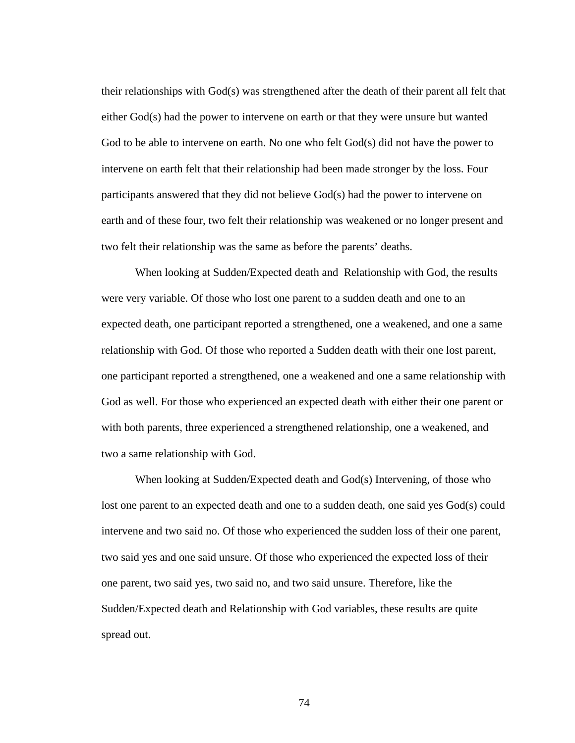their relationships with God(s) was strengthened after the death of their parent all felt that either God(s) had the power to intervene on earth or that they were unsure but wanted God to be able to intervene on earth. No one who felt  $God(s)$  did not have the power to intervene on earth felt that their relationship had been made stronger by the loss. Four participants answered that they did not believe God(s) had the power to intervene on earth and of these four, two felt their relationship was weakened or no longer present and two felt their relationship was the same as before the parents' deaths.

 When looking at Sudden/Expected death and Relationship with God, the results were very variable. Of those who lost one parent to a sudden death and one to an expected death, one participant reported a strengthened, one a weakened, and one a same relationship with God. Of those who reported a Sudden death with their one lost parent, one participant reported a strengthened, one a weakened and one a same relationship with God as well. For those who experienced an expected death with either their one parent or with both parents, three experienced a strengthened relationship, one a weakened, and two a same relationship with God.

When looking at Sudden/Expected death and God(s) Intervening, of those who lost one parent to an expected death and one to a sudden death, one said yes God(s) could intervene and two said no. Of those who experienced the sudden loss of their one parent, two said yes and one said unsure. Of those who experienced the expected loss of their one parent, two said yes, two said no, and two said unsure. Therefore, like the Sudden/Expected death and Relationship with God variables, these results are quite spread out.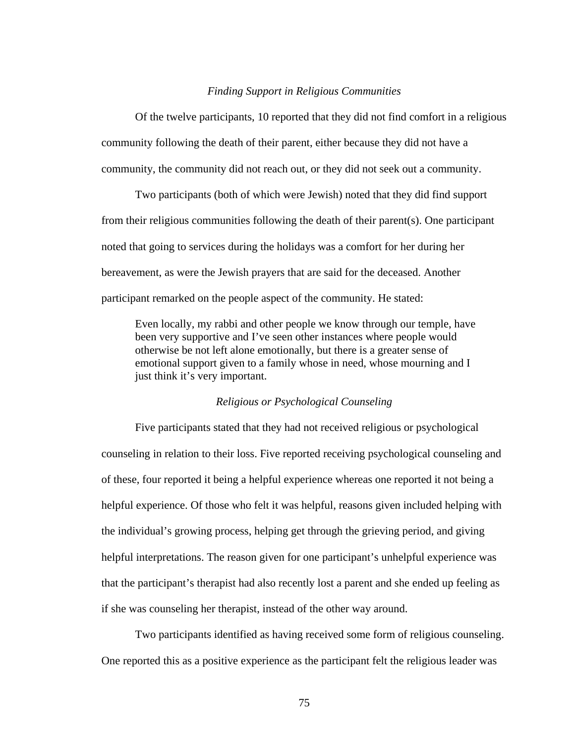#### *Finding Support in Religious Communities*

 Of the twelve participants, 10 reported that they did not find comfort in a religious community following the death of their parent, either because they did not have a community, the community did not reach out, or they did not seek out a community.

Two participants (both of which were Jewish) noted that they did find support from their religious communities following the death of their parent(s). One participant noted that going to services during the holidays was a comfort for her during her bereavement, as were the Jewish prayers that are said for the deceased. Another participant remarked on the people aspect of the community. He stated:

Even locally, my rabbi and other people we know through our temple, have been very supportive and I've seen other instances where people would otherwise be not left alone emotionally, but there is a greater sense of emotional support given to a family whose in need, whose mourning and I just think it's very important.

# *Religious or Psychological Counseling*

 Five participants stated that they had not received religious or psychological counseling in relation to their loss. Five reported receiving psychological counseling and of these, four reported it being a helpful experience whereas one reported it not being a helpful experience. Of those who felt it was helpful, reasons given included helping with the individual's growing process, helping get through the grieving period, and giving helpful interpretations. The reason given for one participant's unhelpful experience was that the participant's therapist had also recently lost a parent and she ended up feeling as if she was counseling her therapist, instead of the other way around.

 Two participants identified as having received some form of religious counseling. One reported this as a positive experience as the participant felt the religious leader was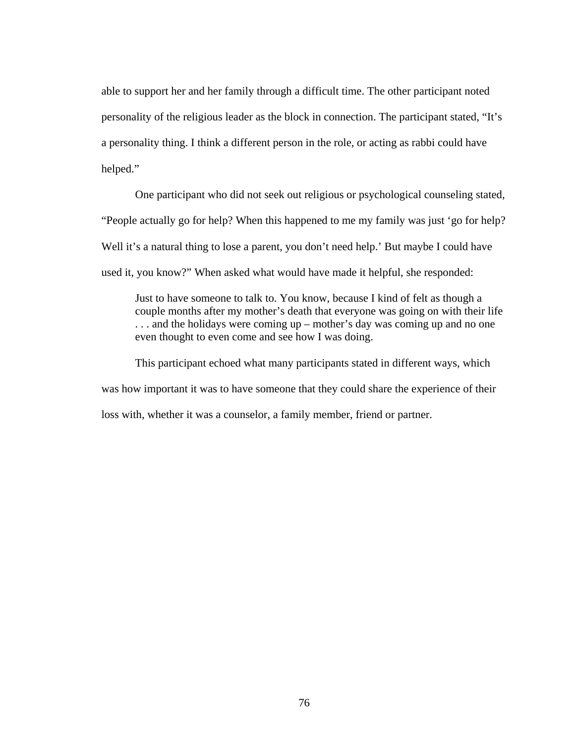able to support her and her family through a difficult time. The other participant noted personality of the religious leader as the block in connection. The participant stated, "It's a personality thing. I think a different person in the role, or acting as rabbi could have helped."

 One participant who did not seek out religious or psychological counseling stated, "People actually go for help? When this happened to me my family was just 'go for help? Well it's a natural thing to lose a parent, you don't need help.' But maybe I could have used it, you know?" When asked what would have made it helpful, she responded:

Just to have someone to talk to. You know, because I kind of felt as though a couple months after my mother's death that everyone was going on with their life . . . and the holidays were coming up – mother's day was coming up and no one even thought to even come and see how I was doing.

This participant echoed what many participants stated in different ways, which was how important it was to have someone that they could share the experience of their loss with, whether it was a counselor, a family member, friend or partner.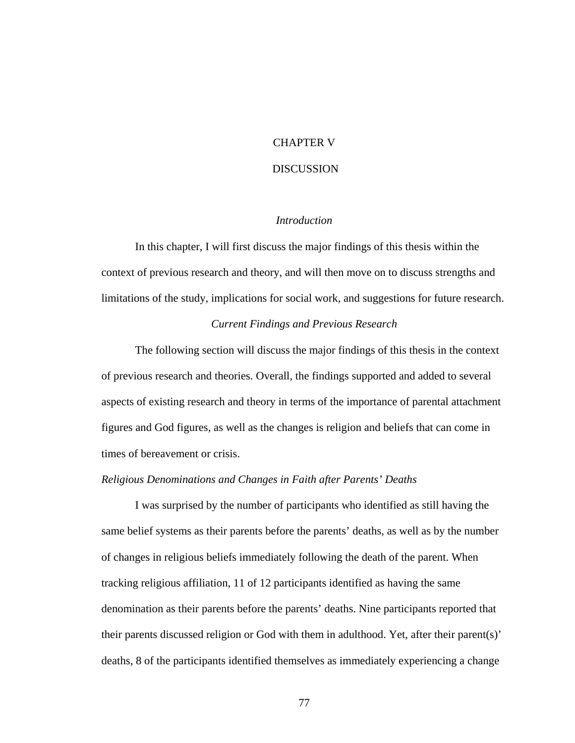# CHAPTER V

#### DISCUSSION

## *Introduction*

 In this chapter, I will first discuss the major findings of this thesis within the context of previous research and theory, and will then move on to discuss strengths and limitations of the study, implications for social work, and suggestions for future research.

# *Current Findings and Previous Research*

 The following section will discuss the major findings of this thesis in the context of previous research and theories. Overall, the findings supported and added to several aspects of existing research and theory in terms of the importance of parental attachment figures and God figures, as well as the changes is religion and beliefs that can come in times of bereavement or crisis.

# *Religious Denominations and Changes in Faith after Parents' Deaths*

I was surprised by the number of participants who identified as still having the same belief systems as their parents before the parents' deaths, as well as by the number of changes in religious beliefs immediately following the death of the parent. When tracking religious affiliation, 11 of 12 participants identified as having the same denomination as their parents before the parents' deaths. Nine participants reported that their parents discussed religion or God with them in adulthood. Yet, after their parent(s)' deaths, 8 of the participants identified themselves as immediately experiencing a change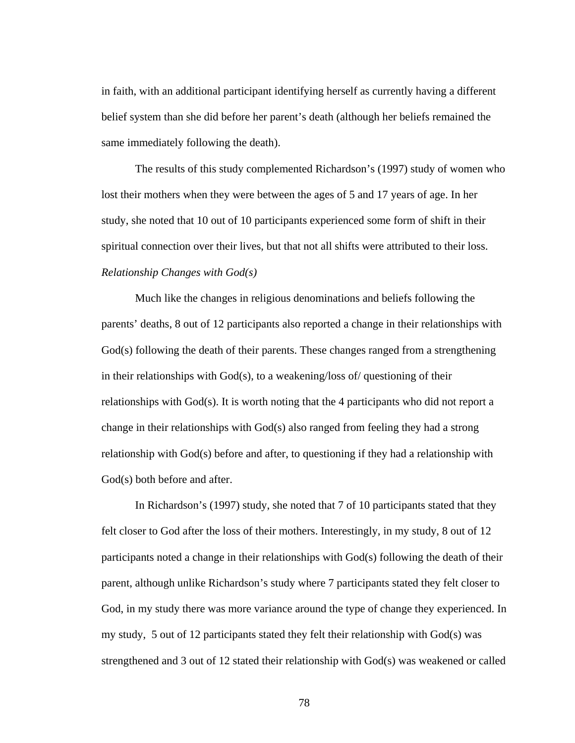in faith, with an additional participant identifying herself as currently having a different belief system than she did before her parent's death (although her beliefs remained the same immediately following the death).

 The results of this study complemented Richardson's (1997) study of women who lost their mothers when they were between the ages of 5 and 17 years of age. In her study, she noted that 10 out of 10 participants experienced some form of shift in their spiritual connection over their lives, but that not all shifts were attributed to their loss. *Relationship Changes with God(s)* 

 Much like the changes in religious denominations and beliefs following the parents' deaths, 8 out of 12 participants also reported a change in their relationships with God(s) following the death of their parents. These changes ranged from a strengthening in their relationships with God(s), to a weakening/loss of/ questioning of their relationships with God(s). It is worth noting that the 4 participants who did not report a change in their relationships with God(s) also ranged from feeling they had a strong relationship with God(s) before and after, to questioning if they had a relationship with God(s) both before and after.

In Richardson's (1997) study, she noted that 7 of 10 participants stated that they felt closer to God after the loss of their mothers. Interestingly, in my study, 8 out of 12 participants noted a change in their relationships with God(s) following the death of their parent, although unlike Richardson's study where 7 participants stated they felt closer to God, in my study there was more variance around the type of change they experienced. In my study, 5 out of 12 participants stated they felt their relationship with God(s) was strengthened and 3 out of 12 stated their relationship with God(s) was weakened or called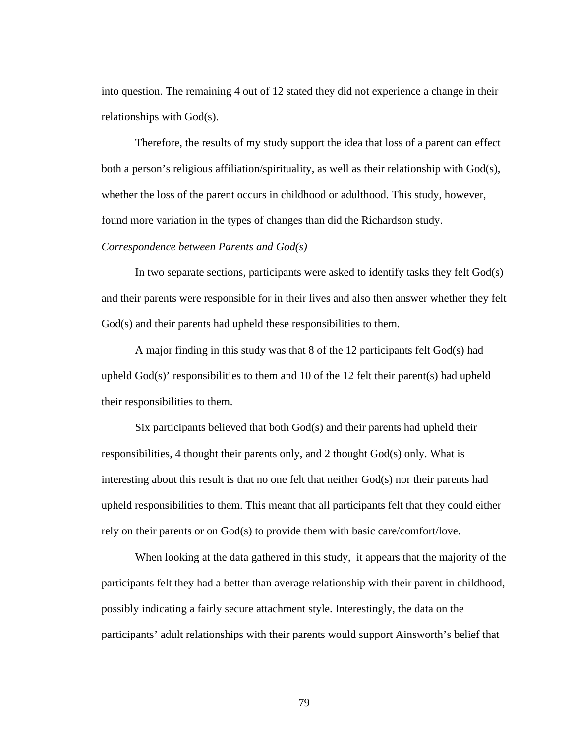into question. The remaining 4 out of 12 stated they did not experience a change in their relationships with God(s).

Therefore, the results of my study support the idea that loss of a parent can effect both a person's religious affiliation/spirituality, as well as their relationship with  $God(s)$ , whether the loss of the parent occurs in childhood or adulthood. This study, however, found more variation in the types of changes than did the Richardson study.

# *Correspondence between Parents and God(s)*

 In two separate sections, participants were asked to identify tasks they felt God(s) and their parents were responsible for in their lives and also then answer whether they felt God(s) and their parents had upheld these responsibilities to them.

A major finding in this study was that 8 of the 12 participants felt God(s) had upheld God(s)' responsibilities to them and 10 of the 12 felt their parent(s) had upheld their responsibilities to them.

Six participants believed that both God(s) and their parents had upheld their responsibilities, 4 thought their parents only, and 2 thought God(s) only. What is interesting about this result is that no one felt that neither God(s) nor their parents had upheld responsibilities to them. This meant that all participants felt that they could either rely on their parents or on God(s) to provide them with basic care/comfort/love.

 When looking at the data gathered in this study, it appears that the majority of the participants felt they had a better than average relationship with their parent in childhood, possibly indicating a fairly secure attachment style. Interestingly, the data on the participants' adult relationships with their parents would support Ainsworth's belief that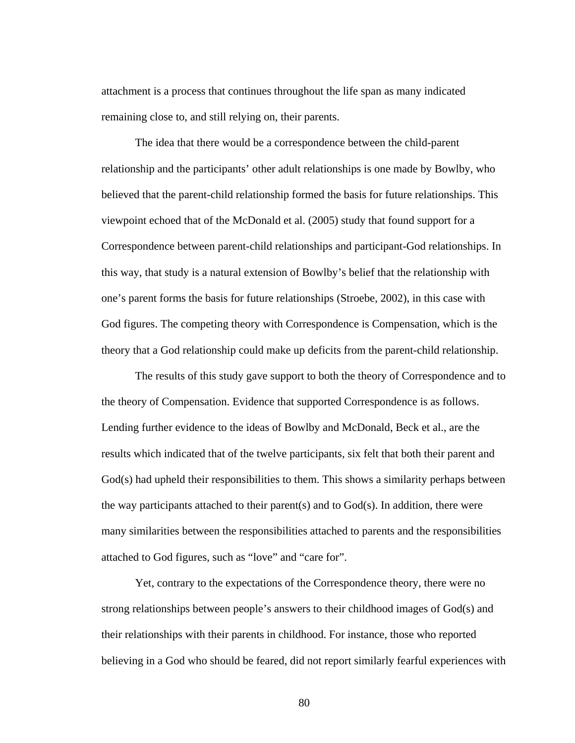attachment is a process that continues throughout the life span as many indicated remaining close to, and still relying on, their parents.

 The idea that there would be a correspondence between the child-parent relationship and the participants' other adult relationships is one made by Bowlby, who believed that the parent-child relationship formed the basis for future relationships. This viewpoint echoed that of the McDonald et al. (2005) study that found support for a Correspondence between parent-child relationships and participant-God relationships. In this way, that study is a natural extension of Bowlby's belief that the relationship with one's parent forms the basis for future relationships (Stroebe, 2002), in this case with God figures. The competing theory with Correspondence is Compensation, which is the theory that a God relationship could make up deficits from the parent-child relationship.

 The results of this study gave support to both the theory of Correspondence and to the theory of Compensation. Evidence that supported Correspondence is as follows. Lending further evidence to the ideas of Bowlby and McDonald, Beck et al., are the results which indicated that of the twelve participants, six felt that both their parent and God(s) had upheld their responsibilities to them. This shows a similarity perhaps between the way participants attached to their parent(s) and to God(s). In addition, there were many similarities between the responsibilities attached to parents and the responsibilities attached to God figures, such as "love" and "care for".

Yet, contrary to the expectations of the Correspondence theory, there were no strong relationships between people's answers to their childhood images of God(s) and their relationships with their parents in childhood. For instance, those who reported believing in a God who should be feared, did not report similarly fearful experiences with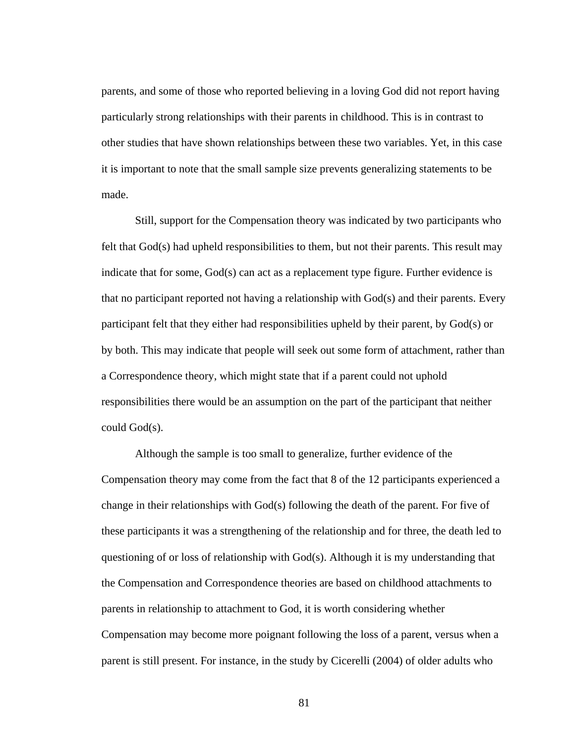parents, and some of those who reported believing in a loving God did not report having particularly strong relationships with their parents in childhood. This is in contrast to other studies that have shown relationships between these two variables. Yet, in this case it is important to note that the small sample size prevents generalizing statements to be made.

Still, support for the Compensation theory was indicated by two participants who felt that God(s) had upheld responsibilities to them, but not their parents. This result may indicate that for some, God(s) can act as a replacement type figure. Further evidence is that no participant reported not having a relationship with God(s) and their parents. Every participant felt that they either had responsibilities upheld by their parent, by God(s) or by both. This may indicate that people will seek out some form of attachment, rather than a Correspondence theory, which might state that if a parent could not uphold responsibilities there would be an assumption on the part of the participant that neither could God(s).

 Although the sample is too small to generalize, further evidence of the Compensation theory may come from the fact that 8 of the 12 participants experienced a change in their relationships with God(s) following the death of the parent. For five of these participants it was a strengthening of the relationship and for three, the death led to questioning of or loss of relationship with God(s). Although it is my understanding that the Compensation and Correspondence theories are based on childhood attachments to parents in relationship to attachment to God, it is worth considering whether Compensation may become more poignant following the loss of a parent, versus when a parent is still present. For instance, in the study by Cicerelli (2004) of older adults who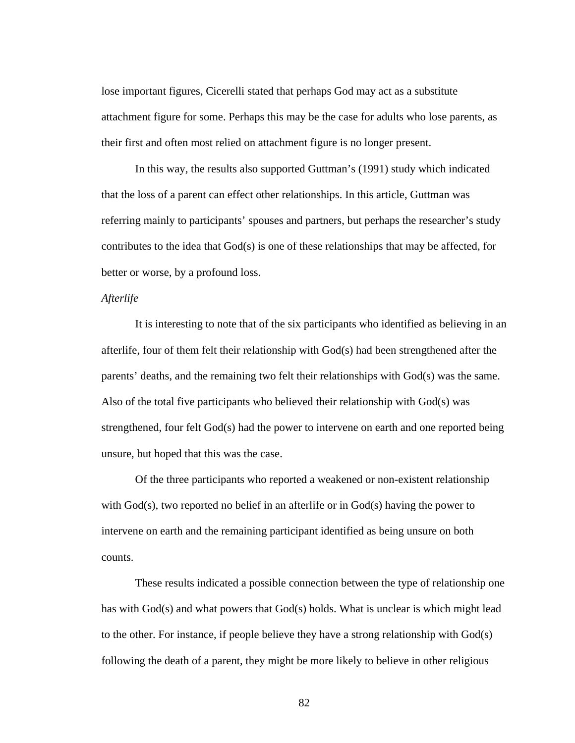lose important figures, Cicerelli stated that perhaps God may act as a substitute attachment figure for some. Perhaps this may be the case for adults who lose parents, as their first and often most relied on attachment figure is no longer present.

 In this way, the results also supported Guttman's (1991) study which indicated that the loss of a parent can effect other relationships. In this article, Guttman was referring mainly to participants' spouses and partners, but perhaps the researcher's study contributes to the idea that God(s) is one of these relationships that may be affected, for better or worse, by a profound loss.

#### *Afterlife*

It is interesting to note that of the six participants who identified as believing in an afterlife, four of them felt their relationship with God(s) had been strengthened after the parents' deaths, and the remaining two felt their relationships with God(s) was the same. Also of the total five participants who believed their relationship with God(s) was strengthened, four felt God(s) had the power to intervene on earth and one reported being unsure, but hoped that this was the case.

 Of the three participants who reported a weakened or non-existent relationship with God(s), two reported no belief in an afterlife or in God(s) having the power to intervene on earth and the remaining participant identified as being unsure on both counts.

 These results indicated a possible connection between the type of relationship one has with God(s) and what powers that God(s) holds. What is unclear is which might lead to the other. For instance, if people believe they have a strong relationship with God(s) following the death of a parent, they might be more likely to believe in other religious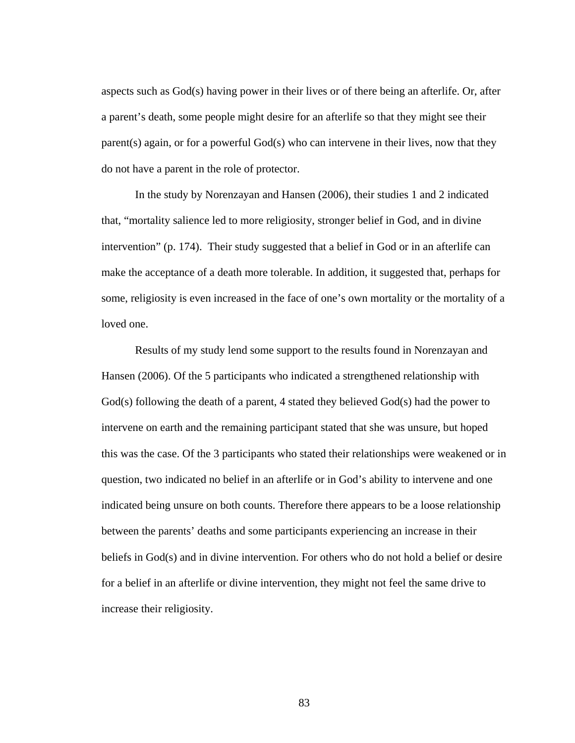aspects such as  $God(s)$  having power in their lives or of there being an afterlife. Or, after a parent's death, some people might desire for an afterlife so that they might see their parent(s) again, or for a powerful God(s) who can intervene in their lives, now that they do not have a parent in the role of protector.

In the study by Norenzayan and Hansen (2006), their studies 1 and 2 indicated that, "mortality salience led to more religiosity, stronger belief in God, and in divine intervention" (p. 174). Their study suggested that a belief in God or in an afterlife can make the acceptance of a death more tolerable. In addition, it suggested that, perhaps for some, religiosity is even increased in the face of one's own mortality or the mortality of a loved one.

 Results of my study lend some support to the results found in Norenzayan and Hansen (2006). Of the 5 participants who indicated a strengthened relationship with God(s) following the death of a parent, 4 stated they believed God(s) had the power to intervene on earth and the remaining participant stated that she was unsure, but hoped this was the case. Of the 3 participants who stated their relationships were weakened or in question, two indicated no belief in an afterlife or in God's ability to intervene and one indicated being unsure on both counts. Therefore there appears to be a loose relationship between the parents' deaths and some participants experiencing an increase in their beliefs in God(s) and in divine intervention. For others who do not hold a belief or desire for a belief in an afterlife or divine intervention, they might not feel the same drive to increase their religiosity.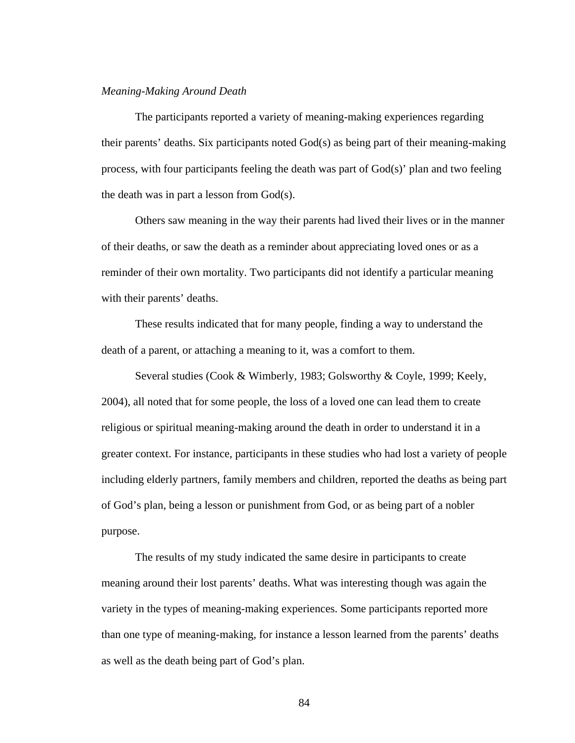#### *Meaning-Making Around Death*

The participants reported a variety of meaning-making experiences regarding their parents' deaths. Six participants noted God(s) as being part of their meaning-making process, with four participants feeling the death was part of  $God(s)$  plan and two feeling the death was in part a lesson from God(s).

 Others saw meaning in the way their parents had lived their lives or in the manner of their deaths, or saw the death as a reminder about appreciating loved ones or as a reminder of their own mortality. Two participants did not identify a particular meaning with their parents' deaths.

 These results indicated that for many people, finding a way to understand the death of a parent, or attaching a meaning to it, was a comfort to them.

Several studies (Cook & Wimberly, 1983; Golsworthy & Coyle, 1999; Keely, 2004), all noted that for some people, the loss of a loved one can lead them to create religious or spiritual meaning-making around the death in order to understand it in a greater context. For instance, participants in these studies who had lost a variety of people including elderly partners, family members and children, reported the deaths as being part of God's plan, being a lesson or punishment from God, or as being part of a nobler purpose.

The results of my study indicated the same desire in participants to create meaning around their lost parents' deaths. What was interesting though was again the variety in the types of meaning-making experiences. Some participants reported more than one type of meaning-making, for instance a lesson learned from the parents' deaths as well as the death being part of God's plan.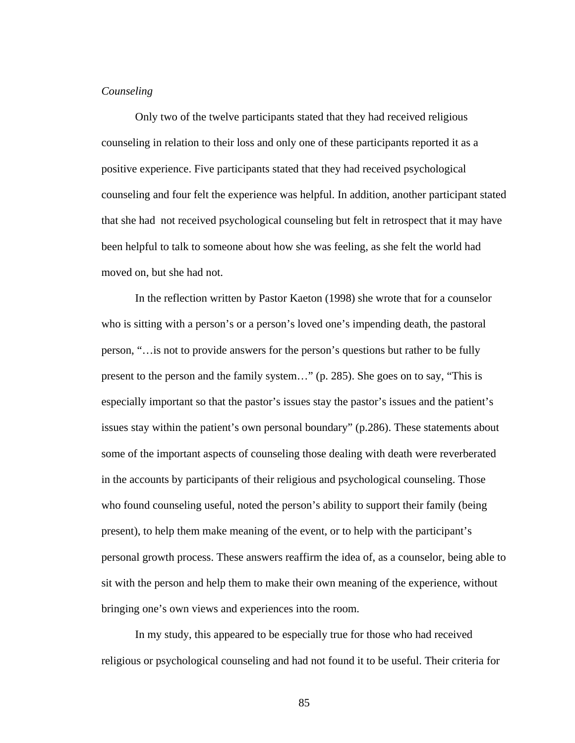#### *Counseling*

Only two of the twelve participants stated that they had received religious counseling in relation to their loss and only one of these participants reported it as a positive experience. Five participants stated that they had received psychological counseling and four felt the experience was helpful. In addition, another participant stated that she had not received psychological counseling but felt in retrospect that it may have been helpful to talk to someone about how she was feeling, as she felt the world had moved on, but she had not.

In the reflection written by Pastor Kaeton (1998) she wrote that for a counselor who is sitting with a person's or a person's loved one's impending death, the pastoral person, "…is not to provide answers for the person's questions but rather to be fully present to the person and the family system…" (p. 285). She goes on to say, "This is especially important so that the pastor's issues stay the pastor's issues and the patient's issues stay within the patient's own personal boundary" (p.286). These statements about some of the important aspects of counseling those dealing with death were reverberated in the accounts by participants of their religious and psychological counseling. Those who found counseling useful, noted the person's ability to support their family (being present), to help them make meaning of the event, or to help with the participant's personal growth process. These answers reaffirm the idea of, as a counselor, being able to sit with the person and help them to make their own meaning of the experience, without bringing one's own views and experiences into the room.

In my study, this appeared to be especially true for those who had received religious or psychological counseling and had not found it to be useful. Their criteria for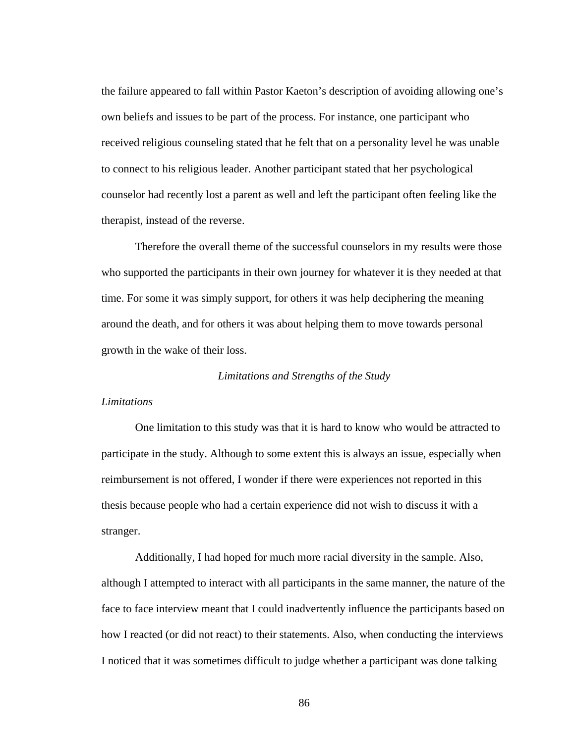the failure appeared to fall within Pastor Kaeton's description of avoiding allowing one's own beliefs and issues to be part of the process. For instance, one participant who received religious counseling stated that he felt that on a personality level he was unable to connect to his religious leader. Another participant stated that her psychological counselor had recently lost a parent as well and left the participant often feeling like the therapist, instead of the reverse.

Therefore the overall theme of the successful counselors in my results were those who supported the participants in their own journey for whatever it is they needed at that time. For some it was simply support, for others it was help deciphering the meaning around the death, and for others it was about helping them to move towards personal growth in the wake of their loss.

# *Limitations and Strengths of the Study*

# *Limitations*

One limitation to this study was that it is hard to know who would be attracted to participate in the study. Although to some extent this is always an issue, especially when reimbursement is not offered, I wonder if there were experiences not reported in this thesis because people who had a certain experience did not wish to discuss it with a stranger.

Additionally, I had hoped for much more racial diversity in the sample. Also, although I attempted to interact with all participants in the same manner, the nature of the face to face interview meant that I could inadvertently influence the participants based on how I reacted (or did not react) to their statements. Also, when conducting the interviews I noticed that it was sometimes difficult to judge whether a participant was done talking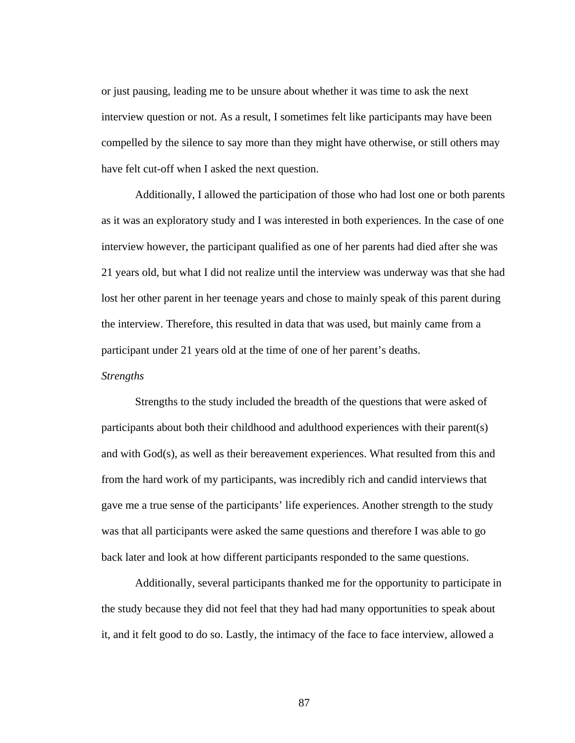or just pausing, leading me to be unsure about whether it was time to ask the next interview question or not. As a result, I sometimes felt like participants may have been compelled by the silence to say more than they might have otherwise, or still others may have felt cut-off when I asked the next question.

Additionally, I allowed the participation of those who had lost one or both parents as it was an exploratory study and I was interested in both experiences. In the case of one interview however, the participant qualified as one of her parents had died after she was 21 years old, but what I did not realize until the interview was underway was that she had lost her other parent in her teenage years and chose to mainly speak of this parent during the interview. Therefore, this resulted in data that was used, but mainly came from a participant under 21 years old at the time of one of her parent's deaths.

# *Strengths*

 Strengths to the study included the breadth of the questions that were asked of participants about both their childhood and adulthood experiences with their parent(s) and with God(s), as well as their bereavement experiences. What resulted from this and from the hard work of my participants, was incredibly rich and candid interviews that gave me a true sense of the participants' life experiences. Another strength to the study was that all participants were asked the same questions and therefore I was able to go back later and look at how different participants responded to the same questions.

 Additionally, several participants thanked me for the opportunity to participate in the study because they did not feel that they had had many opportunities to speak about it, and it felt good to do so. Lastly, the intimacy of the face to face interview, allowed a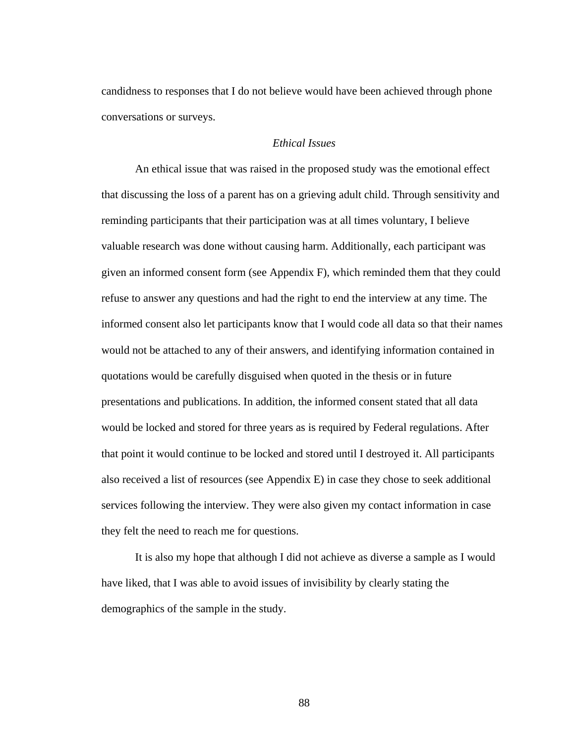candidness to responses that I do not believe would have been achieved through phone conversations or surveys.

# *Ethical Issues*

An ethical issue that was raised in the proposed study was the emotional effect that discussing the loss of a parent has on a grieving adult child. Through sensitivity and reminding participants that their participation was at all times voluntary, I believe valuable research was done without causing harm. Additionally, each participant was given an informed consent form (see Appendix F), which reminded them that they could refuse to answer any questions and had the right to end the interview at any time. The informed consent also let participants know that I would code all data so that their names would not be attached to any of their answers, and identifying information contained in quotations would be carefully disguised when quoted in the thesis or in future presentations and publications. In addition, the informed consent stated that all data would be locked and stored for three years as is required by Federal regulations. After that point it would continue to be locked and stored until I destroyed it. All participants also received a list of resources (see Appendix E) in case they chose to seek additional services following the interview. They were also given my contact information in case they felt the need to reach me for questions.

It is also my hope that although I did not achieve as diverse a sample as I would have liked, that I was able to avoid issues of invisibility by clearly stating the demographics of the sample in the study.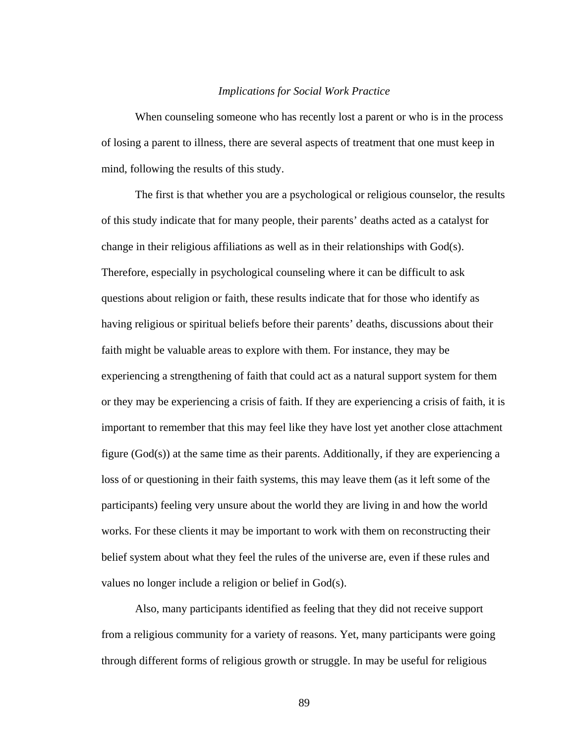#### *Implications for Social Work Practice*

 When counseling someone who has recently lost a parent or who is in the process of losing a parent to illness, there are several aspects of treatment that one must keep in mind, following the results of this study.

 The first is that whether you are a psychological or religious counselor, the results of this study indicate that for many people, their parents' deaths acted as a catalyst for change in their religious affiliations as well as in their relationships with God(s). Therefore, especially in psychological counseling where it can be difficult to ask questions about religion or faith, these results indicate that for those who identify as having religious or spiritual beliefs before their parents' deaths, discussions about their faith might be valuable areas to explore with them. For instance, they may be experiencing a strengthening of faith that could act as a natural support system for them or they may be experiencing a crisis of faith. If they are experiencing a crisis of faith, it is important to remember that this may feel like they have lost yet another close attachment figure (God(s)) at the same time as their parents. Additionally, if they are experiencing a loss of or questioning in their faith systems, this may leave them (as it left some of the participants) feeling very unsure about the world they are living in and how the world works. For these clients it may be important to work with them on reconstructing their belief system about what they feel the rules of the universe are, even if these rules and values no longer include a religion or belief in God(s).

 Also, many participants identified as feeling that they did not receive support from a religious community for a variety of reasons. Yet, many participants were going through different forms of religious growth or struggle. In may be useful for religious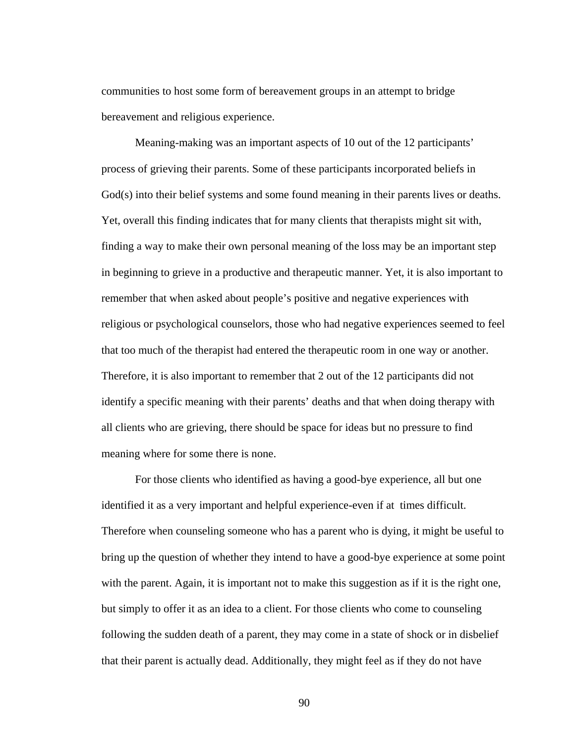communities to host some form of bereavement groups in an attempt to bridge bereavement and religious experience.

 Meaning-making was an important aspects of 10 out of the 12 participants' process of grieving their parents. Some of these participants incorporated beliefs in God(s) into their belief systems and some found meaning in their parents lives or deaths. Yet, overall this finding indicates that for many clients that therapists might sit with, finding a way to make their own personal meaning of the loss may be an important step in beginning to grieve in a productive and therapeutic manner. Yet, it is also important to remember that when asked about people's positive and negative experiences with religious or psychological counselors, those who had negative experiences seemed to feel that too much of the therapist had entered the therapeutic room in one way or another. Therefore, it is also important to remember that 2 out of the 12 participants did not identify a specific meaning with their parents' deaths and that when doing therapy with all clients who are grieving, there should be space for ideas but no pressure to find meaning where for some there is none.

 For those clients who identified as having a good-bye experience, all but one identified it as a very important and helpful experience-even if at times difficult. Therefore when counseling someone who has a parent who is dying, it might be useful to bring up the question of whether they intend to have a good-bye experience at some point with the parent. Again, it is important not to make this suggestion as if it is the right one, but simply to offer it as an idea to a client. For those clients who come to counseling following the sudden death of a parent, they may come in a state of shock or in disbelief that their parent is actually dead. Additionally, they might feel as if they do not have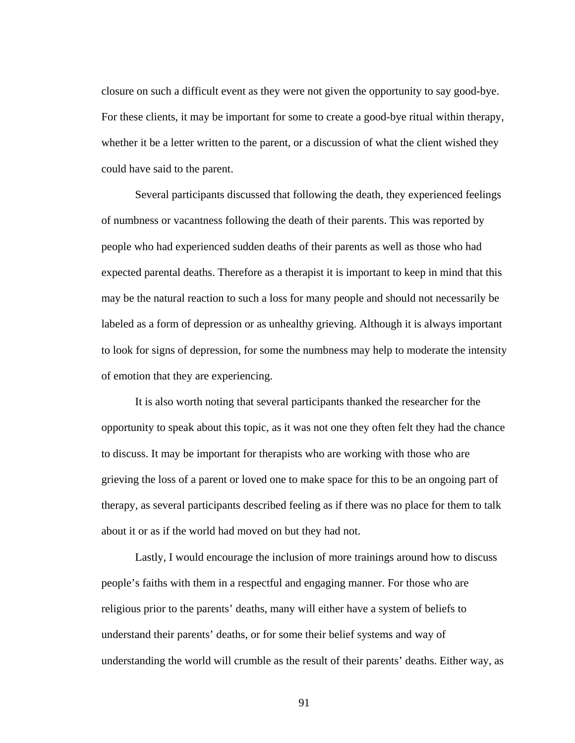closure on such a difficult event as they were not given the opportunity to say good-bye. For these clients, it may be important for some to create a good-bye ritual within therapy, whether it be a letter written to the parent, or a discussion of what the client wished they could have said to the parent.

 Several participants discussed that following the death, they experienced feelings of numbness or vacantness following the death of their parents. This was reported by people who had experienced sudden deaths of their parents as well as those who had expected parental deaths. Therefore as a therapist it is important to keep in mind that this may be the natural reaction to such a loss for many people and should not necessarily be labeled as a form of depression or as unhealthy grieving. Although it is always important to look for signs of depression, for some the numbness may help to moderate the intensity of emotion that they are experiencing.

It is also worth noting that several participants thanked the researcher for the opportunity to speak about this topic, as it was not one they often felt they had the chance to discuss. It may be important for therapists who are working with those who are grieving the loss of a parent or loved one to make space for this to be an ongoing part of therapy, as several participants described feeling as if there was no place for them to talk about it or as if the world had moved on but they had not.

Lastly, I would encourage the inclusion of more trainings around how to discuss people's faiths with them in a respectful and engaging manner. For those who are religious prior to the parents' deaths, many will either have a system of beliefs to understand their parents' deaths, or for some their belief systems and way of understanding the world will crumble as the result of their parents' deaths. Either way, as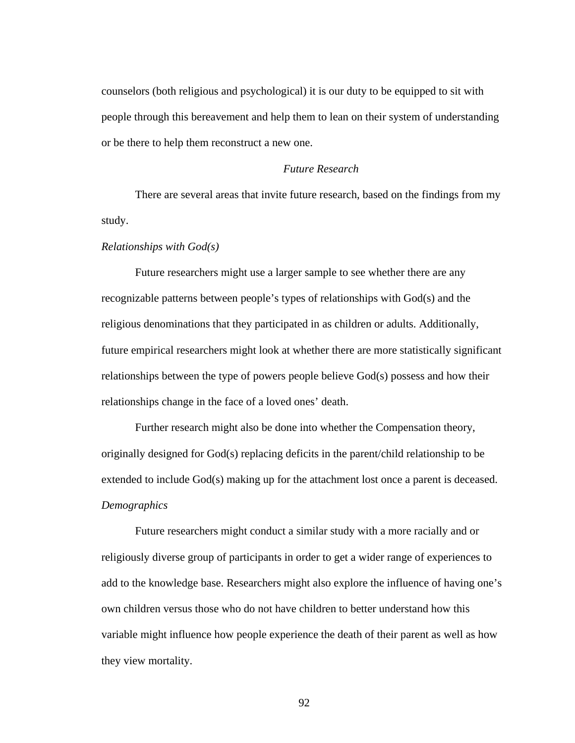counselors (both religious and psychological) it is our duty to be equipped to sit with people through this bereavement and help them to lean on their system of understanding or be there to help them reconstruct a new one.

## *Future Research*

There are several areas that invite future research, based on the findings from my study.

## *Relationships with God(s)*

 Future researchers might use a larger sample to see whether there are any recognizable patterns between people's types of relationships with God(s) and the religious denominations that they participated in as children or adults. Additionally, future empirical researchers might look at whether there are more statistically significant relationships between the type of powers people believe God(s) possess and how their relationships change in the face of a loved ones' death.

 Further research might also be done into whether the Compensation theory, originally designed for God(s) replacing deficits in the parent/child relationship to be extended to include God(s) making up for the attachment lost once a parent is deceased. *Demographics* 

 Future researchers might conduct a similar study with a more racially and or religiously diverse group of participants in order to get a wider range of experiences to add to the knowledge base. Researchers might also explore the influence of having one's own children versus those who do not have children to better understand how this variable might influence how people experience the death of their parent as well as how they view mortality.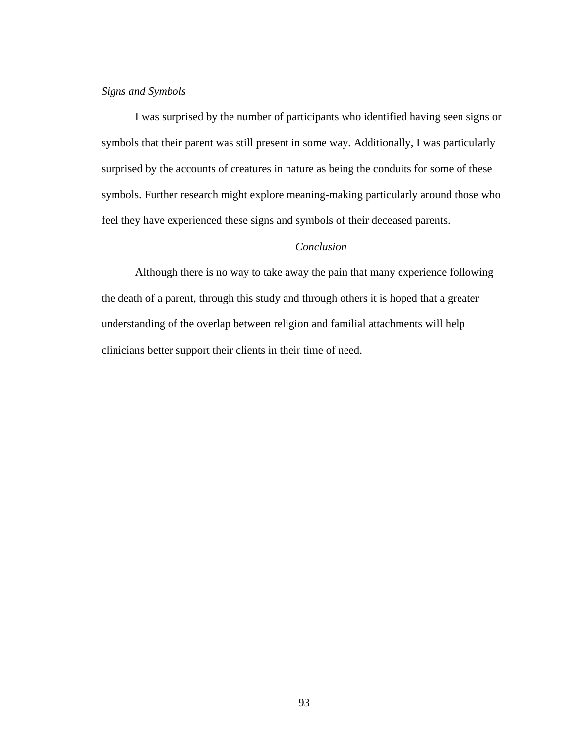## *Signs and Symbols*

 I was surprised by the number of participants who identified having seen signs or symbols that their parent was still present in some way. Additionally, I was particularly surprised by the accounts of creatures in nature as being the conduits for some of these symbols. Further research might explore meaning-making particularly around those who feel they have experienced these signs and symbols of their deceased parents.

# *Conclusion*

 Although there is no way to take away the pain that many experience following the death of a parent, through this study and through others it is hoped that a greater understanding of the overlap between religion and familial attachments will help clinicians better support their clients in their time of need.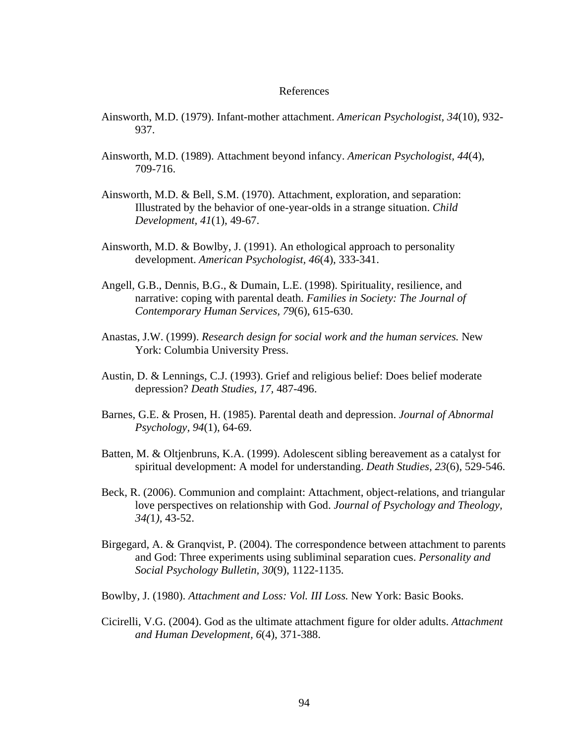#### References

- Ainsworth, M.D. (1979). Infant-mother attachment. *American Psychologist, 34*(10), 932- 937.
- Ainsworth, M.D. (1989). Attachment beyond infancy. *American Psychologist, 44*(4), 709-716.
- Ainsworth, M.D. & Bell, S.M. (1970). Attachment, exploration, and separation: Illustrated by the behavior of one-year-olds in a strange situation. *Child Development, 41*(1), 49-67.
- Ainsworth, M.D. & Bowlby, J. (1991). An ethological approach to personality development. *American Psychologist, 46*(4), 333-341.
- Angell, G.B., Dennis, B.G., & Dumain, L.E. (1998). Spirituality, resilience, and narrative: coping with parental death. *Families in Society: The Journal of Contemporary Human Services, 79*(6), 615-630.
- Anastas, J.W. (1999). *Research design for social work and the human services.* New York: Columbia University Press.
- Austin, D. & Lennings, C.J. (1993). Grief and religious belief: Does belief moderate depression? *Death Studies, 17,* 487-496.
- Barnes, G.E. & Prosen, H. (1985). Parental death and depression. *Journal of Abnormal Psychology, 94*(1), 64-69.
- Batten, M. & Oltjenbruns, K.A. (1999). Adolescent sibling bereavement as a catalyst for spiritual development: A model for understanding. *Death Studies, 23*(6), 529-546.
- Beck, R. (2006). Communion and complaint: Attachment, object-relations, and triangular love perspectives on relationship with God. *Journal of Psychology and Theology, 34(*1*),* 43-52.
- Birgegard, A. & Granqvist, P. (2004). The correspondence between attachment to parents and God: Three experiments using subliminal separation cues. *Personality and Social Psychology Bulletin, 30*(9), 1122-1135.
- Bowlby, J. (1980). *Attachment and Loss: Vol. III Loss.* New York: Basic Books.
- Cicirelli, V.G. (2004). God as the ultimate attachment figure for older adults. *Attachment and Human Development, 6*(4), 371-388.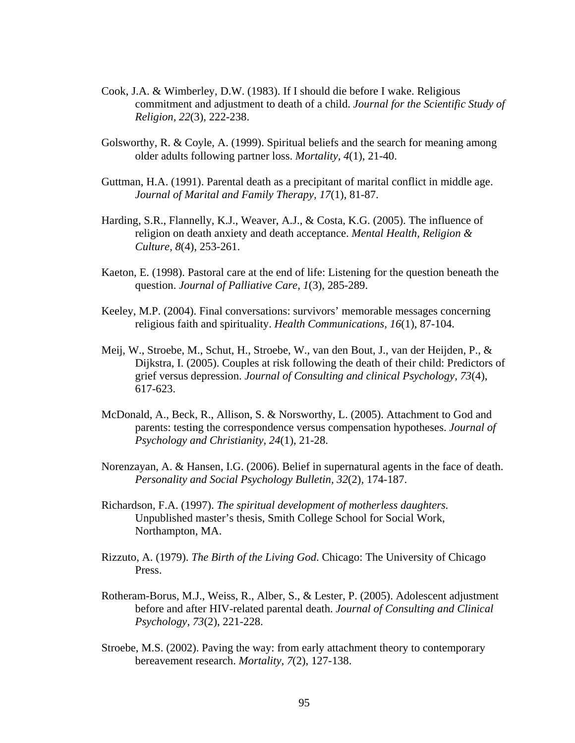- Cook, J.A. & Wimberley, D.W. (1983). If I should die before I wake. Religious commitment and adjustment to death of a child. *Journal for the Scientific Study of Religion, 22*(3), 222-238.
- Golsworthy, R. & Coyle, A. (1999). Spiritual beliefs and the search for meaning among older adults following partner loss. *Mortality, 4*(1), 21-40.
- Guttman, H.A. (1991). Parental death as a precipitant of marital conflict in middle age. *Journal of Marital and Family Therapy, 17*(1), 81-87.
- Harding, S.R., Flannelly, K.J., Weaver, A.J., & Costa, K.G. (2005). The influence of religion on death anxiety and death acceptance. *Mental Health, Religion & Culture, 8*(4), 253-261.
- Kaeton, E. (1998). Pastoral care at the end of life: Listening for the question beneath the question. *Journal of Palliative Care, 1*(3), 285-289.
- Keeley, M.P. (2004). Final conversations: survivors' memorable messages concerning religious faith and spirituality. *Health Communications, 16*(1), 87-104.
- Meij, W., Stroebe, M., Schut, H., Stroebe, W., van den Bout, J., van der Heijden, P., & Dijkstra, I. (2005). Couples at risk following the death of their child: Predictors of grief versus depression. *Journal of Consulting and clinical Psychology, 73*(4), 617-623.
- McDonald, A., Beck, R., Allison, S. & Norsworthy, L. (2005). Attachment to God and parents: testing the correspondence versus compensation hypotheses. *Journal of Psychology and Christianity, 24*(1), 21-28.
- Norenzayan, A. & Hansen, I.G. (2006). Belief in supernatural agents in the face of death. *Personality and Social Psychology Bulletin, 32*(2)*,* 174-187.
- Richardson, F.A. (1997). *The spiritual development of motherless daughters.* Unpublished master's thesis, Smith College School for Social Work, Northampton, MA.
- Rizzuto, A. (1979). *The Birth of the Living God*. Chicago: The University of Chicago Press.
- Rotheram-Borus, M.J., Weiss, R., Alber, S., & Lester, P. (2005). Adolescent adjustment before and after HIV-related parental death. *Journal of Consulting and Clinical Psychology, 73*(2), 221-228.
- Stroebe, M.S. (2002). Paving the way: from early attachment theory to contemporary bereavement research. *Mortality, 7*(2), 127-138.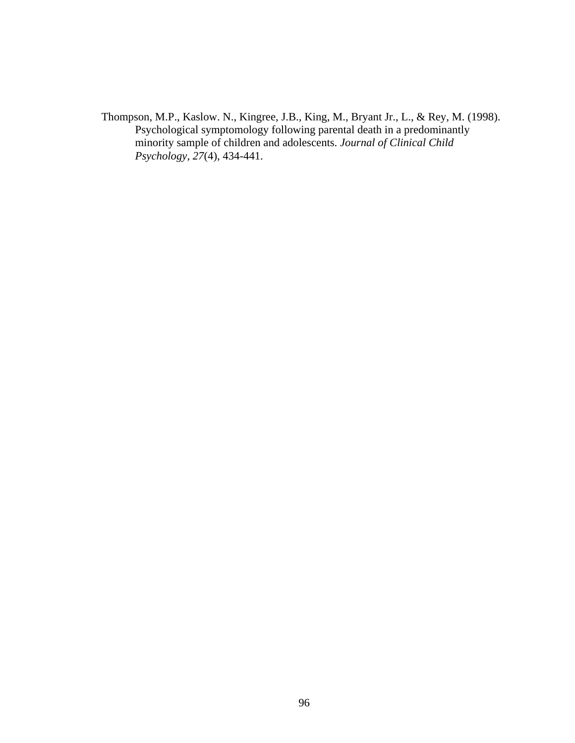Thompson, M.P., Kaslow. N., Kingree, J.B., King, M., Bryant Jr., L., & Rey, M. (1998). Psychological symptomology following parental death in a predominantly minority sample of children and adolescents. *Journal of Clinical Child Psychology, 27*(4), 434-441.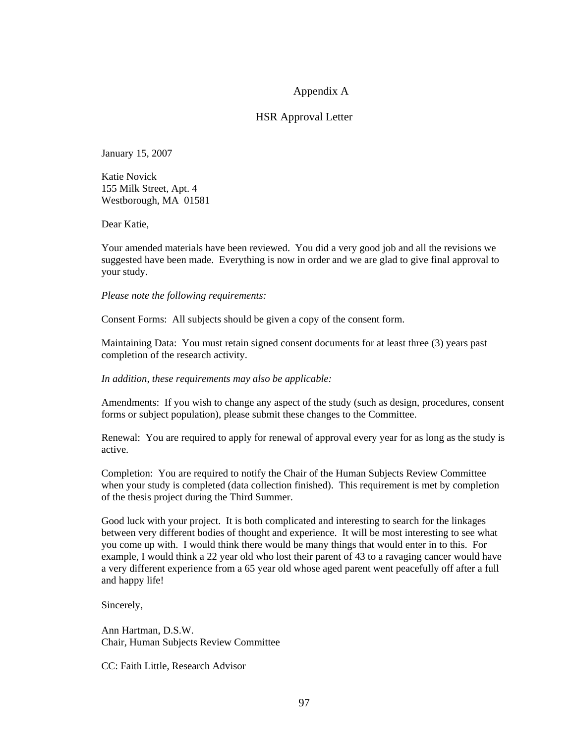# Appendix A

# HSR Approval Letter

January 15, 2007

Katie Novick 155 Milk Street, Apt. 4 Westborough, MA 01581

Dear Katie,

Your amended materials have been reviewed. You did a very good job and all the revisions we suggested have been made. Everything is now in order and we are glad to give final approval to your study.

*Please note the following requirements:* 

Consent Forms: All subjects should be given a copy of the consent form.

Maintaining Data: You must retain signed consent documents for at least three (3) years past completion of the research activity.

*In addition, these requirements may also be applicable:* 

Amendments: If you wish to change any aspect of the study (such as design, procedures, consent forms or subject population), please submit these changes to the Committee.

Renewal: You are required to apply for renewal of approval every year for as long as the study is active.

Completion: You are required to notify the Chair of the Human Subjects Review Committee when your study is completed (data collection finished). This requirement is met by completion of the thesis project during the Third Summer.

Good luck with your project. It is both complicated and interesting to search for the linkages between very different bodies of thought and experience. It will be most interesting to see what you come up with. I would think there would be many things that would enter in to this. For example, I would think a 22 year old who lost their parent of 43 to a ravaging cancer would have a very different experience from a 65 year old whose aged parent went peacefully off after a full and happy life!

Sincerely,

Ann Hartman, D.S.W. Chair, Human Subjects Review Committee

CC: Faith Little, Research Advisor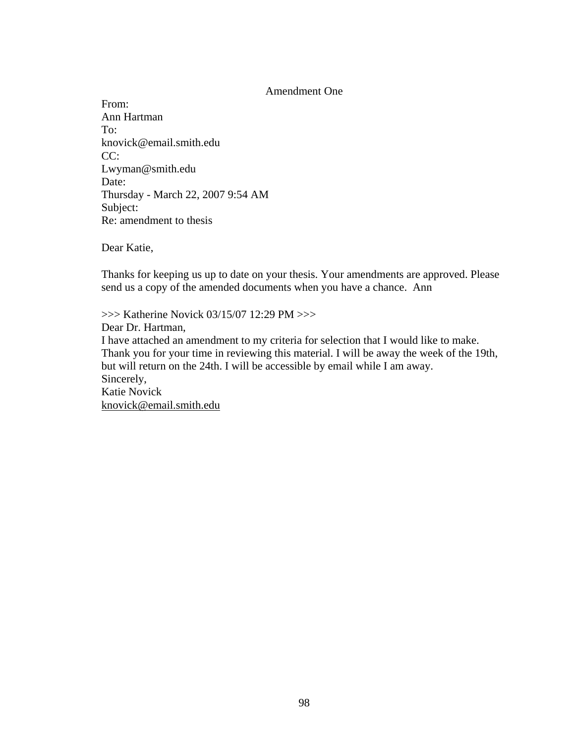Amendment One

From: Ann Hartman To: knovick@email.smith.edu CC: Lwyman@smith.edu Date: Thursday - March 22, 2007 9:54 AM Subject: Re: amendment to thesis

Dear Katie,

Thanks for keeping us up to date on your thesis. Your amendments are approved. Please send us a copy of the amended documents when you have a chance. Ann

>>> Katherine Novick 03/15/07 12:29 PM >>> Dear Dr. Hartman, I have attached an amendment to my criteria for selection that I would like to make. Thank you for your time in reviewing this material. I will be away the week of the 19th, but will return on the 24th. I will be accessible by email while I am away. Sincerely, Katie Novick [knovick@email.smith.edu](mailto:knovick@email.smith.edu)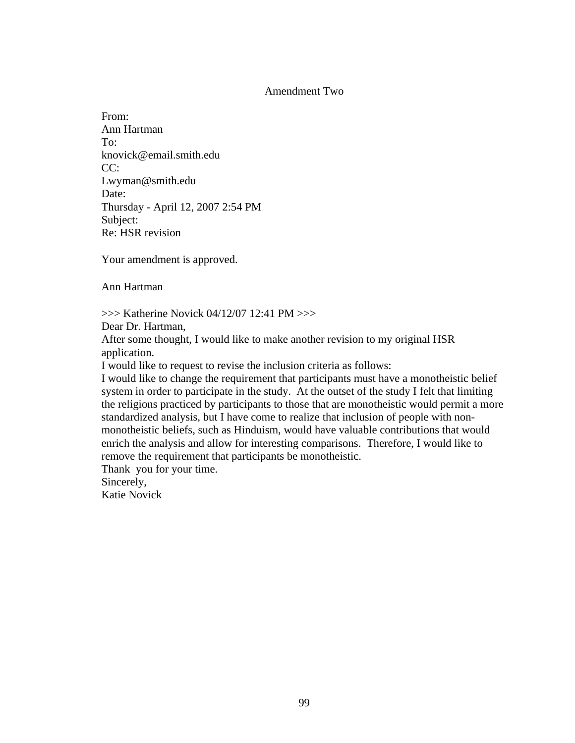## Amendment Two

From: Ann Hartman  $T^{\alpha}$ knovick@email.smith.edu  $CC:$ Lwyman@smith.edu Date: Thursday - April 12, 2007 2:54 PM Subject: Re: HSR revision

Your amendment is approved.

Ann Hartman

>>> Katherine Novick 04/12/07 12:41 PM >>>

Dear Dr. Hartman,

After some thought, I would like to make another revision to my original HSR application.

I would like to request to revise the inclusion criteria as follows:

I would like to change the requirement that participants must have a monotheistic belief system in order to participate in the study. At the outset of the study I felt that limiting the religions practiced by participants to those that are monotheistic would permit a more standardized analysis, but I have come to realize that inclusion of people with nonmonotheistic beliefs, such as Hinduism, would have valuable contributions that would enrich the analysis and allow for interesting comparisons. Therefore, I would like to remove the requirement that participants be monotheistic.

Thank you for your time.

Sincerely,

Katie Novick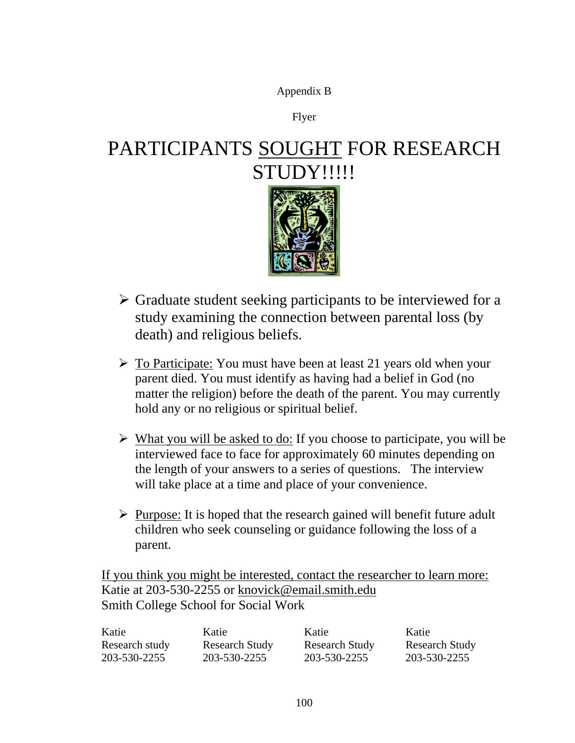Appendix B

Flyer

# PARTICIPANTS SOUGHT FOR RESEARCH STUDY!!!!!



- $\triangleright$  Graduate student seeking participants to be interviewed for a study examining the connection between parental loss (by death) and religious beliefs.
- $\triangleright$  To Participate: You must have been at least 21 years old when your parent died. You must identify as having had a belief in God (no matter the religion) before the death of the parent. You may currently hold any or no religious or spiritual belief.
- $\triangleright$  What you will be asked to do: If you choose to participate, you will be interviewed face to face for approximately 60 minutes depending on the length of your answers to a series of questions. The interview will take place at a time and place of your convenience.
- $\triangleright$  Purpose: It is hoped that the research gained will benefit future adult children who seek counseling or guidance following the loss of a parent.

If you think you might be interested, contact the researcher to learn more: Katie at 203-530-2255 or [knovick@email.smith.edu](mailto:knovick@email.smith.edu) Smith College School for Social Work

| Katie          | Katie                 | Katie                 | Katie                 |
|----------------|-----------------------|-----------------------|-----------------------|
| Research study | <b>Research Study</b> | <b>Research Study</b> | <b>Research Study</b> |
| 203-530-2255   | 203-530-2255          | 203-530-2255          | 203-530-2255          |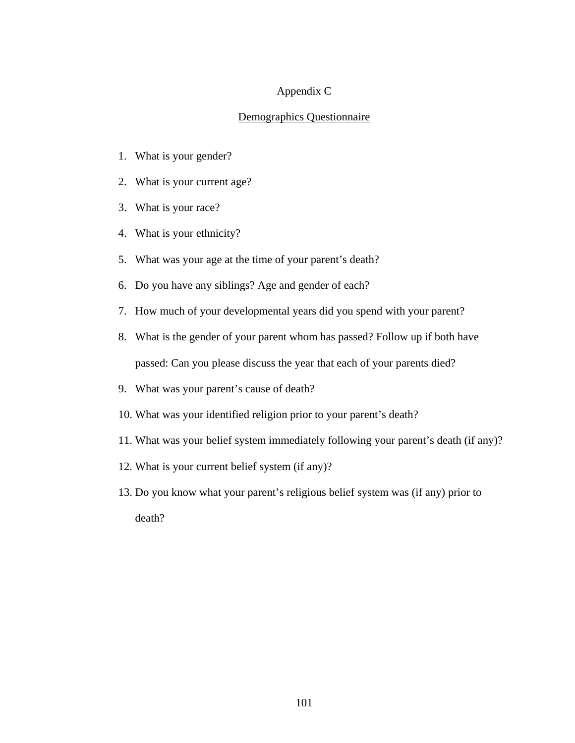# Appendix C

# Demographics Questionnaire

- 1. What is your gender?
- 2. What is your current age?
- 3. What is your race?
- 4. What is your ethnicity?
- 5. What was your age at the time of your parent's death?
- 6. Do you have any siblings? Age and gender of each?
- 7. How much of your developmental years did you spend with your parent?
- 8. What is the gender of your parent whom has passed? Follow up if both have passed: Can you please discuss the year that each of your parents died?
- 9. What was your parent's cause of death?
- 10. What was your identified religion prior to your parent's death?
- 11. What was your belief system immediately following your parent's death (if any)?
- 12. What is your current belief system (if any)?
- 13. Do you know what your parent's religious belief system was (if any) prior to death?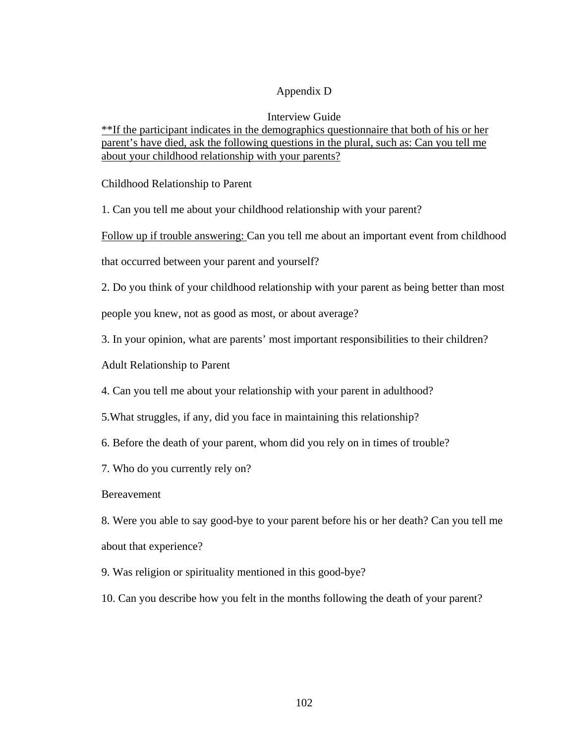# Appendix D

# Interview Guide

\*\*If the participant indicates in the demographics questionnaire that both of his or her parent's have died, ask the following questions in the plural, such as: Can you tell me about your childhood relationship with your parents?

Childhood Relationship to Parent

1. Can you tell me about your childhood relationship with your parent?

Follow up if trouble answering: Can you tell me about an important event from childhood

that occurred between your parent and yourself?

2. Do you think of your childhood relationship with your parent as being better than most

people you knew, not as good as most, or about average?

3. In your opinion, what are parents' most important responsibilities to their children?

Adult Relationship to Parent

4. Can you tell me about your relationship with your parent in adulthood?

5.What struggles, if any, did you face in maintaining this relationship?

6. Before the death of your parent, whom did you rely on in times of trouble?

7. Who do you currently rely on?

# Bereavement

8. Were you able to say good-bye to your parent before his or her death? Can you tell me about that experience?

9. Was religion or spirituality mentioned in this good-bye?

10. Can you describe how you felt in the months following the death of your parent?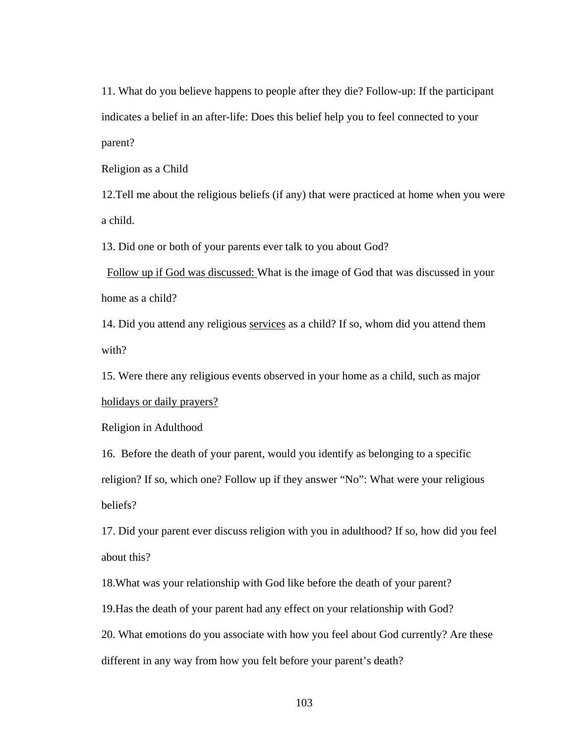11. What do you believe happens to people after they die? Follow-up: If the participant indicates a belief in an after-life: Does this belief help you to feel connected to your parent?

Religion as a Child

12.Tell me about the religious beliefs (if any) that were practiced at home when you were a child.

13. Did one or both of your parents ever talk to you about God?

 Follow up if God was discussed: What is the image of God that was discussed in your home as a child?

14. Did you attend any religious services as a child? If so, whom did you attend them with?

15. Were there any religious events observed in your home as a child, such as major holidays or daily prayers?

Religion in Adulthood

16. Before the death of your parent, would you identify as belonging to a specific religion? If so, which one? Follow up if they answer "No": What were your religious beliefs?

17. Did your parent ever discuss religion with you in adulthood? If so, how did you feel about this?

18.What was your relationship with God like before the death of your parent?

19.Has the death of your parent had any effect on your relationship with God?

20. What emotions do you associate with how you feel about God currently? Are these different in any way from how you felt before your parent's death?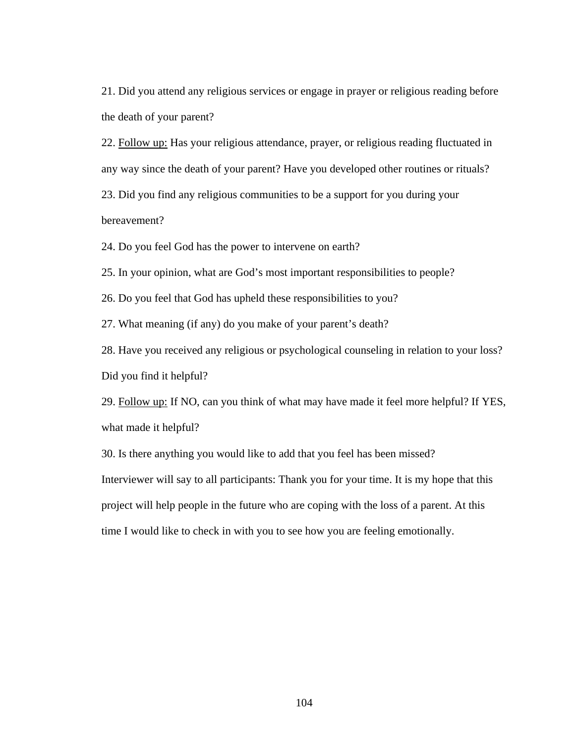21. Did you attend any religious services or engage in prayer or religious reading before the death of your parent?

22. Follow up: Has your religious attendance, prayer, or religious reading fluctuated in any way since the death of your parent? Have you developed other routines or rituals?

23. Did you find any religious communities to be a support for you during your bereavement?

24. Do you feel God has the power to intervene on earth?

25. In your opinion, what are God's most important responsibilities to people?

26. Do you feel that God has upheld these responsibilities to you?

27. What meaning (if any) do you make of your parent's death?

28. Have you received any religious or psychological counseling in relation to your loss? Did you find it helpful?

29. Follow up: If NO, can you think of what may have made it feel more helpful? If YES, what made it helpful?

30. Is there anything you would like to add that you feel has been missed?

Interviewer will say to all participants: Thank you for your time. It is my hope that this project will help people in the future who are coping with the loss of a parent. At this time I would like to check in with you to see how you are feeling emotionally.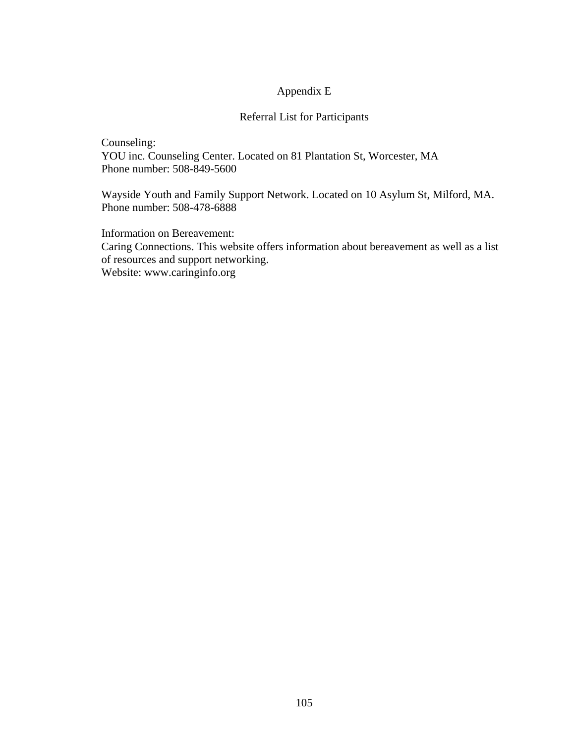# Appendix E

# Referral List for Participants

Counseling: YOU inc. Counseling Center. Located on 81 Plantation St, Worcester, MA Phone number: 508-849-5600

Wayside Youth and Family Support Network. Located on 10 Asylum St, Milford, MA. Phone number: 508-478-6888

Information on Bereavement: Caring Connections. This website offers information about bereavement as well as a list of resources and support networking. Website: www.caringinfo.org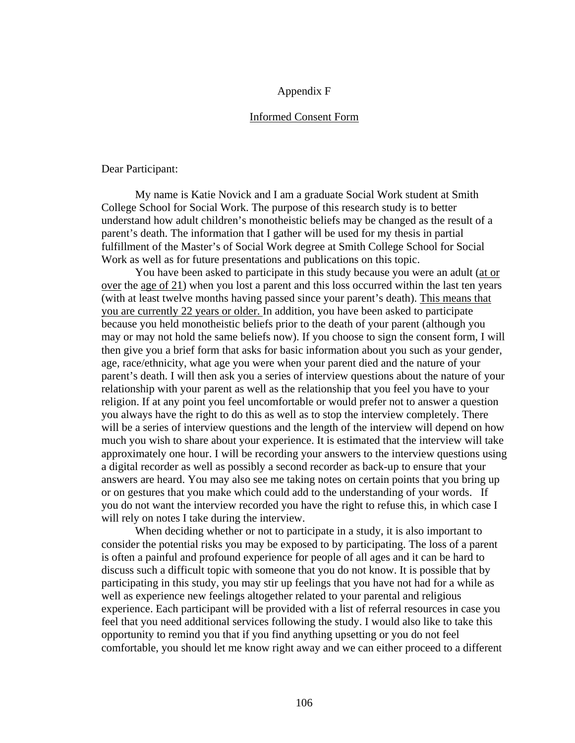## Appendix F

## Informed Consent Form

Dear Participant:

 My name is Katie Novick and I am a graduate Social Work student at Smith College School for Social Work. The purpose of this research study is to better understand how adult children's monotheistic beliefs may be changed as the result of a parent's death. The information that I gather will be used for my thesis in partial fulfillment of the Master's of Social Work degree at Smith College School for Social Work as well as for future presentations and publications on this topic.

 You have been asked to participate in this study because you were an adult (at or over the age of 21) when you lost a parent and this loss occurred within the last ten years (with at least twelve months having passed since your parent's death). This means that you are currently 22 years or older. In addition, you have been asked to participate because you held monotheistic beliefs prior to the death of your parent (although you may or may not hold the same beliefs now). If you choose to sign the consent form, I will then give you a brief form that asks for basic information about you such as your gender, age, race/ethnicity, what age you were when your parent died and the nature of your parent's death. I will then ask you a series of interview questions about the nature of your relationship with your parent as well as the relationship that you feel you have to your religion. If at any point you feel uncomfortable or would prefer not to answer a question you always have the right to do this as well as to stop the interview completely. There will be a series of interview questions and the length of the interview will depend on how much you wish to share about your experience. It is estimated that the interview will take approximately one hour. I will be recording your answers to the interview questions using a digital recorder as well as possibly a second recorder as back-up to ensure that your answers are heard. You may also see me taking notes on certain points that you bring up or on gestures that you make which could add to the understanding of your words. If you do not want the interview recorded you have the right to refuse this, in which case I will rely on notes I take during the interview.

 When deciding whether or not to participate in a study, it is also important to consider the potential risks you may be exposed to by participating. The loss of a parent is often a painful and profound experience for people of all ages and it can be hard to discuss such a difficult topic with someone that you do not know. It is possible that by participating in this study, you may stir up feelings that you have not had for a while as well as experience new feelings altogether related to your parental and religious experience. Each participant will be provided with a list of referral resources in case you feel that you need additional services following the study. I would also like to take this opportunity to remind you that if you find anything upsetting or you do not feel comfortable, you should let me know right away and we can either proceed to a different